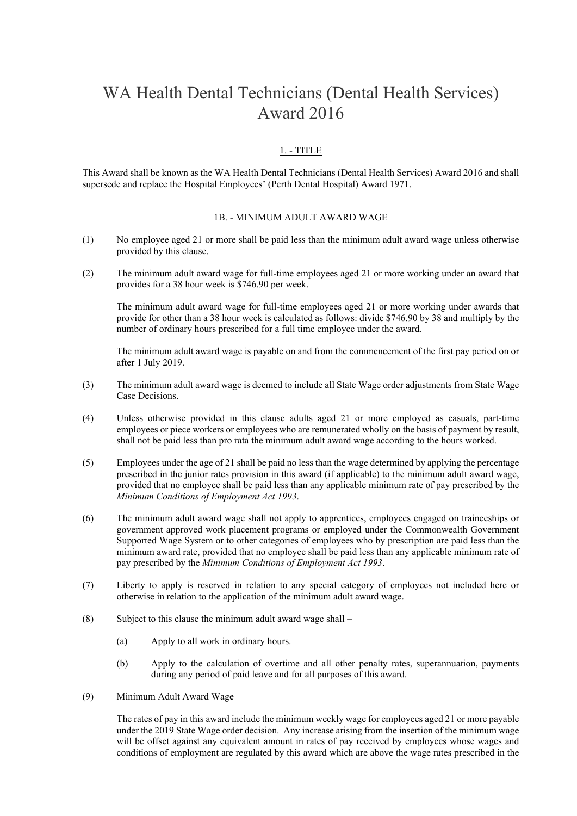# WA Health Dental Technicians (Dental Health Services) Award 2016

# 1. - TITLE

This Award shall be known as the WA Health Dental Technicians (Dental Health Services) Award 2016 and shall supersede and replace the Hospital Employees' (Perth Dental Hospital) Award 1971.

#### 1B. - MINIMUM ADULT AWARD WAGE

- (1) No employee aged 21 or more shall be paid less than the minimum adult award wage unless otherwise provided by this clause.
- (2) The minimum adult award wage for full-time employees aged 21 or more working under an award that provides for a 38 hour week is \$746.90 per week.

The minimum adult award wage for full-time employees aged 21 or more working under awards that provide for other than a 38 hour week is calculated as follows: divide \$746.90 by 38 and multiply by the number of ordinary hours prescribed for a full time employee under the award.

The minimum adult award wage is payable on and from the commencement of the first pay period on or after 1 July 2019.

- (3) The minimum adult award wage is deemed to include all State Wage order adjustments from State Wage Case Decisions.
- (4) Unless otherwise provided in this clause adults aged 21 or more employed as casuals, part-time employees or piece workers or employees who are remunerated wholly on the basis of payment by result, shall not be paid less than pro rata the minimum adult award wage according to the hours worked.
- (5) Employees under the age of 21 shall be paid no less than the wage determined by applying the percentage prescribed in the junior rates provision in this award (if applicable) to the minimum adult award wage, provided that no employee shall be paid less than any applicable minimum rate of pay prescribed by the *Minimum Conditions of Employment Act 1993*.
- (6) The minimum adult award wage shall not apply to apprentices, employees engaged on traineeships or government approved work placement programs or employed under the Commonwealth Government Supported Wage System or to other categories of employees who by prescription are paid less than the minimum award rate, provided that no employee shall be paid less than any applicable minimum rate of pay prescribed by the *Minimum Conditions of Employment Act 1993*.
- (7) Liberty to apply is reserved in relation to any special category of employees not included here or otherwise in relation to the application of the minimum adult award wage.
- (8) Subject to this clause the minimum adult award wage shall  $-$ 
	- (a) Apply to all work in ordinary hours.
	- (b) Apply to the calculation of overtime and all other penalty rates, superannuation, payments during any period of paid leave and for all purposes of this award.
- (9) Minimum Adult Award Wage

The rates of pay in this award include the minimum weekly wage for employees aged 21 or more payable under the 2019 State Wage order decision. Any increase arising from the insertion of the minimum wage will be offset against any equivalent amount in rates of pay received by employees whose wages and conditions of employment are regulated by this award which are above the wage rates prescribed in the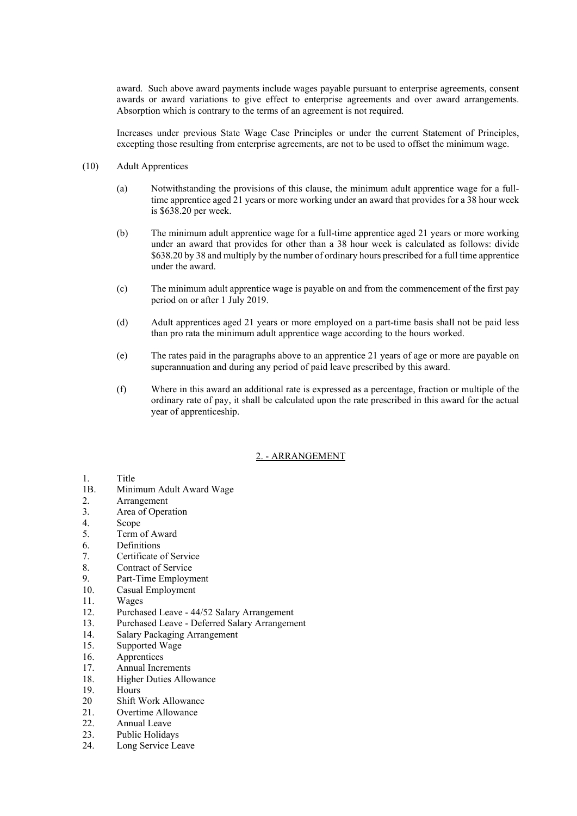award. Such above award payments include wages payable pursuant to enterprise agreements, consent awards or award variations to give effect to enterprise agreements and over award arrangements. Absorption which is contrary to the terms of an agreement is not required.

Increases under previous State Wage Case Principles or under the current Statement of Principles, excepting those resulting from enterprise agreements, are not to be used to offset the minimum wage.

- (10) Adult Apprentices
	- (a) Notwithstanding the provisions of this clause, the minimum adult apprentice wage for a fulltime apprentice aged 21 years or more working under an award that provides for a 38 hour week is \$638.20 per week.
	- (b) The minimum adult apprentice wage for a full-time apprentice aged 21 years or more working under an award that provides for other than a 38 hour week is calculated as follows: divide \$638.20 by 38 and multiply by the number of ordinary hours prescribed for a full time apprentice under the award.
	- (c) The minimum adult apprentice wage is payable on and from the commencement of the first pay period on or after 1 July 2019.
	- (d) Adult apprentices aged 21 years or more employed on a part-time basis shall not be paid less than pro rata the minimum adult apprentice wage according to the hours worked.
	- (e) The rates paid in the paragraphs above to an apprentice 21 years of age or more are payable on superannuation and during any period of paid leave prescribed by this award.
	- (f) Where in this award an additional rate is expressed as a percentage, fraction or multiple of the ordinary rate of pay, it shall be calculated upon the rate prescribed in this award for the actual year of apprenticeship.

# 2. - ARRANGEMENT

# 1. Title

- 1B. Minimum Adult Award Wage
- 2. Arrangement
- 3. Area of Operation
- 4. Scope
- 5. Term of Award
- 6. Definitions
- 7. Certificate of Service
- 8. Contract of Service
- 9. Part-Time Employment
- 10. Casual Employment
- 11. Wages
- 12. Purchased Leave 44/52 Salary Arrangement
- 13. Purchased Leave Deferred Salary Arrangement
- 14. Salary Packaging Arrangement
- 15. Supported Wage
- 16. Apprentices
- 17. Annual Increments
- 18. Higher Duties Allowance
- 19. Hours
- 20 Shift Work Allowance
- 21. Overtime Allowance
- 22. Annual Leave
- 23. Public Holidays
- 24. Long Service Leave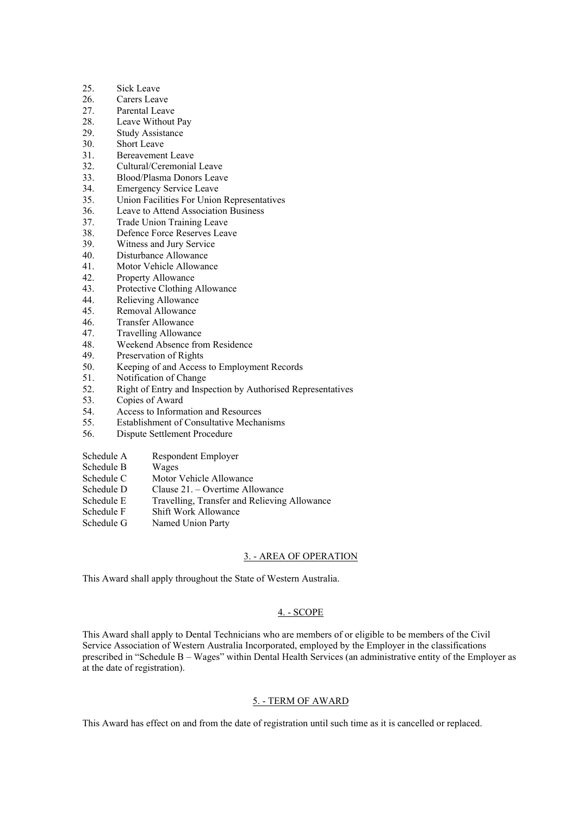- 25. Sick Leave
- 26. Carers Leave
- 27. Parental Leave
- 28. Leave Without Pay
- 29. Study Assistance
- 30. Short Leave
- 31. Bereavement Leave
- 32. Cultural/Ceremonial Leave
- 33. Blood/Plasma Donors Leave
- 34. Emergency Service Leave
- 35. Union Facilities For Union Representatives
- 36. Leave to Attend Association Business
- 37. Trade Union Training Leave
- 38. Defence Force Reserves Leave
- 39. Witness and Jury Service
- 40. Disturbance Allowance
- 41. Motor Vehicle Allowance
- 42. Property Allowance
- 43. Protective Clothing Allowance
- 44. Relieving Allowance
- 45. Removal Allowance
- 46. Transfer Allowance
- 47. Travelling Allowance
- 48. Weekend Absence from Residence
- 49. Preservation of Rights
- 50. Keeping of and Access to Employment Records
- 51. Notification of Change
- 52. Right of Entry and Inspection by Authorised Representatives
- 53. Copies of Award
- 54. Access to Information and Resources
- 55. Establishment of Consultative Mechanisms
- 56. Dispute Settlement Procedure
- Schedule A Respondent Employer
- Schedule B Wages
- Schedule C Motor Vehicle Allowance
- Schedule D Clause 21. Overtime Allowance
- Schedule E Travelling, Transfer and Relieving Allowance
- Schedule F Shift Work Allowance
- Schedule G Named Union Party

# 3. - AREA OF OPERATION

This Award shall apply throughout the State of Western Australia.

# 4. - SCOPE

This Award shall apply to Dental Technicians who are members of or eligible to be members of the Civil Service Association of Western Australia Incorporated, employed by the Employer in the classifications prescribed in "Schedule B – Wages" within Dental Health Services (an administrative entity of the Employer as at the date of registration).

# 5. - TERM OF AWARD

This Award has effect on and from the date of registration until such time as it is cancelled or replaced.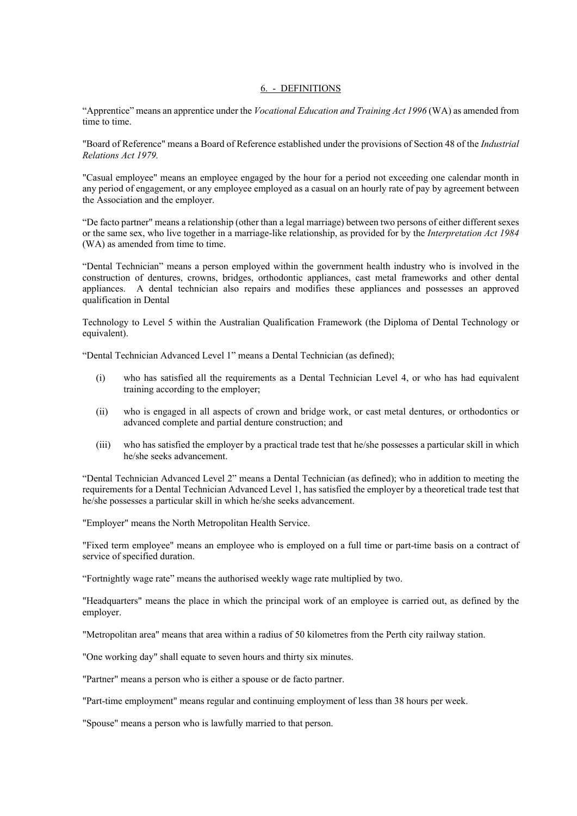#### 6. - DEFINITIONS

"Apprentice" means an apprentice under the *Vocational Education and Training Act 1996* (WA) as amended from time to time.

"Board of Reference" means a Board of Reference established under the provisions of Section 48 of the *Industrial Relations Act 1979.* 

"Casual employee" means an employee engaged by the hour for a period not exceeding one calendar month in any period of engagement, or any employee employed as a casual on an hourly rate of pay by agreement between the Association and the employer.

"De facto partner" means a relationship (other than a legal marriage) between two persons of either different sexes or the same sex, who live together in a marriage-like relationship, as provided for by the *Interpretation Act 1984* (WA) as amended from time to time.

"Dental Technician" means a person employed within the government health industry who is involved in the construction of dentures, crowns, bridges, orthodontic appliances, cast metal frameworks and other dental appliances. A dental technician also repairs and modifies these appliances and possesses an approved qualification in Dental

Technology to Level 5 within the Australian Qualification Framework (the Diploma of Dental Technology or equivalent).

"Dental Technician Advanced Level 1" means a Dental Technician (as defined);

- (i) who has satisfied all the requirements as a Dental Technician Level 4, or who has had equivalent training according to the employer;
- (ii) who is engaged in all aspects of crown and bridge work, or cast metal dentures, or orthodontics or advanced complete and partial denture construction; and
- (iii) who has satisfied the employer by a practical trade test that he/she possesses a particular skill in which he/she seeks advancement.

"Dental Technician Advanced Level 2" means a Dental Technician (as defined); who in addition to meeting the requirements for a Dental Technician Advanced Level 1, has satisfied the employer by a theoretical trade test that he/she possesses a particular skill in which he/she seeks advancement.

"Employer" means the North Metropolitan Health Service.

"Fixed term employee" means an employee who is employed on a full time or part-time basis on a contract of service of specified duration.

"Fortnightly wage rate" means the authorised weekly wage rate multiplied by two.

"Headquarters" means the place in which the principal work of an employee is carried out, as defined by the employer.

"Metropolitan area" means that area within a radius of 50 kilometres from the Perth city railway station.

"One working day" shall equate to seven hours and thirty six minutes.

"Partner" means a person who is either a spouse or de facto partner.

"Part-time employment" means regular and continuing employment of less than 38 hours per week.

"Spouse" means a person who is lawfully married to that person.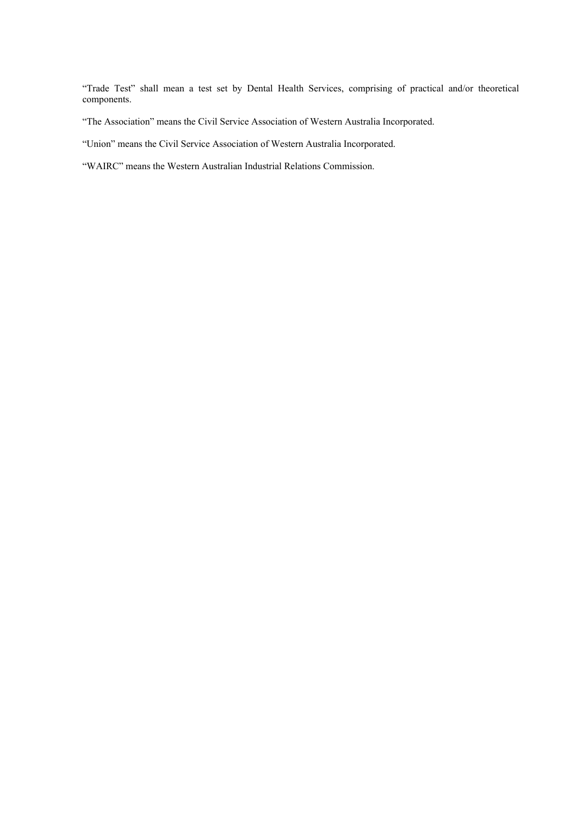"Trade Test" shall mean a test set by Dental Health Services, comprising of practical and/or theoretical components.

"The Association" means the Civil Service Association of Western Australia Incorporated.

"Union" means the Civil Service Association of Western Australia Incorporated.

"WAIRC" means the Western Australian Industrial Relations Commission.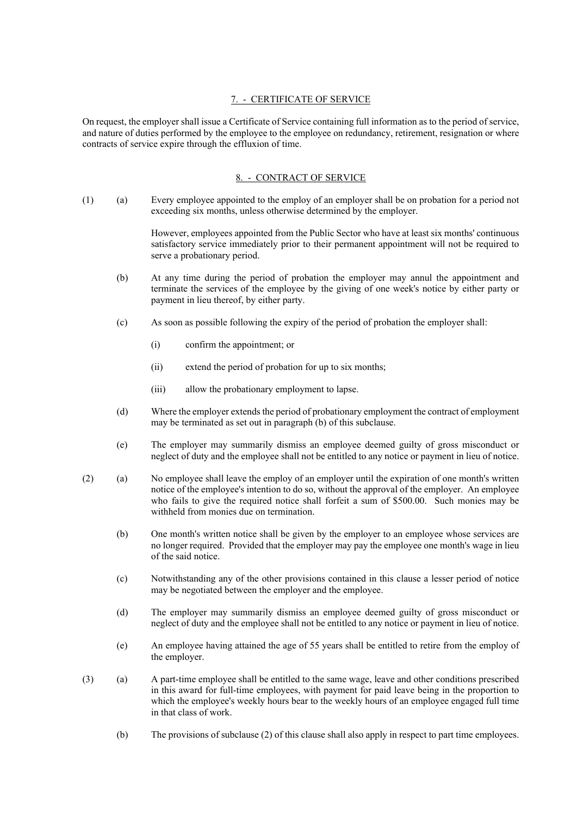# 7. - CERTIFICATE OF SERVICE

On request, the employer shall issue a Certificate of Service containing full information as to the period of service, and nature of duties performed by the employee to the employee on redundancy, retirement, resignation or where contracts of service expire through the effluxion of time.

### 8. - CONTRACT OF SERVICE

(1) (a) Every employee appointed to the employ of an employer shall be on probation for a period not exceeding six months, unless otherwise determined by the employer.

> However, employees appointed from the Public Sector who have at least six months' continuous satisfactory service immediately prior to their permanent appointment will not be required to serve a probationary period.

- (b) At any time during the period of probation the employer may annul the appointment and terminate the services of the employee by the giving of one week's notice by either party or payment in lieu thereof, by either party.
- (c) As soon as possible following the expiry of the period of probation the employer shall:
	- (i) confirm the appointment; or
	- (ii) extend the period of probation for up to six months;
	- (iii) allow the probationary employment to lapse.
- (d) Where the employer extends the period of probationary employment the contract of employment may be terminated as set out in paragraph (b) of this subclause.
- (e) The employer may summarily dismiss an employee deemed guilty of gross misconduct or neglect of duty and the employee shall not be entitled to any notice or payment in lieu of notice.
- (2) (a) No employee shall leave the employ of an employer until the expiration of one month's written notice of the employee's intention to do so, without the approval of the employer. An employee who fails to give the required notice shall forfeit a sum of \$500.00. Such monies may be withheld from monies due on termination.
	- (b) One month's written notice shall be given by the employer to an employee whose services are no longer required. Provided that the employer may pay the employee one month's wage in lieu of the said notice.
	- (c) Notwithstanding any of the other provisions contained in this clause a lesser period of notice may be negotiated between the employer and the employee.
	- (d) The employer may summarily dismiss an employee deemed guilty of gross misconduct or neglect of duty and the employee shall not be entitled to any notice or payment in lieu of notice.
	- (e) An employee having attained the age of 55 years shall be entitled to retire from the employ of the employer.
- (3) (a) A part-time employee shall be entitled to the same wage, leave and other conditions prescribed in this award for full-time employees, with payment for paid leave being in the proportion to which the employee's weekly hours bear to the weekly hours of an employee engaged full time in that class of work.
	- (b) The provisions of subclause (2) of this clause shall also apply in respect to part time employees.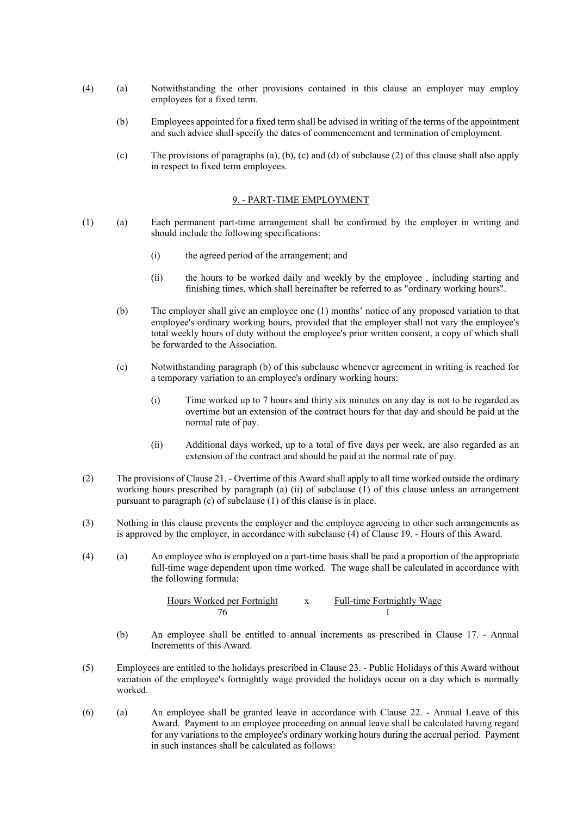- (4) (a) Notwithstanding the other provisions contained in this clause an employer may employ employees for a fixed term.
	- (b) Employees appointed for a fixed term shall be advised in writing of the terms of the appointment and such advice shall specify the dates of commencement and termination of employment.
	- (c) The provisions of paragraphs (a), (b), (c) and (d) of subclause (2) of this clause shall also apply in respect to fixed term employees.

# 9. - PART-TIME EMPLOYMENT

- (1) (a) Each permanent part-time arrangement shall be confirmed by the employer in writing and should include the following specifications:
	- (i) the agreed period of the arrangement; and
	- (ii) the hours to be worked daily and weekly by the employee , including starting and finishing times, which shall hereinafter be referred to as "ordinary working hours".
	- (b) The employer shall give an employee one (1) months' notice of any proposed variation to that employee's ordinary working hours, provided that the employer shall not vary the employee's total weekly hours of duty without the employee's prior written consent, a copy of which shall be forwarded to the Association.
	- (c) Notwithstanding paragraph (b) of this subclause whenever agreement in writing is reached for a temporary variation to an employee's ordinary working hours:
		- (i) Time worked up to 7 hours and thirty six minutes on any day is not to be regarded as overtime but an extension of the contract hours for that day and should be paid at the normal rate of pay.
		- (ii) Additional days worked, up to a total of five days per week, are also regarded as an extension of the contract and should be paid at the normal rate of pay.
- (2) The provisions of Clause 21. Overtime of this Award shall apply to all time worked outside the ordinary working hours prescribed by paragraph (a) (ii) of subclause (1) of this clause unless an arrangement pursuant to paragraph (c) of subclause (1) of this clause is in place.
- (3) Nothing in this clause prevents the employer and the employee agreeing to other such arrangements as is approved by the employer, in accordance with subclause (4) of Clause 19. - Hours of this Award.
- (4) (a) An employee who is employed on a part-time basis shall be paid a proportion of the appropriate full-time wage dependent upon time worked. The wage shall be calculated in accordance with the following formula:

Hours Worked per Fortnight x Full-time Fortnightly Wage 76 1

- (b) An employee shall be entitled to annual increments as prescribed in Clause 17. Annual Increments of this Award.
- (5) Employees are entitled to the holidays prescribed in Clause 23. Public Holidays of this Award without variation of the employee's fortnightly wage provided the holidays occur on a day which is normally worked.
- (6) (a) An employee shall be granted leave in accordance with Clause 22. Annual Leave of this Award. Payment to an employee proceeding on annual leave shall be calculated having regard for any variations to the employee's ordinary working hours during the accrual period. Payment in such instances shall be calculated as follows: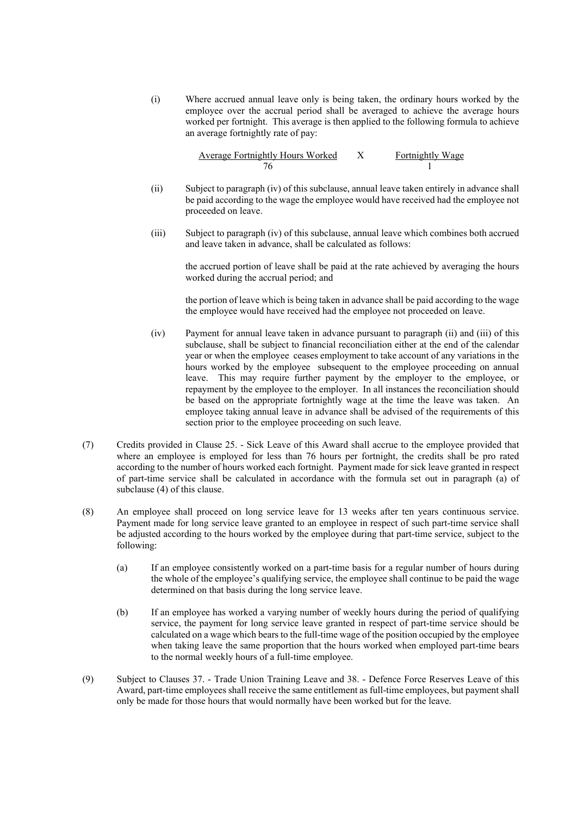(i) Where accrued annual leave only is being taken, the ordinary hours worked by the employee over the accrual period shall be averaged to achieve the average hours worked per fortnight. This average is then applied to the following formula to achieve an average fortnightly rate of pay:

| <b>Average Fortnightly Hours Worked</b> | Fortnightly Wage |
|-----------------------------------------|------------------|
|                                         |                  |

- (ii) Subject to paragraph (iv) of this subclause, annual leave taken entirely in advance shall be paid according to the wage the employee would have received had the employee not proceeded on leave.
- (iii) Subject to paragraph (iv) of this subclause, annual leave which combines both accrued and leave taken in advance, shall be calculated as follows:

the accrued portion of leave shall be paid at the rate achieved by averaging the hours worked during the accrual period; and

the portion of leave which is being taken in advance shall be paid according to the wage the employee would have received had the employee not proceeded on leave.

- (iv) Payment for annual leave taken in advance pursuant to paragraph (ii) and (iii) of this subclause, shall be subject to financial reconciliation either at the end of the calendar year or when the employee ceases employment to take account of any variations in the hours worked by the employee subsequent to the employee proceeding on annual leave. This may require further payment by the employer to the employee, or repayment by the employee to the employer. In all instances the reconciliation should be based on the appropriate fortnightly wage at the time the leave was taken. An employee taking annual leave in advance shall be advised of the requirements of this section prior to the employee proceeding on such leave.
- (7) Credits provided in Clause 25. Sick Leave of this Award shall accrue to the employee provided that where an employee is employed for less than 76 hours per fortnight, the credits shall be pro rated according to the number of hours worked each fortnight. Payment made for sick leave granted in respect of part-time service shall be calculated in accordance with the formula set out in paragraph (a) of subclause (4) of this clause.
- (8) An employee shall proceed on long service leave for 13 weeks after ten years continuous service. Payment made for long service leave granted to an employee in respect of such part-time service shall be adjusted according to the hours worked by the employee during that part-time service, subject to the following:
	- (a) If an employee consistently worked on a part-time basis for a regular number of hours during the whole of the employee's qualifying service, the employee shall continue to be paid the wage determined on that basis during the long service leave.
	- (b) If an employee has worked a varying number of weekly hours during the period of qualifying service, the payment for long service leave granted in respect of part-time service should be calculated on a wage which bears to the full-time wage of the position occupied by the employee when taking leave the same proportion that the hours worked when employed part-time bears to the normal weekly hours of a full-time employee.
- (9) Subject to Clauses 37. Trade Union Training Leave and 38. Defence Force Reserves Leave of this Award, part-time employees shall receive the same entitlement as full-time employees, but payment shall only be made for those hours that would normally have been worked but for the leave.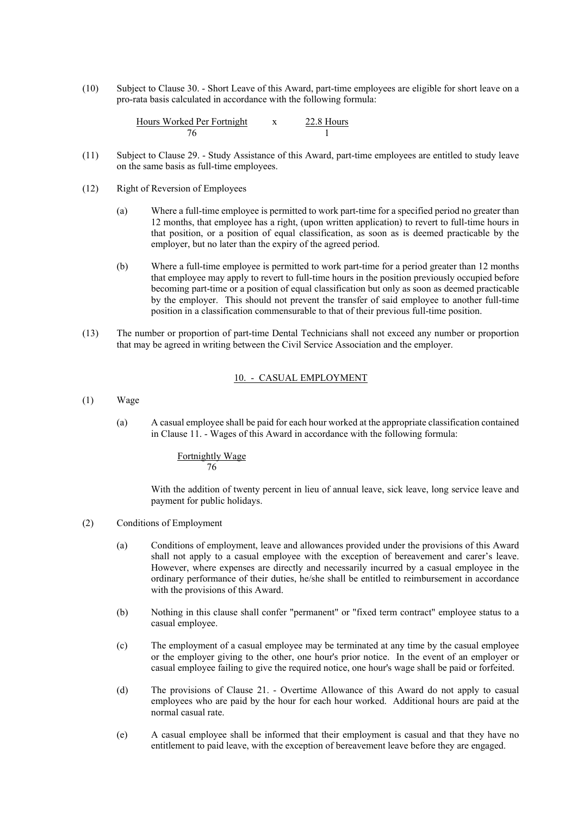(10) Subject to Clause 30. - Short Leave of this Award, part-time employees are eligible for short leave on a pro-rata basis calculated in accordance with the following formula:

| Hours Worked Per Fortnight | 22.8 Hours |
|----------------------------|------------|
|                            |            |

- (11) Subject to Clause 29. Study Assistance of this Award, part-time employees are entitled to study leave on the same basis as full-time employees.
- (12) Right of Reversion of Employees
	- (a) Where a full-time employee is permitted to work part-time for a specified period no greater than 12 months, that employee has a right, (upon written application) to revert to full-time hours in that position, or a position of equal classification, as soon as is deemed practicable by the employer, but no later than the expiry of the agreed period.
	- (b) Where a full-time employee is permitted to work part-time for a period greater than 12 months that employee may apply to revert to full-time hours in the position previously occupied before becoming part-time or a position of equal classification but only as soon as deemed practicable by the employer. This should not prevent the transfer of said employee to another full-time position in a classification commensurable to that of their previous full-time position.
- (13) The number or proportion of part-time Dental Technicians shall not exceed any number or proportion that may be agreed in writing between the Civil Service Association and the employer.

#### 10. - CASUAL EMPLOYMENT

- (1) Wage
	- (a) A casual employee shall be paid for each hour worked at the appropriate classification contained in Clause 11. - Wages of this Award in accordance with the following formula:

Fortnightly Wage 76

With the addition of twenty percent in lieu of annual leave, sick leave, long service leave and payment for public holidays.

- (2) Conditions of Employment
	- (a) Conditions of employment, leave and allowances provided under the provisions of this Award shall not apply to a casual employee with the exception of bereavement and carer's leave. However, where expenses are directly and necessarily incurred by a casual employee in the ordinary performance of their duties, he/she shall be entitled to reimbursement in accordance with the provisions of this Award.
	- (b) Nothing in this clause shall confer "permanent" or "fixed term contract" employee status to a casual employee.
	- (c) The employment of a casual employee may be terminated at any time by the casual employee or the employer giving to the other, one hour's prior notice. In the event of an employer or casual employee failing to give the required notice, one hour's wage shall be paid or forfeited.
	- (d) The provisions of Clause 21. Overtime Allowance of this Award do not apply to casual employees who are paid by the hour for each hour worked. Additional hours are paid at the normal casual rate.
	- (e) A casual employee shall be informed that their employment is casual and that they have no entitlement to paid leave, with the exception of bereavement leave before they are engaged.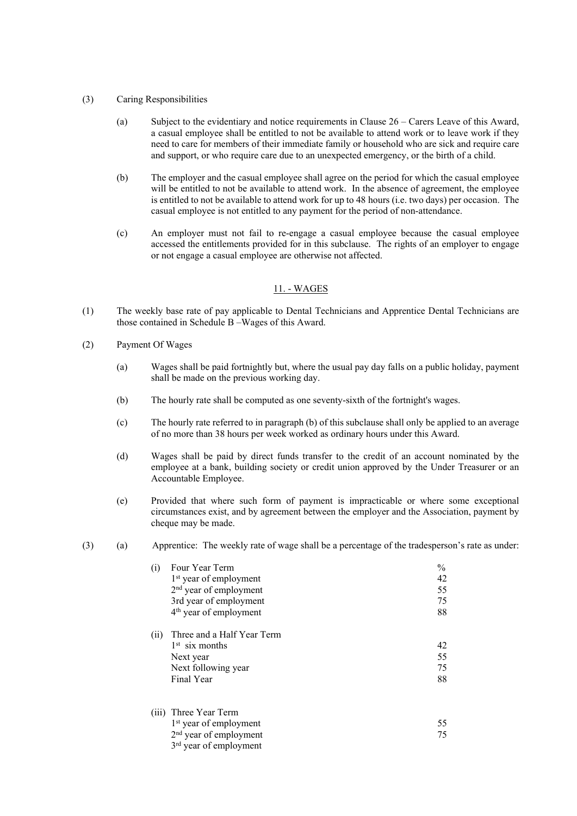### (3) Caring Responsibilities

- (a) Subject to the evidentiary and notice requirements in Clause 26 Carers Leave of this Award, a casual employee shall be entitled to not be available to attend work or to leave work if they need to care for members of their immediate family or household who are sick and require care and support, or who require care due to an unexpected emergency, or the birth of a child.
- (b) The employer and the casual employee shall agree on the period for which the casual employee will be entitled to not be available to attend work. In the absence of agreement, the employee is entitled to not be available to attend work for up to 48 hours (i.e. two days) per occasion. The casual employee is not entitled to any payment for the period of non-attendance.
- (c) An employer must not fail to re-engage a casual employee because the casual employee accessed the entitlements provided for in this subclause. The rights of an employer to engage or not engage a casual employee are otherwise not affected.

#### 11. - WAGES

- (1) The weekly base rate of pay applicable to Dental Technicians and Apprentice Dental Technicians are those contained in Schedule B –Wages of this Award.
- (2) Payment Of Wages
	- (a) Wages shall be paid fortnightly but, where the usual pay day falls on a public holiday, payment shall be made on the previous working day.
	- (b) The hourly rate shall be computed as one seventy-sixth of the fortnight's wages.
	- (c) The hourly rate referred to in paragraph (b) of this subclause shall only be applied to an average of no more than 38 hours per week worked as ordinary hours under this Award.
	- (d) Wages shall be paid by direct funds transfer to the credit of an account nominated by the employee at a bank, building society or credit union approved by the Under Treasurer or an Accountable Employee.
	- (e) Provided that where such form of payment is impracticable or where some exceptional circumstances exist, and by agreement between the employer and the Association, payment by cheque may be made.
- (3) (a) Apprentice: The weekly rate of wage shall be a percentage of the tradesperson's rate as under:

| Four Year Term                     | $\frac{0}{0}$                                                                                                                                                                                           |
|------------------------------------|---------------------------------------------------------------------------------------------------------------------------------------------------------------------------------------------------------|
| 1 <sup>st</sup> year of employment | 42                                                                                                                                                                                                      |
|                                    | 55                                                                                                                                                                                                      |
|                                    | 75                                                                                                                                                                                                      |
| 4 <sup>th</sup> year of employment | 88                                                                                                                                                                                                      |
| Three and a Half Year Term         |                                                                                                                                                                                                         |
| $1st$ six months                   | 42                                                                                                                                                                                                      |
| Next year                          | 55                                                                                                                                                                                                      |
| Next following year                | 75                                                                                                                                                                                                      |
| Final Year                         | 88                                                                                                                                                                                                      |
|                                    |                                                                                                                                                                                                         |
|                                    | 55                                                                                                                                                                                                      |
|                                    | 75                                                                                                                                                                                                      |
|                                    |                                                                                                                                                                                                         |
|                                    | 2 <sup>nd</sup> year of employment<br>3rd year of employment<br>(iii) Three Year Term<br>1 <sup>st</sup> year of employment<br>2 <sup>nd</sup> year of employment<br>3 <sup>rd</sup> year of employment |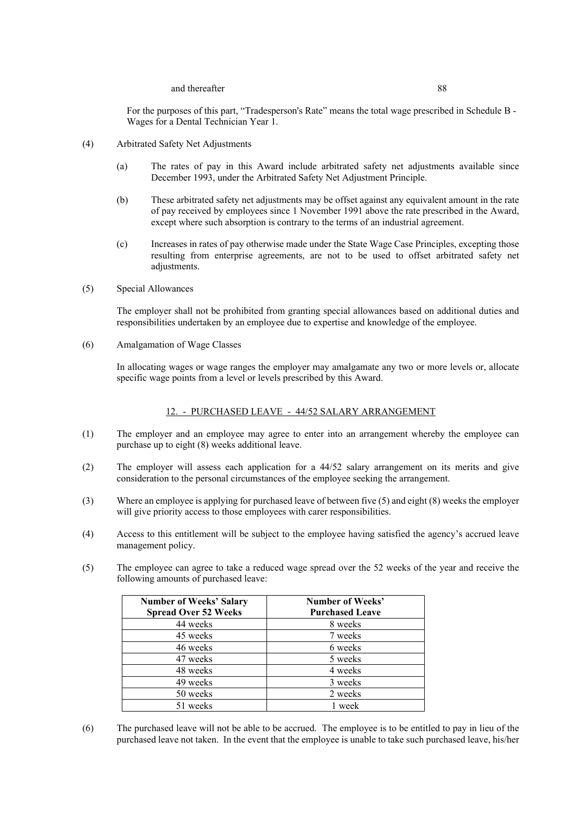#### and thereafter 88

For the purposes of this part, "Tradesperson's Rate" means the total wage prescribed in Schedule B - Wages for a Dental Technician Year 1.

- (4) Arbitrated Safety Net Adjustments
	- (a) The rates of pay in this Award include arbitrated safety net adjustments available since December 1993, under the Arbitrated Safety Net Adjustment Principle.
	- (b) These arbitrated safety net adjustments may be offset against any equivalent amount in the rate of pay received by employees since 1 November 1991 above the rate prescribed in the Award, except where such absorption is contrary to the terms of an industrial agreement.
	- (c) Increases in rates of pay otherwise made under the State Wage Case Principles, excepting those resulting from enterprise agreements, are not to be used to offset arbitrated safety net adjustments.
- (5) Special Allowances

The employer shall not be prohibited from granting special allowances based on additional duties and responsibilities undertaken by an employee due to expertise and knowledge of the employee.

(6) Amalgamation of Wage Classes

In allocating wages or wage ranges the employer may amalgamate any two or more levels or, allocate specific wage points from a level or levels prescribed by this Award.

#### 12. - PURCHASED LEAVE - 44/52 SALARY ARRANGEMENT

- (1) The employer and an employee may agree to enter into an arrangement whereby the employee can purchase up to eight (8) weeks additional leave.
- (2) The employer will assess each application for a 44/52 salary arrangement on its merits and give consideration to the personal circumstances of the employee seeking the arrangement.
- (3) Where an employee is applying for purchased leave of between five (5) and eight (8) weeks the employer will give priority access to those employees with carer responsibilities.
- (4) Access to this entitlement will be subject to the employee having satisfied the agency's accrued leave management policy.
- (5) The employee can agree to take a reduced wage spread over the 52 weeks of the year and receive the following amounts of purchased leave:

| <b>Number of Weeks' Salary</b> | <b>Number of Weeks'</b> |
|--------------------------------|-------------------------|
| <b>Spread Over 52 Weeks</b>    | <b>Purchased Leave</b>  |
| 44 weeks                       | 8 weeks                 |
| 45 weeks                       | 7 weeks                 |
| 46 weeks                       | 6 weeks                 |
| 47 weeks                       | 5 weeks                 |
| 48 weeks                       | 4 weeks                 |
| 49 weeks                       | 3 weeks                 |
| 50 weeks                       | 2 weeks                 |
| 51 weeks                       | 1 week                  |

(6) The purchased leave will not be able to be accrued. The employee is to be entitled to pay in lieu of the purchased leave not taken. In the event that the employee is unable to take such purchased leave, his/her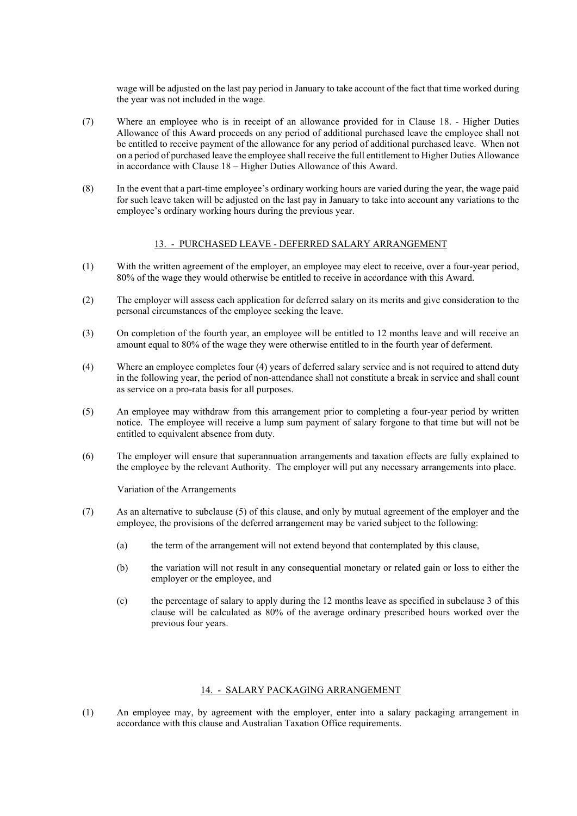wage will be adjusted on the last pay period in January to take account of the fact that time worked during the year was not included in the wage.

- (7) Where an employee who is in receipt of an allowance provided for in Clause 18. Higher Duties Allowance of this Award proceeds on any period of additional purchased leave the employee shall not be entitled to receive payment of the allowance for any period of additional purchased leave. When not on a period of purchased leave the employee shall receive the full entitlement to Higher Duties Allowance in accordance with Clause 18 – Higher Duties Allowance of this Award.
- (8) In the event that a part-time employee's ordinary working hours are varied during the year, the wage paid for such leave taken will be adjusted on the last pay in January to take into account any variations to the employee's ordinary working hours during the previous year.

#### 13. - PURCHASED LEAVE - DEFERRED SALARY ARRANGEMENT

- (1) With the written agreement of the employer, an employee may elect to receive, over a four-year period, 80% of the wage they would otherwise be entitled to receive in accordance with this Award.
- (2) The employer will assess each application for deferred salary on its merits and give consideration to the personal circumstances of the employee seeking the leave.
- (3) On completion of the fourth year, an employee will be entitled to 12 months leave and will receive an amount equal to 80% of the wage they were otherwise entitled to in the fourth year of deferment.
- (4) Where an employee completes four (4) years of deferred salary service and is not required to attend duty in the following year, the period of non-attendance shall not constitute a break in service and shall count as service on a pro-rata basis for all purposes.
- (5) An employee may withdraw from this arrangement prior to completing a four-year period by written notice. The employee will receive a lump sum payment of salary forgone to that time but will not be entitled to equivalent absence from duty.
- (6) The employer will ensure that superannuation arrangements and taxation effects are fully explained to the employee by the relevant Authority. The employer will put any necessary arrangements into place.

Variation of the Arrangements

- (7) As an alternative to subclause (5) of this clause, and only by mutual agreement of the employer and the employee, the provisions of the deferred arrangement may be varied subject to the following:
	- (a) the term of the arrangement will not extend beyond that contemplated by this clause,
	- (b) the variation will not result in any consequential monetary or related gain or loss to either the employer or the employee, and
	- (c) the percentage of salary to apply during the 12 months leave as specified in subclause 3 of this clause will be calculated as 80% of the average ordinary prescribed hours worked over the previous four years.

# 14. - SALARY PACKAGING ARRANGEMENT

(1) An employee may, by agreement with the employer, enter into a salary packaging arrangement in accordance with this clause and Australian Taxation Office requirements.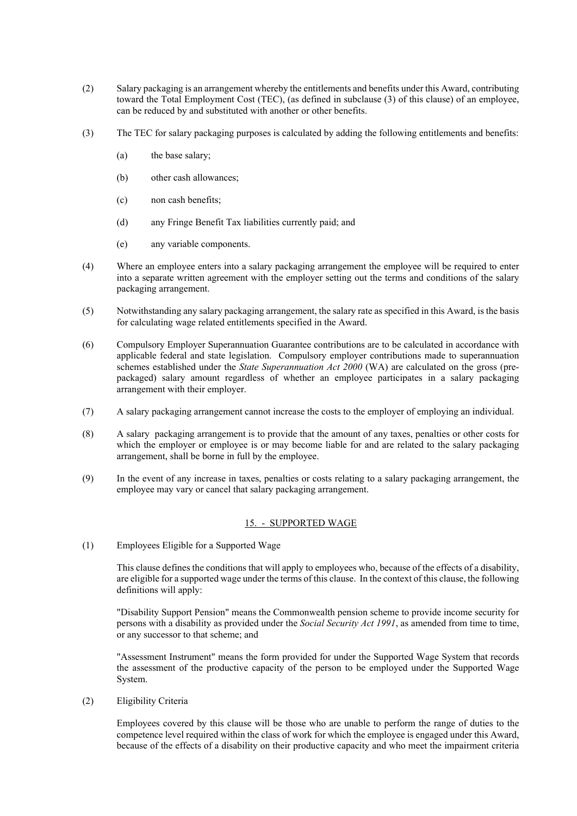- (2) Salary packaging is an arrangement whereby the entitlements and benefits under this Award, contributing toward the Total Employment Cost (TEC), (as defined in subclause (3) of this clause) of an employee, can be reduced by and substituted with another or other benefits.
- (3) The TEC for salary packaging purposes is calculated by adding the following entitlements and benefits:
	- (a) the base salary;
	- (b) other cash allowances;
	- (c) non cash benefits;
	- (d) any Fringe Benefit Tax liabilities currently paid; and
	- (e) any variable components.
- (4) Where an employee enters into a salary packaging arrangement the employee will be required to enter into a separate written agreement with the employer setting out the terms and conditions of the salary packaging arrangement.
- (5) Notwithstanding any salary packaging arrangement, the salary rate as specified in this Award, is the basis for calculating wage related entitlements specified in the Award.
- (6) Compulsory Employer Superannuation Guarantee contributions are to be calculated in accordance with applicable federal and state legislation. Compulsory employer contributions made to superannuation schemes established under the *State Superannuation Act 2000* (WA) are calculated on the gross (prepackaged) salary amount regardless of whether an employee participates in a salary packaging arrangement with their employer.
- (7) A salary packaging arrangement cannot increase the costs to the employer of employing an individual.
- (8) A salary packaging arrangement is to provide that the amount of any taxes, penalties or other costs for which the employer or employee is or may become liable for and are related to the salary packaging arrangement, shall be borne in full by the employee.
- (9) In the event of any increase in taxes, penalties or costs relating to a salary packaging arrangement, the employee may vary or cancel that salary packaging arrangement.

# 15. - SUPPORTED WAGE

(1) Employees Eligible for a Supported Wage

This clause defines the conditions that will apply to employees who, because of the effects of a disability, are eligible for a supported wage under the terms of this clause. In the context of this clause, the following definitions will apply:

"Disability Support Pension" means the Commonwealth pension scheme to provide income security for persons with a disability as provided under the *Social Security Act 1991*, as amended from time to time, or any successor to that scheme; and

"Assessment Instrument" means the form provided for under the Supported Wage System that records the assessment of the productive capacity of the person to be employed under the Supported Wage System.

(2) Eligibility Criteria

Employees covered by this clause will be those who are unable to perform the range of duties to the competence level required within the class of work for which the employee is engaged under this Award, because of the effects of a disability on their productive capacity and who meet the impairment criteria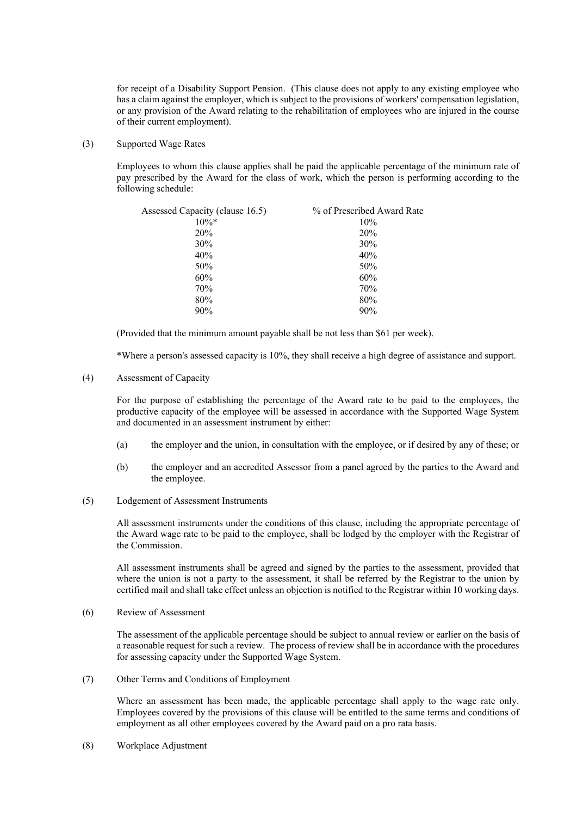for receipt of a Disability Support Pension. (This clause does not apply to any existing employee who has a claim against the employer, which is subject to the provisions of workers' compensation legislation, or any provision of the Award relating to the rehabilitation of employees who are injured in the course of their current employment).

(3) Supported Wage Rates

Employees to whom this clause applies shall be paid the applicable percentage of the minimum rate of pay prescribed by the Award for the class of work, which the person is performing according to the following schedule:

| Assessed Capacity (clause 16.5) | % of Prescribed Award Rate |
|---------------------------------|----------------------------|
| $10\%*$                         | 10%                        |
| 20%                             | 20%                        |
| 30%                             | 30%                        |
| 40%                             | 40%                        |
| 50%                             | 50%                        |
| 60%                             | 60%                        |
| 70%                             | 70%                        |
| 80%                             | 80%                        |
| 90%                             | 90%                        |

(Provided that the minimum amount payable shall be not less than \$61 per week).

\*Where a person's assessed capacity is 10%, they shall receive a high degree of assistance and support.

(4) Assessment of Capacity

For the purpose of establishing the percentage of the Award rate to be paid to the employees, the productive capacity of the employee will be assessed in accordance with the Supported Wage System and documented in an assessment instrument by either:

- (a) the employer and the union, in consultation with the employee, or if desired by any of these; or
- (b) the employer and an accredited Assessor from a panel agreed by the parties to the Award and the employee.
- (5) Lodgement of Assessment Instruments

All assessment instruments under the conditions of this clause, including the appropriate percentage of the Award wage rate to be paid to the employee, shall be lodged by the employer with the Registrar of the Commission.

All assessment instruments shall be agreed and signed by the parties to the assessment, provided that where the union is not a party to the assessment, it shall be referred by the Registrar to the union by certified mail and shall take effect unless an objection is notified to the Registrar within 10 working days.

(6) Review of Assessment

The assessment of the applicable percentage should be subject to annual review or earlier on the basis of a reasonable request for such a review. The process of review shall be in accordance with the procedures for assessing capacity under the Supported Wage System.

(7) Other Terms and Conditions of Employment

Where an assessment has been made, the applicable percentage shall apply to the wage rate only. Employees covered by the provisions of this clause will be entitled to the same terms and conditions of employment as all other employees covered by the Award paid on a pro rata basis.

(8) Workplace Adjustment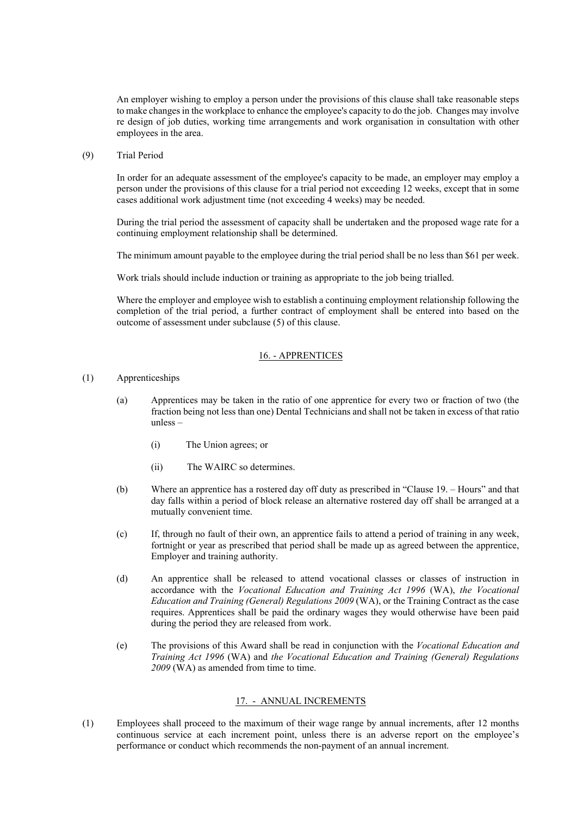An employer wishing to employ a person under the provisions of this clause shall take reasonable steps to make changes in the workplace to enhance the employee's capacity to do the job. Changes may involve re design of job duties, working time arrangements and work organisation in consultation with other employees in the area.

(9) Trial Period

In order for an adequate assessment of the employee's capacity to be made, an employer may employ a person under the provisions of this clause for a trial period not exceeding 12 weeks, except that in some cases additional work adjustment time (not exceeding 4 weeks) may be needed.

During the trial period the assessment of capacity shall be undertaken and the proposed wage rate for a continuing employment relationship shall be determined.

The minimum amount payable to the employee during the trial period shall be no less than \$61 per week.

Work trials should include induction or training as appropriate to the job being trialled.

Where the employer and employee wish to establish a continuing employment relationship following the completion of the trial period, a further contract of employment shall be entered into based on the outcome of assessment under subclause (5) of this clause.

# 16. - APPRENTICES

# (1) Apprenticeships

- (a) Apprentices may be taken in the ratio of one apprentice for every two or fraction of two (the fraction being not less than one) Dental Technicians and shall not be taken in excess of that ratio unless –
	- (i) The Union agrees; or
	- (ii) The WAIRC so determines.
- (b) Where an apprentice has a rostered day off duty as prescribed in "Clause 19. Hours" and that day falls within a period of block release an alternative rostered day off shall be arranged at a mutually convenient time.
- (c) If, through no fault of their own, an apprentice fails to attend a period of training in any week, fortnight or year as prescribed that period shall be made up as agreed between the apprentice, Employer and training authority.
- (d) An apprentice shall be released to attend vocational classes or classes of instruction in accordance with the *Vocational Education and Training Act 1996* (WA), *the Vocational Education and Training (General) Regulations 2009* (WA), or the Training Contract as the case requires. Apprentices shall be paid the ordinary wages they would otherwise have been paid during the period they are released from work.
- (e) The provisions of this Award shall be read in conjunction with the *Vocational Education and Training Act 1996* (WA) and *the Vocational Education and Training (General) Regulations 2009* (WA) as amended from time to time.

# 17. - ANNUAL INCREMENTS

(1) Employees shall proceed to the maximum of their wage range by annual increments, after 12 months continuous service at each increment point, unless there is an adverse report on the employee's performance or conduct which recommends the non-payment of an annual increment.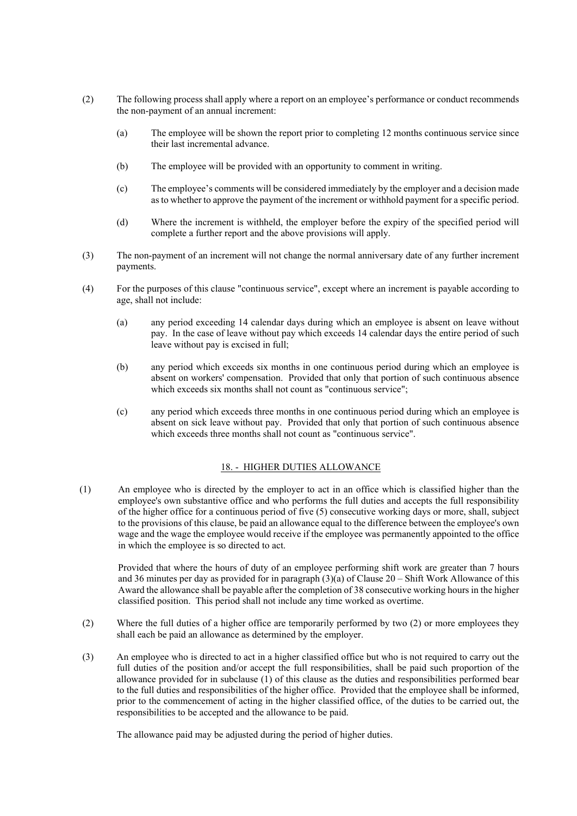- (2) The following process shall apply where a report on an employee's performance or conduct recommends the non-payment of an annual increment:
	- (a) The employee will be shown the report prior to completing 12 months continuous service since their last incremental advance.
	- (b) The employee will be provided with an opportunity to comment in writing.
	- (c) The employee's comments will be considered immediately by the employer and a decision made as to whether to approve the payment of the increment or withhold payment for a specific period.
	- (d) Where the increment is withheld, the employer before the expiry of the specified period will complete a further report and the above provisions will apply.
- (3) The non-payment of an increment will not change the normal anniversary date of any further increment payments.
- (4) For the purposes of this clause "continuous service", except where an increment is payable according to age, shall not include:
	- (a) any period exceeding 14 calendar days during which an employee is absent on leave without pay. In the case of leave without pay which exceeds 14 calendar days the entire period of such leave without pay is excised in full;
	- (b) any period which exceeds six months in one continuous period during which an employee is absent on workers' compensation. Provided that only that portion of such continuous absence which exceeds six months shall not count as "continuous service":
	- (c) any period which exceeds three months in one continuous period during which an employee is absent on sick leave without pay. Provided that only that portion of such continuous absence which exceeds three months shall not count as "continuous service".

# 18. - HIGHER DUTIES ALLOWANCE

(1) An employee who is directed by the employer to act in an office which is classified higher than the employee's own substantive office and who performs the full duties and accepts the full responsibility of the higher office for a continuous period of five (5) consecutive working days or more, shall, subject to the provisions of this clause, be paid an allowance equal to the difference between the employee's own wage and the wage the employee would receive if the employee was permanently appointed to the office in which the employee is so directed to act.

Provided that where the hours of duty of an employee performing shift work are greater than 7 hours and 36 minutes per day as provided for in paragraph (3)(a) of Clause 20 – Shift Work Allowance of this Award the allowance shall be payable after the completion of 38 consecutive working hours in the higher classified position. This period shall not include any time worked as overtime.

- (2) Where the full duties of a higher office are temporarily performed by two (2) or more employees they shall each be paid an allowance as determined by the employer.
- (3) An employee who is directed to act in a higher classified office but who is not required to carry out the full duties of the position and/or accept the full responsibilities, shall be paid such proportion of the allowance provided for in subclause (1) of this clause as the duties and responsibilities performed bear to the full duties and responsibilities of the higher office. Provided that the employee shall be informed, prior to the commencement of acting in the higher classified office, of the duties to be carried out, the responsibilities to be accepted and the allowance to be paid.

The allowance paid may be adjusted during the period of higher duties.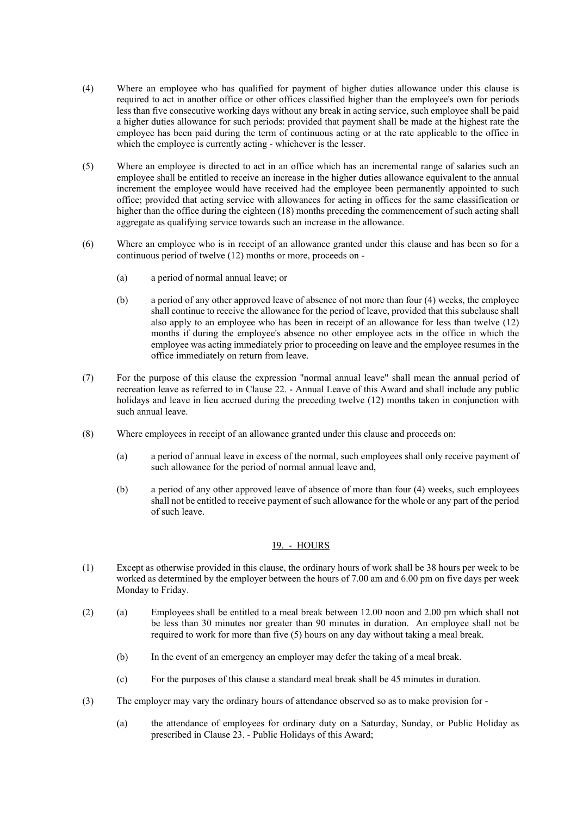- (4) Where an employee who has qualified for payment of higher duties allowance under this clause is required to act in another office or other offices classified higher than the employee's own for periods less than five consecutive working days without any break in acting service, such employee shall be paid a higher duties allowance for such periods: provided that payment shall be made at the highest rate the employee has been paid during the term of continuous acting or at the rate applicable to the office in which the employee is currently acting - whichever is the lesser.
- (5) Where an employee is directed to act in an office which has an incremental range of salaries such an employee shall be entitled to receive an increase in the higher duties allowance equivalent to the annual increment the employee would have received had the employee been permanently appointed to such office; provided that acting service with allowances for acting in offices for the same classification or higher than the office during the eighteen (18) months preceding the commencement of such acting shall aggregate as qualifying service towards such an increase in the allowance.
- (6) Where an employee who is in receipt of an allowance granted under this clause and has been so for a continuous period of twelve (12) months or more, proceeds on -
	- (a) a period of normal annual leave; or
	- (b) a period of any other approved leave of absence of not more than four (4) weeks, the employee shall continue to receive the allowance for the period of leave, provided that this subclause shall also apply to an employee who has been in receipt of an allowance for less than twelve (12) months if during the employee's absence no other employee acts in the office in which the employee was acting immediately prior to proceeding on leave and the employee resumes in the office immediately on return from leave.
- (7) For the purpose of this clause the expression "normal annual leave" shall mean the annual period of recreation leave as referred to in Clause 22. - Annual Leave of this Award and shall include any public holidays and leave in lieu accrued during the preceding twelve (12) months taken in conjunction with such annual leave.
- (8) Where employees in receipt of an allowance granted under this clause and proceeds on:
	- (a) a period of annual leave in excess of the normal, such employees shall only receive payment of such allowance for the period of normal annual leave and,
	- (b) a period of any other approved leave of absence of more than four (4) weeks, such employees shall not be entitled to receive payment of such allowance for the whole or any part of the period of such leave.

# 19. - HOURS

- (1) Except as otherwise provided in this clause, the ordinary hours of work shall be 38 hours per week to be worked as determined by the employer between the hours of 7.00 am and 6.00 pm on five days per week Monday to Friday.
- (2) (a) Employees shall be entitled to a meal break between 12.00 noon and 2.00 pm which shall not be less than 30 minutes nor greater than 90 minutes in duration. An employee shall not be required to work for more than five (5) hours on any day without taking a meal break.
	- (b) In the event of an emergency an employer may defer the taking of a meal break.
	- (c) For the purposes of this clause a standard meal break shall be 45 minutes in duration.
- (3) The employer may vary the ordinary hours of attendance observed so as to make provision for
	- (a) the attendance of employees for ordinary duty on a Saturday, Sunday, or Public Holiday as prescribed in Clause 23. - Public Holidays of this Award;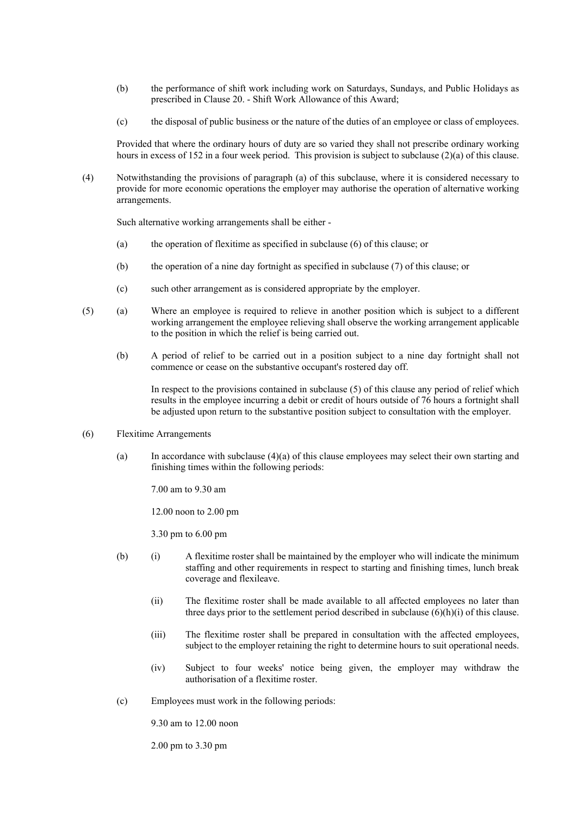- (b) the performance of shift work including work on Saturdays, Sundays, and Public Holidays as prescribed in Clause 20. - Shift Work Allowance of this Award;
- (c) the disposal of public business or the nature of the duties of an employee or class of employees.

Provided that where the ordinary hours of duty are so varied they shall not prescribe ordinary working hours in excess of 152 in a four week period. This provision is subject to subclause (2)(a) of this clause.

(4) Notwithstanding the provisions of paragraph (a) of this subclause, where it is considered necessary to provide for more economic operations the employer may authorise the operation of alternative working arrangements.

Such alternative working arrangements shall be either -

- (a) the operation of flexitime as specified in subclause (6) of this clause; or
- (b) the operation of a nine day fortnight as specified in subclause (7) of this clause; or
- (c) such other arrangement as is considered appropriate by the employer.
- (5) (a) Where an employee is required to relieve in another position which is subject to a different working arrangement the employee relieving shall observe the working arrangement applicable to the position in which the relief is being carried out.
	- (b) A period of relief to be carried out in a position subject to a nine day fortnight shall not commence or cease on the substantive occupant's rostered day off.

In respect to the provisions contained in subclause (5) of this clause any period of relief which results in the employee incurring a debit or credit of hours outside of 76 hours a fortnight shall be adjusted upon return to the substantive position subject to consultation with the employer.

#### (6) Flexitime Arrangements

(a) In accordance with subclause (4)(a) of this clause employees may select their own starting and finishing times within the following periods:

7.00 am to 9.30 am

12.00 noon to 2.00 pm

3.30 pm to 6.00 pm

- (b) (i) A flexitime roster shall be maintained by the employer who will indicate the minimum staffing and other requirements in respect to starting and finishing times, lunch break coverage and flexileave.
	- (ii) The flexitime roster shall be made available to all affected employees no later than three days prior to the settlement period described in subclause  $(6)(h)(i)$  of this clause.
	- (iii) The flexitime roster shall be prepared in consultation with the affected employees, subject to the employer retaining the right to determine hours to suit operational needs.
	- (iv) Subject to four weeks' notice being given, the employer may withdraw the authorisation of a flexitime roster.
- (c) Employees must work in the following periods:

9.30 am to 12.00 noon

2.00 pm to 3.30 pm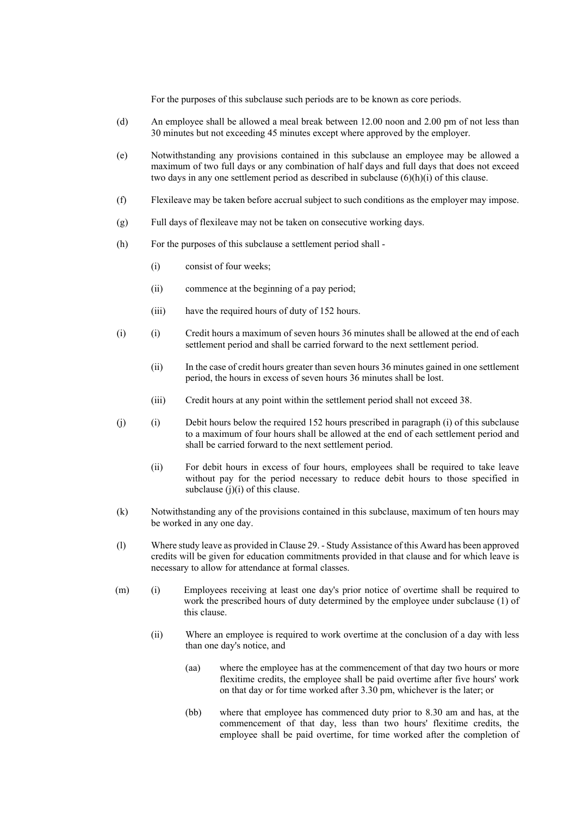For the purposes of this subclause such periods are to be known as core periods.

- (d) An employee shall be allowed a meal break between 12.00 noon and 2.00 pm of not less than 30 minutes but not exceeding 45 minutes except where approved by the employer.
- (e) Notwithstanding any provisions contained in this subclause an employee may be allowed a maximum of two full days or any combination of half days and full days that does not exceed two days in any one settlement period as described in subclause (6)(h)(i) of this clause.
- (f) Flexileave may be taken before accrual subject to such conditions as the employer may impose.
- (g) Full days of flexileave may not be taken on consecutive working days.
- (h) For the purposes of this subclause a settlement period shall
	- (i) consist of four weeks;
	- (ii) commence at the beginning of a pay period;
	- (iii) have the required hours of duty of 152 hours.
- (i) (i) Credit hours a maximum of seven hours 36 minutes shall be allowed at the end of each settlement period and shall be carried forward to the next settlement period.
	- (ii) In the case of credit hours greater than seven hours 36 minutes gained in one settlement period, the hours in excess of seven hours 36 minutes shall be lost.
	- (iii) Credit hours at any point within the settlement period shall not exceed 38.
- (j) (i) Debit hours below the required 152 hours prescribed in paragraph (i) of this subclause to a maximum of four hours shall be allowed at the end of each settlement period and shall be carried forward to the next settlement period.
	- (ii) For debit hours in excess of four hours, employees shall be required to take leave without pay for the period necessary to reduce debit hours to those specified in subclause (j)(i) of this clause.
- (k) Notwithstanding any of the provisions contained in this subclause, maximum of ten hours may be worked in any one day.
- (l) Where study leave as provided in Clause 29. Study Assistance of this Award has been approved credits will be given for education commitments provided in that clause and for which leave is necessary to allow for attendance at formal classes.
- (m) (i) Employees receiving at least one day's prior notice of overtime shall be required to work the prescribed hours of duty determined by the employee under subclause (1) of this clause.
	- (ii) Where an employee is required to work overtime at the conclusion of a day with less than one day's notice, and
		- (aa) where the employee has at the commencement of that day two hours or more flexitime credits, the employee shall be paid overtime after five hours' work on that day or for time worked after 3.30 pm, whichever is the later; or
		- (bb) where that employee has commenced duty prior to 8.30 am and has, at the commencement of that day, less than two hours' flexitime credits, the employee shall be paid overtime, for time worked after the completion of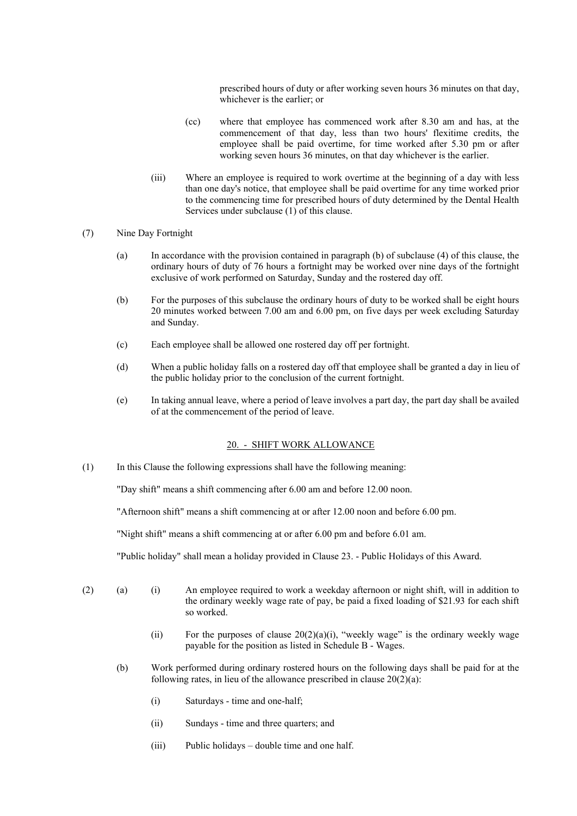prescribed hours of duty or after working seven hours 36 minutes on that day, whichever is the earlier; or

- (cc) where that employee has commenced work after 8.30 am and has, at the commencement of that day, less than two hours' flexitime credits, the employee shall be paid overtime, for time worked after 5.30 pm or after working seven hours 36 minutes, on that day whichever is the earlier.
- (iii) Where an employee is required to work overtime at the beginning of a day with less than one day's notice, that employee shall be paid overtime for any time worked prior to the commencing time for prescribed hours of duty determined by the Dental Health Services under subclause (1) of this clause.
- (7) Nine Day Fortnight
	- (a) In accordance with the provision contained in paragraph (b) of subclause (4) of this clause, the ordinary hours of duty of 76 hours a fortnight may be worked over nine days of the fortnight exclusive of work performed on Saturday, Sunday and the rostered day off.
	- (b) For the purposes of this subclause the ordinary hours of duty to be worked shall be eight hours 20 minutes worked between 7.00 am and 6.00 pm, on five days per week excluding Saturday and Sunday.
	- (c) Each employee shall be allowed one rostered day off per fortnight.
	- (d) When a public holiday falls on a rostered day off that employee shall be granted a day in lieu of the public holiday prior to the conclusion of the current fortnight.
	- (e) In taking annual leave, where a period of leave involves a part day, the part day shall be availed of at the commencement of the period of leave.

#### 20. - SHIFT WORK ALLOWANCE

(1) In this Clause the following expressions shall have the following meaning:

"Day shift" means a shift commencing after 6.00 am and before 12.00 noon.

"Afternoon shift" means a shift commencing at or after 12.00 noon and before 6.00 pm.

"Night shift" means a shift commencing at or after 6.00 pm and before 6.01 am.

"Public holiday" shall mean a holiday provided in Clause 23. - Public Holidays of this Award.

- (2) (a) (i) An employee required to work a weekday afternoon or night shift, will in addition to the ordinary weekly wage rate of pay, be paid a fixed loading of \$21.93 for each shift so worked.
	- (ii) For the purposes of clause  $20(2)(a)(i)$ , "weekly wage" is the ordinary weekly wage payable for the position as listed in Schedule B - Wages.
	- (b) Work performed during ordinary rostered hours on the following days shall be paid for at the following rates, in lieu of the allowance prescribed in clause  $20(2)(a)$ :
		- (i) Saturdays time and one-half;
		- (ii) Sundays time and three quarters; and
		- (iii) Public holidays double time and one half.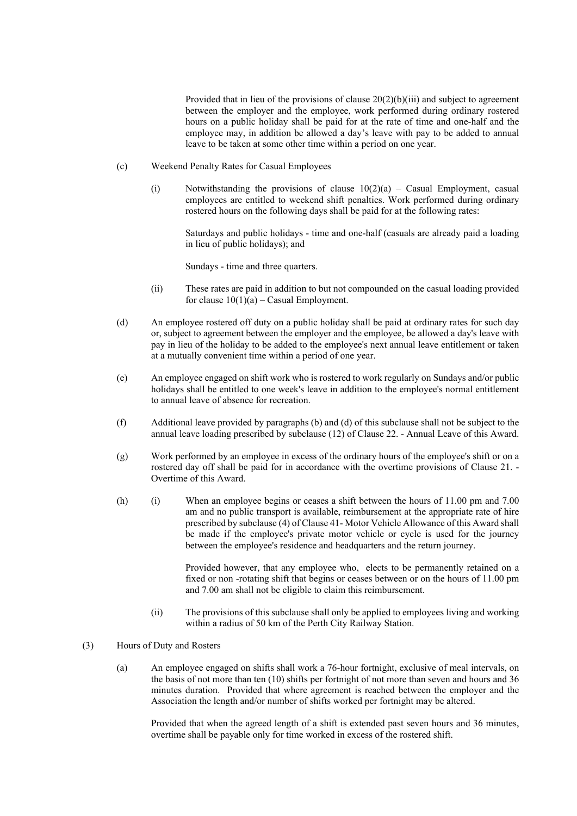Provided that in lieu of the provisions of clause 20(2)(b)(iii) and subject to agreement between the employer and the employee, work performed during ordinary rostered hours on a public holiday shall be paid for at the rate of time and one-half and the employee may, in addition be allowed a day's leave with pay to be added to annual leave to be taken at some other time within a period on one year.

- (c) Weekend Penalty Rates for Casual Employees
	- (i) Notwithstanding the provisions of clause  $10(2)(a)$  Casual Employment, casual employees are entitled to weekend shift penalties. Work performed during ordinary rostered hours on the following days shall be paid for at the following rates:

Saturdays and public holidays - time and one-half (casuals are already paid a loading in lieu of public holidays); and

Sundays - time and three quarters.

- (ii) These rates are paid in addition to but not compounded on the casual loading provided for clause  $10(1)(a)$  – Casual Employment.
- (d) An employee rostered off duty on a public holiday shall be paid at ordinary rates for such day or, subject to agreement between the employer and the employee, be allowed a day's leave with pay in lieu of the holiday to be added to the employee's next annual leave entitlement or taken at a mutually convenient time within a period of one year.
- (e) An employee engaged on shift work who is rostered to work regularly on Sundays and/or public holidays shall be entitled to one week's leave in addition to the employee's normal entitlement to annual leave of absence for recreation.
- (f) Additional leave provided by paragraphs (b) and (d) of this subclause shall not be subject to the annual leave loading prescribed by subclause (12) of Clause 22. - Annual Leave of this Award.
- (g) Work performed by an employee in excess of the ordinary hours of the employee's shift or on a rostered day off shall be paid for in accordance with the overtime provisions of Clause 21. - Overtime of this Award.
- (h) (i) When an employee begins or ceases a shift between the hours of 11.00 pm and 7.00 am and no public transport is available, reimbursement at the appropriate rate of hire prescribed by subclause (4) of Clause 41- Motor Vehicle Allowance of this Award shall be made if the employee's private motor vehicle or cycle is used for the journey between the employee's residence and headquarters and the return journey.

Provided however, that any employee who, elects to be permanently retained on a fixed or non -rotating shift that begins or ceases between or on the hours of 11.00 pm and 7.00 am shall not be eligible to claim this reimbursement.

- (ii) The provisions of this subclause shall only be applied to employees living and working within a radius of 50 km of the Perth City Railway Station.
- (3) Hours of Duty and Rosters
	- (a) An employee engaged on shifts shall work a 76-hour fortnight, exclusive of meal intervals, on the basis of not more than ten (10) shifts per fortnight of not more than seven and hours and 36 minutes duration. Provided that where agreement is reached between the employer and the Association the length and/or number of shifts worked per fortnight may be altered.

Provided that when the agreed length of a shift is extended past seven hours and 36 minutes, overtime shall be payable only for time worked in excess of the rostered shift.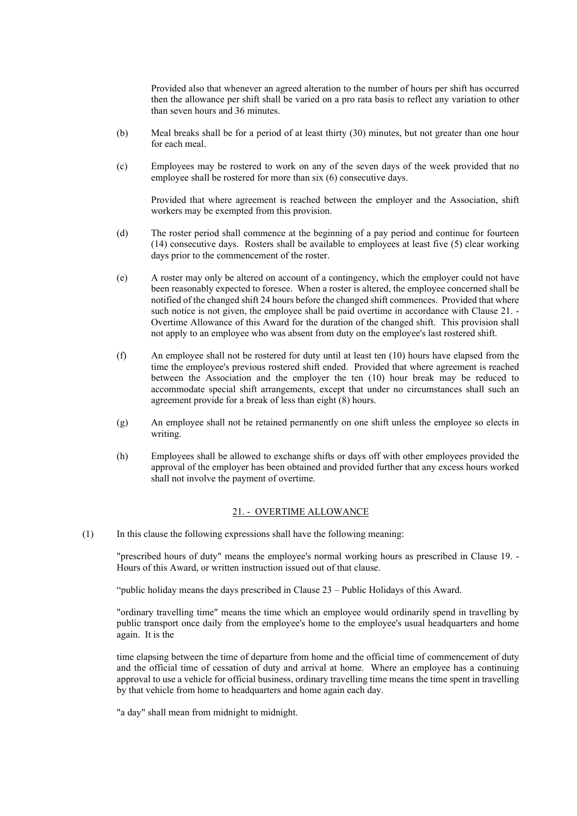Provided also that whenever an agreed alteration to the number of hours per shift has occurred then the allowance per shift shall be varied on a pro rata basis to reflect any variation to other than seven hours and 36 minutes.

- (b) Meal breaks shall be for a period of at least thirty (30) minutes, but not greater than one hour for each meal.
- (c) Employees may be rostered to work on any of the seven days of the week provided that no employee shall be rostered for more than six (6) consecutive days.

Provided that where agreement is reached between the employer and the Association, shift workers may be exempted from this provision.

- (d) The roster period shall commence at the beginning of a pay period and continue for fourteen (14) consecutive days. Rosters shall be available to employees at least five (5) clear working days prior to the commencement of the roster.
- (e) A roster may only be altered on account of a contingency, which the employer could not have been reasonably expected to foresee. When a roster is altered, the employee concerned shall be notified of the changed shift 24 hours before the changed shift commences. Provided that where such notice is not given, the employee shall be paid overtime in accordance with Clause 21. -Overtime Allowance of this Award for the duration of the changed shift. This provision shall not apply to an employee who was absent from duty on the employee's last rostered shift.
- (f) An employee shall not be rostered for duty until at least ten (10) hours have elapsed from the time the employee's previous rostered shift ended. Provided that where agreement is reached between the Association and the employer the ten (10) hour break may be reduced to accommodate special shift arrangements, except that under no circumstances shall such an agreement provide for a break of less than eight (8) hours.
- (g) An employee shall not be retained permanently on one shift unless the employee so elects in writing.
- (h) Employees shall be allowed to exchange shifts or days off with other employees provided the approval of the employer has been obtained and provided further that any excess hours worked shall not involve the payment of overtime.

#### 21. - OVERTIME ALLOWANCE

(1) In this clause the following expressions shall have the following meaning:

"prescribed hours of duty" means the employee's normal working hours as prescribed in Clause 19. - Hours of this Award, or written instruction issued out of that clause.

"public holiday means the days prescribed in Clause 23 – Public Holidays of this Award.

"ordinary travelling time" means the time which an employee would ordinarily spend in travelling by public transport once daily from the employee's home to the employee's usual headquarters and home again. It is the

time elapsing between the time of departure from home and the official time of commencement of duty and the official time of cessation of duty and arrival at home. Where an employee has a continuing approval to use a vehicle for official business, ordinary travelling time means the time spent in travelling by that vehicle from home to headquarters and home again each day.

"a day" shall mean from midnight to midnight.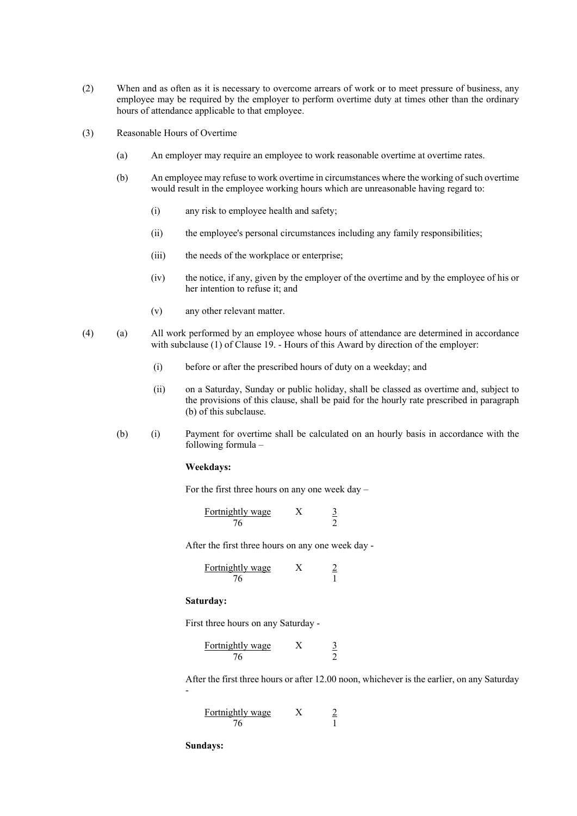- (2) When and as often as it is necessary to overcome arrears of work or to meet pressure of business, any employee may be required by the employer to perform overtime duty at times other than the ordinary hours of attendance applicable to that employee.
- (3) Reasonable Hours of Overtime
	- (a) An employer may require an employee to work reasonable overtime at overtime rates.
	- (b) An employee may refuse to work overtime in circumstances where the working of such overtime would result in the employee working hours which are unreasonable having regard to:
		- (i) any risk to employee health and safety;
		- (ii) the employee's personal circumstances including any family responsibilities;
		- (iii) the needs of the workplace or enterprise;
		- (iv) the notice, if any, given by the employer of the overtime and by the employee of his or her intention to refuse it; and
		- (v) any other relevant matter.
- (4) (a) All work performed by an employee whose hours of attendance are determined in accordance with subclause (1) of Clause 19. - Hours of this Award by direction of the employer:
	- (i) before or after the prescribed hours of duty on a weekday; and
	- (ii) on a Saturday, Sunday or public holiday, shall be classed as overtime and, subject to the provisions of this clause, shall be paid for the hourly rate prescribed in paragraph (b) of this subclause.
	- (b) (i) Payment for overtime shall be calculated on an hourly basis in accordance with the following formula –

#### **Weekdays:**

For the first three hours on any one week day –

Fortnightly wage 76  $\boldsymbol{X}$  $\frac{3}{2}$ 

After the first three hours on any one week day -

Fortnightly wage 76  $\ensuremath{\textnormal{\textbf{X}}}$  $\frac{2}{1}$ 

#### **Saturday:**

First three hours on any Saturday -

| Fortnightly wage |  |
|------------------|--|
| 76               |  |

After the first three hours or after 12.00 noon, whichever is the earlier, on any Saturday -

| Fortnightly wage |  |
|------------------|--|
| 76               |  |

**Sundays:**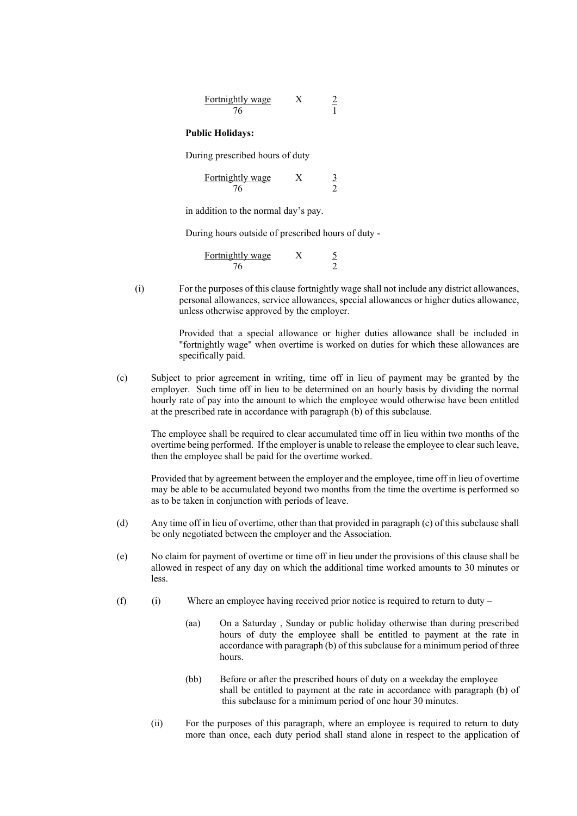| Fortnightly wage |  |
|------------------|--|
| 76               |  |

#### **Public Holidays:**

During prescribed hours of duty

| Fortnightly wage |  |
|------------------|--|
| 76               |  |

in addition to the normal day's pay.

During hours outside of prescribed hours of duty -

| Fortnightly wage |  |
|------------------|--|
| 76               |  |

(i) For the purposes of this clause fortnightly wage shall not include any district allowances, personal allowances, service allowances, special allowances or higher duties allowance, unless otherwise approved by the employer.

> Provided that a special allowance or higher duties allowance shall be included in "fortnightly wage" when overtime is worked on duties for which these allowances are specifically paid.

(c) Subject to prior agreement in writing, time off in lieu of payment may be granted by the employer. Such time off in lieu to be determined on an hourly basis by dividing the normal hourly rate of pay into the amount to which the employee would otherwise have been entitled at the prescribed rate in accordance with paragraph (b) of this subclause.

The employee shall be required to clear accumulated time off in lieu within two months of the overtime being performed. If the employer is unable to release the employee to clear such leave, then the employee shall be paid for the overtime worked.

Provided that by agreement between the employer and the employee, time off in lieu of overtime may be able to be accumulated beyond two months from the time the overtime is performed so as to be taken in conjunction with periods of leave.

- (d) Any time off in lieu of overtime, other than that provided in paragraph (c) of this subclause shall be only negotiated between the employer and the Association.
- (e) No claim for payment of overtime or time off in lieu under the provisions of this clause shall be allowed in respect of any day on which the additional time worked amounts to 30 minutes or less.
- (f) (i) Where an employee having received prior notice is required to return to duty
	- (aa) On a Saturday , Sunday or public holiday otherwise than during prescribed hours of duty the employee shall be entitled to payment at the rate in accordance with paragraph (b) of this subclause for a minimum period of three hours.
	- (bb) Before or after the prescribed hours of duty on a weekday the employee shall be entitled to payment at the rate in accordance with paragraph (b) of this subclause for a minimum period of one hour 30 minutes.
	- (ii) For the purposes of this paragraph, where an employee is required to return to duty more than once, each duty period shall stand alone in respect to the application of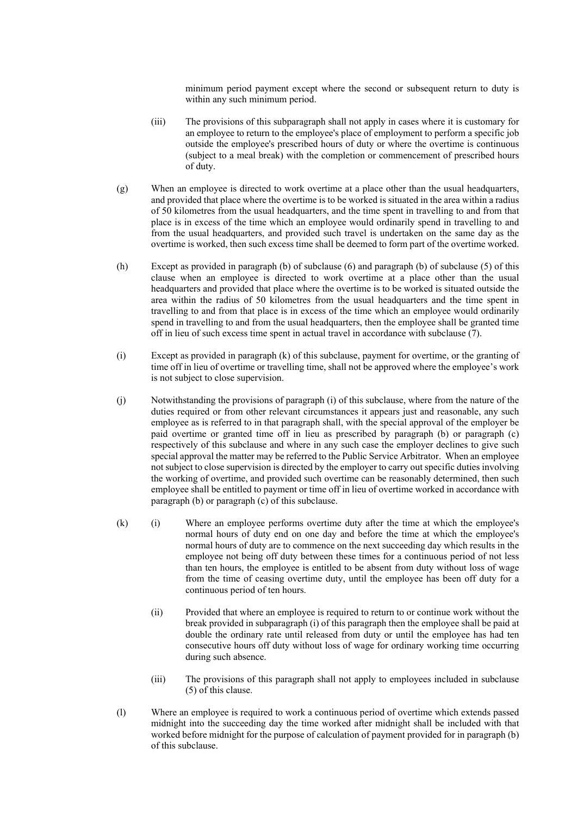minimum period payment except where the second or subsequent return to duty is within any such minimum period.

- (iii) The provisions of this subparagraph shall not apply in cases where it is customary for an employee to return to the employee's place of employment to perform a specific job outside the employee's prescribed hours of duty or where the overtime is continuous (subject to a meal break) with the completion or commencement of prescribed hours of duty.
- (g) When an employee is directed to work overtime at a place other than the usual headquarters, and provided that place where the overtime is to be worked is situated in the area within a radius of 50 kilometres from the usual headquarters, and the time spent in travelling to and from that place is in excess of the time which an employee would ordinarily spend in travelling to and from the usual headquarters, and provided such travel is undertaken on the same day as the overtime is worked, then such excess time shall be deemed to form part of the overtime worked.
- (h) Except as provided in paragraph (b) of subclause (6) and paragraph (b) of subclause (5) of this clause when an employee is directed to work overtime at a place other than the usual headquarters and provided that place where the overtime is to be worked is situated outside the area within the radius of 50 kilometres from the usual headquarters and the time spent in travelling to and from that place is in excess of the time which an employee would ordinarily spend in travelling to and from the usual headquarters, then the employee shall be granted time off in lieu of such excess time spent in actual travel in accordance with subclause (7).
- (i) Except as provided in paragraph (k) of this subclause, payment for overtime, or the granting of time off in lieu of overtime or travelling time, shall not be approved where the employee's work is not subject to close supervision.
- (j) Notwithstanding the provisions of paragraph (i) of this subclause, where from the nature of the duties required or from other relevant circumstances it appears just and reasonable, any such employee as is referred to in that paragraph shall, with the special approval of the employer be paid overtime or granted time off in lieu as prescribed by paragraph (b) or paragraph (c) respectively of this subclause and where in any such case the employer declines to give such special approval the matter may be referred to the Public Service Arbitrator. When an employee not subject to close supervision is directed by the employer to carry out specific duties involving the working of overtime, and provided such overtime can be reasonably determined, then such employee shall be entitled to payment or time off in lieu of overtime worked in accordance with paragraph (b) or paragraph (c) of this subclause.
- (k) (i) Where an employee performs overtime duty after the time at which the employee's normal hours of duty end on one day and before the time at which the employee's normal hours of duty are to commence on the next succeeding day which results in the employee not being off duty between these times for a continuous period of not less than ten hours, the employee is entitled to be absent from duty without loss of wage from the time of ceasing overtime duty, until the employee has been off duty for a continuous period of ten hours.
	- (ii) Provided that where an employee is required to return to or continue work without the break provided in subparagraph (i) of this paragraph then the employee shall be paid at double the ordinary rate until released from duty or until the employee has had ten consecutive hours off duty without loss of wage for ordinary working time occurring during such absence.
	- (iii) The provisions of this paragraph shall not apply to employees included in subclause (5) of this clause.
- (l) Where an employee is required to work a continuous period of overtime which extends passed midnight into the succeeding day the time worked after midnight shall be included with that worked before midnight for the purpose of calculation of payment provided for in paragraph (b) of this subclause.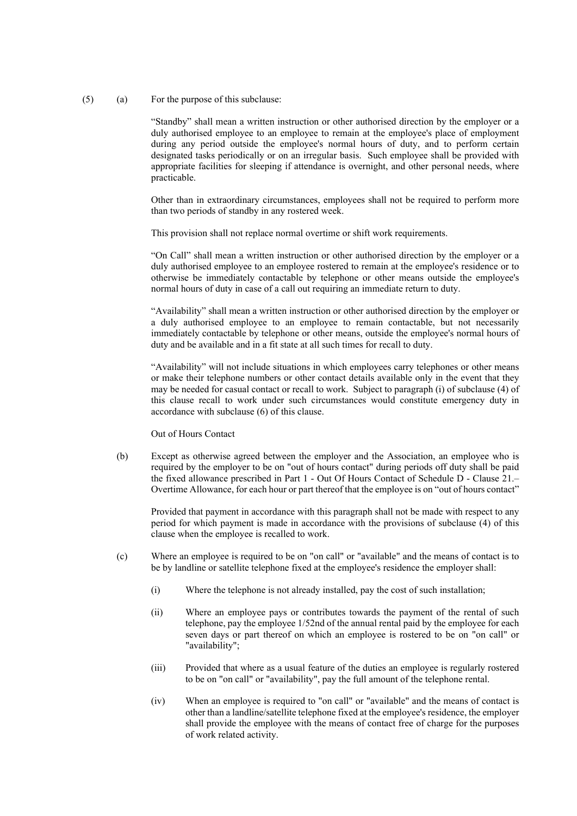(5) (a) For the purpose of this subclause:

"Standby" shall mean a written instruction or other authorised direction by the employer or a duly authorised employee to an employee to remain at the employee's place of employment during any period outside the employee's normal hours of duty, and to perform certain designated tasks periodically or on an irregular basis. Such employee shall be provided with appropriate facilities for sleeping if attendance is overnight, and other personal needs, where practicable.

Other than in extraordinary circumstances, employees shall not be required to perform more than two periods of standby in any rostered week.

This provision shall not replace normal overtime or shift work requirements.

"On Call" shall mean a written instruction or other authorised direction by the employer or a duly authorised employee to an employee rostered to remain at the employee's residence or to otherwise be immediately contactable by telephone or other means outside the employee's normal hours of duty in case of a call out requiring an immediate return to duty.

"Availability" shall mean a written instruction or other authorised direction by the employer or a duly authorised employee to an employee to remain contactable, but not necessarily immediately contactable by telephone or other means, outside the employee's normal hours of duty and be available and in a fit state at all such times for recall to duty.

"Availability" will not include situations in which employees carry telephones or other means or make their telephone numbers or other contact details available only in the event that they may be needed for casual contact or recall to work. Subject to paragraph (i) of subclause (4) of this clause recall to work under such circumstances would constitute emergency duty in accordance with subclause (6) of this clause.

#### Out of Hours Contact

(b) Except as otherwise agreed between the employer and the Association, an employee who is required by the employer to be on "out of hours contact" during periods off duty shall be paid the fixed allowance prescribed in Part 1 - Out Of Hours Contact of Schedule D - Clause 21.– Overtime Allowance, for each hour or part thereof that the employee is on "out of hours contact"

Provided that payment in accordance with this paragraph shall not be made with respect to any period for which payment is made in accordance with the provisions of subclause (4) of this clause when the employee is recalled to work.

- (c) Where an employee is required to be on "on call" or "available" and the means of contact is to be by landline or satellite telephone fixed at the employee's residence the employer shall:
	- (i) Where the telephone is not already installed, pay the cost of such installation;
	- (ii) Where an employee pays or contributes towards the payment of the rental of such telephone, pay the employee 1/52nd of the annual rental paid by the employee for each seven days or part thereof on which an employee is rostered to be on "on call" or "availability";
	- (iii) Provided that where as a usual feature of the duties an employee is regularly rostered to be on "on call" or "availability", pay the full amount of the telephone rental.
	- (iv) When an employee is required to "on call" or "available" and the means of contact is other than a landline/satellite telephone fixed at the employee's residence, the employer shall provide the employee with the means of contact free of charge for the purposes of work related activity.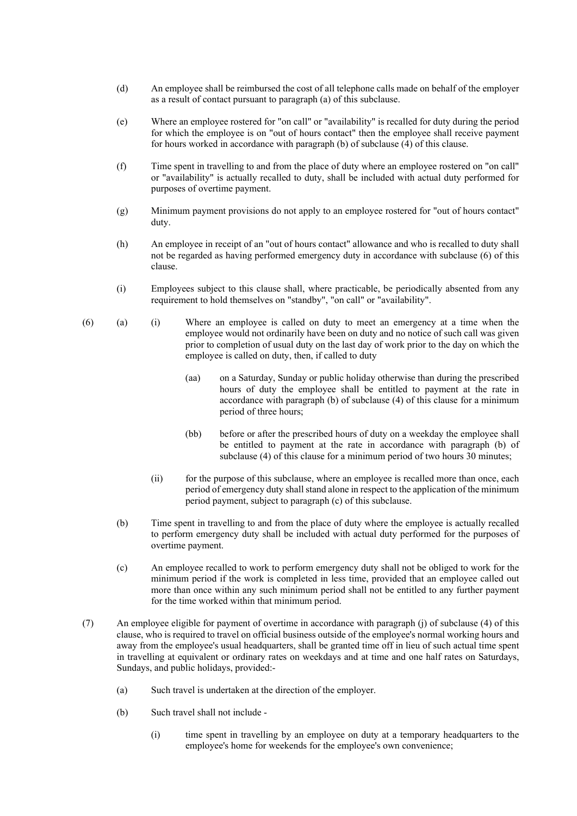- (d) An employee shall be reimbursed the cost of all telephone calls made on behalf of the employer as a result of contact pursuant to paragraph (a) of this subclause.
- (e) Where an employee rostered for "on call" or "availability" is recalled for duty during the period for which the employee is on "out of hours contact" then the employee shall receive payment for hours worked in accordance with paragraph (b) of subclause (4) of this clause.
- (f) Time spent in travelling to and from the place of duty where an employee rostered on "on call" or "availability" is actually recalled to duty, shall be included with actual duty performed for purposes of overtime payment.
- (g) Minimum payment provisions do not apply to an employee rostered for "out of hours contact" duty.
- (h) An employee in receipt of an "out of hours contact" allowance and who is recalled to duty shall not be regarded as having performed emergency duty in accordance with subclause (6) of this clause.
- (i) Employees subject to this clause shall, where practicable, be periodically absented from any requirement to hold themselves on "standby", "on call" or "availability".
- (6) (a) (i) Where an employee is called on duty to meet an emergency at a time when the employee would not ordinarily have been on duty and no notice of such call was given prior to completion of usual duty on the last day of work prior to the day on which the employee is called on duty, then, if called to duty
	- (aa) on a Saturday, Sunday or public holiday otherwise than during the prescribed hours of duty the employee shall be entitled to payment at the rate in accordance with paragraph (b) of subclause (4) of this clause for a minimum period of three hours;
	- (bb) before or after the prescribed hours of duty on a weekday the employee shall be entitled to payment at the rate in accordance with paragraph (b) of subclause (4) of this clause for a minimum period of two hours 30 minutes;
	- (ii) for the purpose of this subclause, where an employee is recalled more than once, each period of emergency duty shall stand alone in respect to the application of the minimum period payment, subject to paragraph (c) of this subclause.
	- (b) Time spent in travelling to and from the place of duty where the employee is actually recalled to perform emergency duty shall be included with actual duty performed for the purposes of overtime payment.
	- (c) An employee recalled to work to perform emergency duty shall not be obliged to work for the minimum period if the work is completed in less time, provided that an employee called out more than once within any such minimum period shall not be entitled to any further payment for the time worked within that minimum period.
- (7) An employee eligible for payment of overtime in accordance with paragraph (j) of subclause (4) of this clause, who is required to travel on official business outside of the employee's normal working hours and away from the employee's usual headquarters, shall be granted time off in lieu of such actual time spent in travelling at equivalent or ordinary rates on weekdays and at time and one half rates on Saturdays, Sundays, and public holidays, provided:-
	- (a) Such travel is undertaken at the direction of the employer.
	- (b) Such travel shall not include
		- (i) time spent in travelling by an employee on duty at a temporary headquarters to the employee's home for weekends for the employee's own convenience;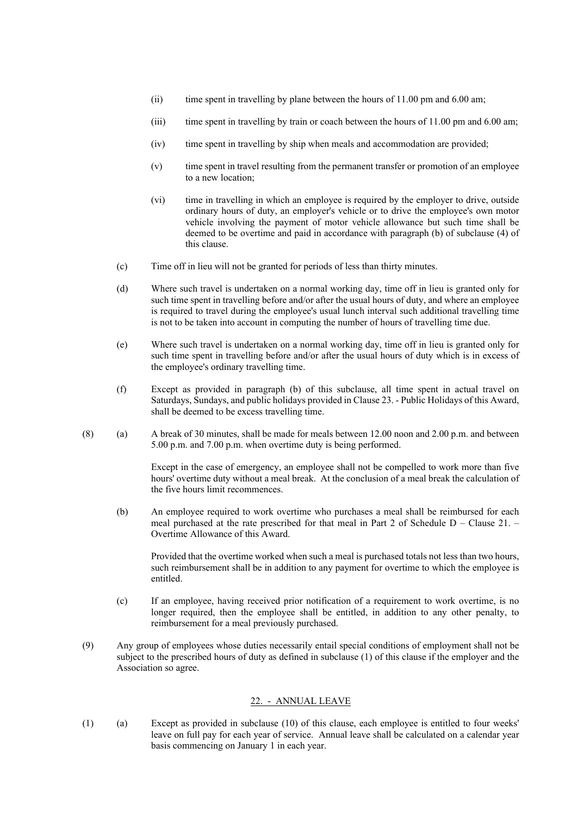- (ii) time spent in travelling by plane between the hours of 11.00 pm and 6.00 am;
- (iii) time spent in travelling by train or coach between the hours of 11.00 pm and 6.00 am;
- (iv) time spent in travelling by ship when meals and accommodation are provided;
- (v) time spent in travel resulting from the permanent transfer or promotion of an employee to a new location;
- (vi) time in travelling in which an employee is required by the employer to drive, outside ordinary hours of duty, an employer's vehicle or to drive the employee's own motor vehicle involving the payment of motor vehicle allowance but such time shall be deemed to be overtime and paid in accordance with paragraph (b) of subclause (4) of this clause.
- (c) Time off in lieu will not be granted for periods of less than thirty minutes.
- (d) Where such travel is undertaken on a normal working day, time off in lieu is granted only for such time spent in travelling before and/or after the usual hours of duty, and where an employee is required to travel during the employee's usual lunch interval such additional travelling time is not to be taken into account in computing the number of hours of travelling time due.
- (e) Where such travel is undertaken on a normal working day, time off in lieu is granted only for such time spent in travelling before and/or after the usual hours of duty which is in excess of the employee's ordinary travelling time.
- (f) Except as provided in paragraph (b) of this subclause, all time spent in actual travel on Saturdays, Sundays, and public holidays provided in Clause 23. - Public Holidays of this Award, shall be deemed to be excess travelling time.
- (8) (a) A break of 30 minutes, shall be made for meals between 12.00 noon and 2.00 p.m. and between 5.00 p.m. and 7.00 p.m. when overtime duty is being performed.

Except in the case of emergency, an employee shall not be compelled to work more than five hours' overtime duty without a meal break. At the conclusion of a meal break the calculation of the five hours limit recommences.

(b) An employee required to work overtime who purchases a meal shall be reimbursed for each meal purchased at the rate prescribed for that meal in Part 2 of Schedule D – Clause 21. – Overtime Allowance of this Award.

Provided that the overtime worked when such a meal is purchased totals not less than two hours, such reimbursement shall be in addition to any payment for overtime to which the employee is entitled.

- (c) If an employee, having received prior notification of a requirement to work overtime, is no longer required, then the employee shall be entitled, in addition to any other penalty, to reimbursement for a meal previously purchased.
- (9) Any group of employees whose duties necessarily entail special conditions of employment shall not be subject to the prescribed hours of duty as defined in subclause (1) of this clause if the employer and the Association so agree.

#### 22. - ANNUAL LEAVE

(1) (a) Except as provided in subclause (10) of this clause, each employee is entitled to four weeks' leave on full pay for each year of service. Annual leave shall be calculated on a calendar year basis commencing on January 1 in each year.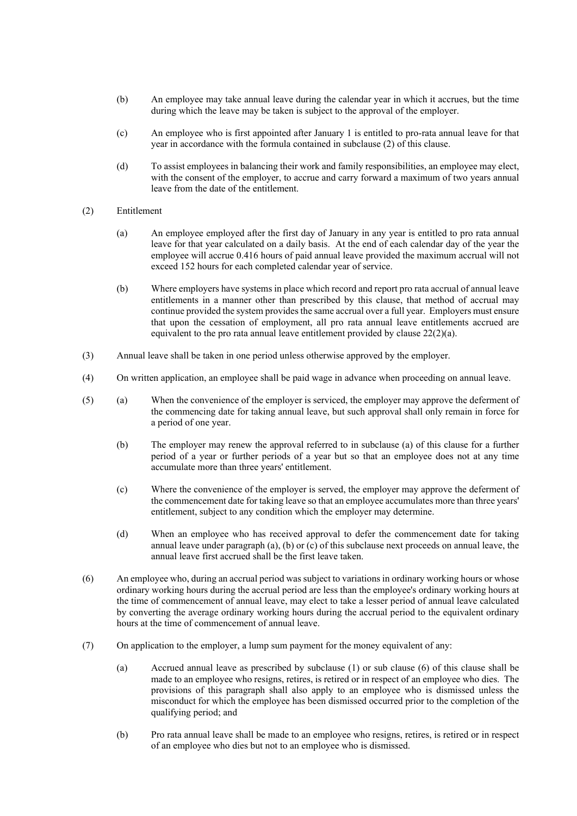- (b) An employee may take annual leave during the calendar year in which it accrues, but the time during which the leave may be taken is subject to the approval of the employer.
- (c) An employee who is first appointed after January 1 is entitled to pro-rata annual leave for that year in accordance with the formula contained in subclause (2) of this clause.
- (d) To assist employees in balancing their work and family responsibilities, an employee may elect, with the consent of the employer, to accrue and carry forward a maximum of two years annual leave from the date of the entitlement.
- (2) Entitlement
	- (a) An employee employed after the first day of January in any year is entitled to pro rata annual leave for that year calculated on a daily basis. At the end of each calendar day of the year the employee will accrue 0.416 hours of paid annual leave provided the maximum accrual will not exceed 152 hours for each completed calendar year of service.
	- (b) Where employers have systems in place which record and report pro rata accrual of annual leave entitlements in a manner other than prescribed by this clause, that method of accrual may continue provided the system provides the same accrual over a full year. Employers must ensure that upon the cessation of employment, all pro rata annual leave entitlements accrued are equivalent to the pro rata annual leave entitlement provided by clause 22(2)(a).
- (3) Annual leave shall be taken in one period unless otherwise approved by the employer.
- (4) On written application, an employee shall be paid wage in advance when proceeding on annual leave.
- (5) (a) When the convenience of the employer is serviced, the employer may approve the deferment of the commencing date for taking annual leave, but such approval shall only remain in force for a period of one year.
	- (b) The employer may renew the approval referred to in subclause (a) of this clause for a further period of a year or further periods of a year but so that an employee does not at any time accumulate more than three years' entitlement.
	- (c) Where the convenience of the employer is served, the employer may approve the deferment of the commencement date for taking leave so that an employee accumulates more than three years' entitlement, subject to any condition which the employer may determine.
	- (d) When an employee who has received approval to defer the commencement date for taking annual leave under paragraph (a), (b) or (c) of this subclause next proceeds on annual leave, the annual leave first accrued shall be the first leave taken.
- (6) An employee who, during an accrual period was subject to variations in ordinary working hours or whose ordinary working hours during the accrual period are less than the employee's ordinary working hours at the time of commencement of annual leave, may elect to take a lesser period of annual leave calculated by converting the average ordinary working hours during the accrual period to the equivalent ordinary hours at the time of commencement of annual leave.
- (7) On application to the employer, a lump sum payment for the money equivalent of any:
	- (a) Accrued annual leave as prescribed by subclause (1) or sub clause (6) of this clause shall be made to an employee who resigns, retires, is retired or in respect of an employee who dies. The provisions of this paragraph shall also apply to an employee who is dismissed unless the misconduct for which the employee has been dismissed occurred prior to the completion of the qualifying period; and
	- (b) Pro rata annual leave shall be made to an employee who resigns, retires, is retired or in respect of an employee who dies but not to an employee who is dismissed.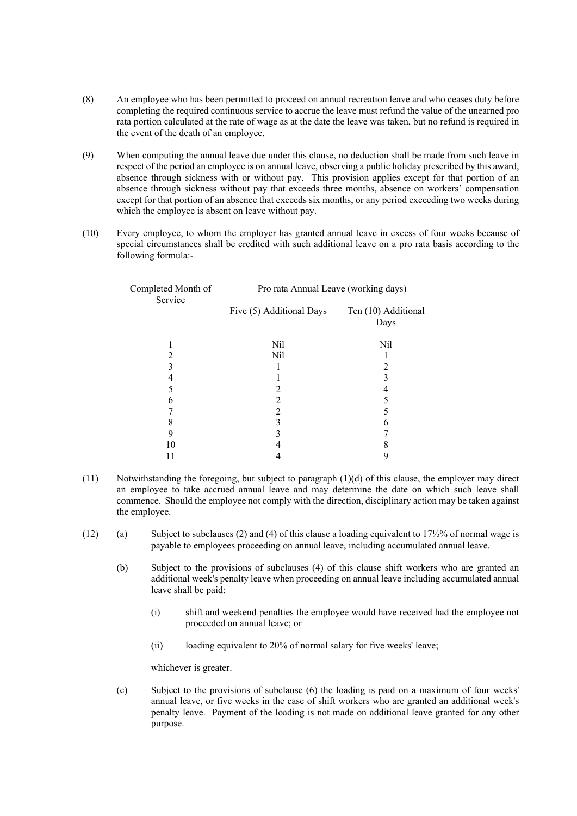- (8) An employee who has been permitted to proceed on annual recreation leave and who ceases duty before completing the required continuous service to accrue the leave must refund the value of the unearned pro rata portion calculated at the rate of wage as at the date the leave was taken, but no refund is required in the event of the death of an employee.
- (9) When computing the annual leave due under this clause, no deduction shall be made from such leave in respect of the period an employee is on annual leave, observing a public holiday prescribed by this award, absence through sickness with or without pay. This provision applies except for that portion of an absence through sickness without pay that exceeds three months, absence on workers' compensation except for that portion of an absence that exceeds six months, or any period exceeding two weeks during which the employee is absent on leave without pay.
- (10) Every employee, to whom the employer has granted annual leave in excess of four weeks because of special circumstances shall be credited with such additional leave on a pro rata basis according to the following formula:-

| Completed Month of<br>Service | Pro rata Annual Leave (working days) |                             |
|-------------------------------|--------------------------------------|-----------------------------|
|                               | Five (5) Additional Days             | Ten (10) Additional<br>Days |
|                               | Nil                                  | Nil                         |
|                               | Nil                                  |                             |
|                               |                                      | 2                           |
| 4                             |                                      | 3                           |
|                               |                                      | 4                           |
| 6                             | 2                                    |                             |
|                               | 2                                    | 5                           |
| 8                             | 3                                    | 6                           |
| 9                             |                                      |                             |
| 10                            |                                      |                             |
|                               |                                      | 9                           |

- (11) Notwithstanding the foregoing, but subject to paragraph (1)(d) of this clause, the employer may direct an employee to take accrued annual leave and may determine the date on which such leave shall commence. Should the employee not comply with the direction, disciplinary action may be taken against the employee.
- (12) (a) Subject to subclauses (2) and (4) of this clause a loading equivalent to  $17\frac{1}{2}\%$  of normal wage is payable to employees proceeding on annual leave, including accumulated annual leave.
	- (b) Subject to the provisions of subclauses (4) of this clause shift workers who are granted an additional week's penalty leave when proceeding on annual leave including accumulated annual leave shall be paid:
		- (i) shift and weekend penalties the employee would have received had the employee not proceeded on annual leave; or
		- (ii) loading equivalent to 20% of normal salary for five weeks' leave;

whichever is greater.

(c) Subject to the provisions of subclause (6) the loading is paid on a maximum of four weeks' annual leave, or five weeks in the case of shift workers who are granted an additional week's penalty leave. Payment of the loading is not made on additional leave granted for any other purpose.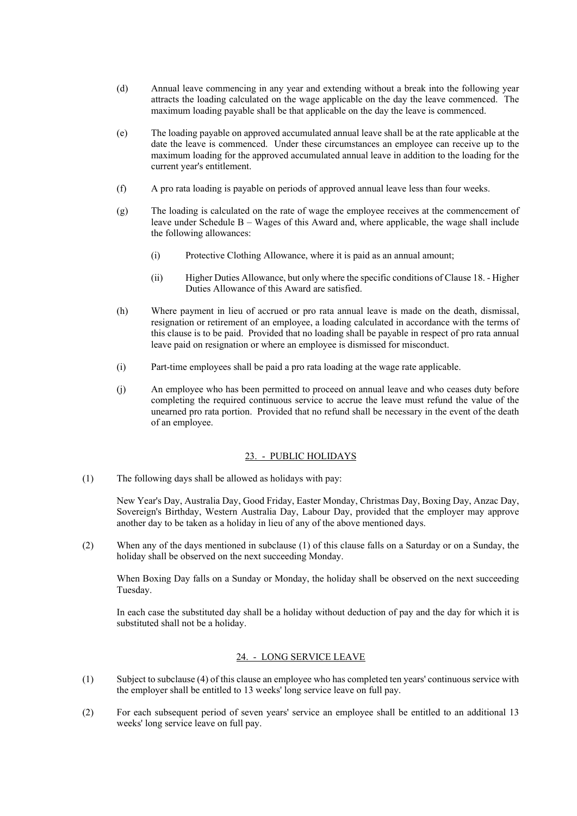- (d) Annual leave commencing in any year and extending without a break into the following year attracts the loading calculated on the wage applicable on the day the leave commenced. The maximum loading payable shall be that applicable on the day the leave is commenced.
- (e) The loading payable on approved accumulated annual leave shall be at the rate applicable at the date the leave is commenced. Under these circumstances an employee can receive up to the maximum loading for the approved accumulated annual leave in addition to the loading for the current year's entitlement.
- (f) A pro rata loading is payable on periods of approved annual leave less than four weeks.
- (g) The loading is calculated on the rate of wage the employee receives at the commencement of leave under Schedule B – Wages of this Award and, where applicable, the wage shall include the following allowances:
	- (i) Protective Clothing Allowance, where it is paid as an annual amount;
	- (ii) Higher Duties Allowance, but only where the specific conditions of Clause 18. Higher Duties Allowance of this Award are satisfied.
- (h) Where payment in lieu of accrued or pro rata annual leave is made on the death, dismissal, resignation or retirement of an employee, a loading calculated in accordance with the terms of this clause is to be paid. Provided that no loading shall be payable in respect of pro rata annual leave paid on resignation or where an employee is dismissed for misconduct.
- (i) Part-time employees shall be paid a pro rata loading at the wage rate applicable.
- (j) An employee who has been permitted to proceed on annual leave and who ceases duty before completing the required continuous service to accrue the leave must refund the value of the unearned pro rata portion. Provided that no refund shall be necessary in the event of the death of an employee.

#### 23. - PUBLIC HOLIDAYS

(1) The following days shall be allowed as holidays with pay:

New Year's Day, Australia Day, Good Friday, Easter Monday, Christmas Day, Boxing Day, Anzac Day, Sovereign's Birthday, Western Australia Day, Labour Day, provided that the employer may approve another day to be taken as a holiday in lieu of any of the above mentioned days.

(2) When any of the days mentioned in subclause (1) of this clause falls on a Saturday or on a Sunday, the holiday shall be observed on the next succeeding Monday.

When Boxing Day falls on a Sunday or Monday, the holiday shall be observed on the next succeeding Tuesday.

In each case the substituted day shall be a holiday without deduction of pay and the day for which it is substituted shall not be a holiday.

# 24. - LONG SERVICE LEAVE

- (1) Subject to subclause (4) of this clause an employee who has completed ten years' continuous service with the employer shall be entitled to 13 weeks' long service leave on full pay.
- (2) For each subsequent period of seven years' service an employee shall be entitled to an additional 13 weeks' long service leave on full pay.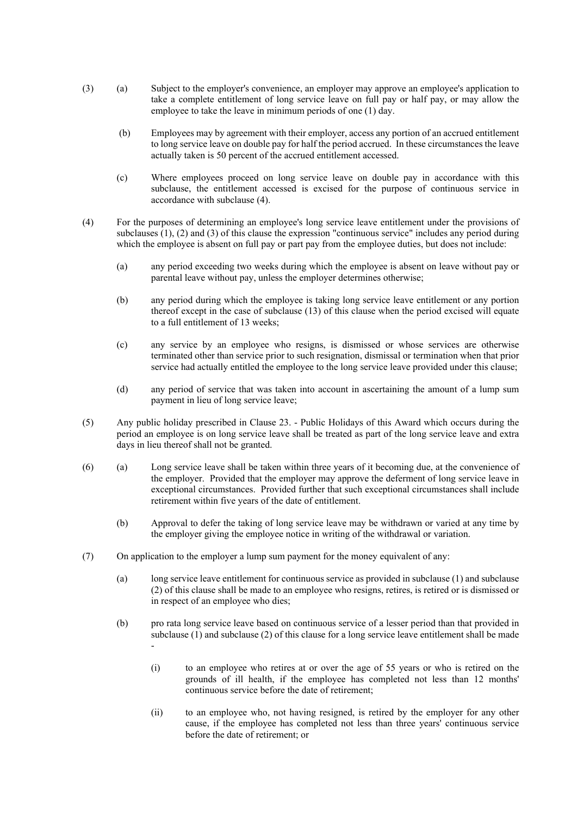- (3) (a) Subject to the employer's convenience, an employer may approve an employee's application to take a complete entitlement of long service leave on full pay or half pay, or may allow the employee to take the leave in minimum periods of one (1) day.
	- (b) Employees may by agreement with their employer, access any portion of an accrued entitlement to long service leave on double pay for half the period accrued. In these circumstances the leave actually taken is 50 percent of the accrued entitlement accessed.
	- (c) Where employees proceed on long service leave on double pay in accordance with this subclause, the entitlement accessed is excised for the purpose of continuous service in accordance with subclause (4).
- (4) For the purposes of determining an employee's long service leave entitlement under the provisions of subclauses (1), (2) and (3) of this clause the expression "continuous service" includes any period during which the employee is absent on full pay or part pay from the employee duties, but does not include:
	- (a) any period exceeding two weeks during which the employee is absent on leave without pay or parental leave without pay, unless the employer determines otherwise;
	- (b) any period during which the employee is taking long service leave entitlement or any portion thereof except in the case of subclause (13) of this clause when the period excised will equate to a full entitlement of 13 weeks;
	- (c) any service by an employee who resigns, is dismissed or whose services are otherwise terminated other than service prior to such resignation, dismissal or termination when that prior service had actually entitled the employee to the long service leave provided under this clause;
	- (d) any period of service that was taken into account in ascertaining the amount of a lump sum payment in lieu of long service leave;
- (5) Any public holiday prescribed in Clause 23. Public Holidays of this Award which occurs during the period an employee is on long service leave shall be treated as part of the long service leave and extra days in lieu thereof shall not be granted.
- (6) (a) Long service leave shall be taken within three years of it becoming due, at the convenience of the employer. Provided that the employer may approve the deferment of long service leave in exceptional circumstances. Provided further that such exceptional circumstances shall include retirement within five years of the date of entitlement.
	- (b) Approval to defer the taking of long service leave may be withdrawn or varied at any time by the employer giving the employee notice in writing of the withdrawal or variation.
- (7) On application to the employer a lump sum payment for the money equivalent of any:
	- (a) long service leave entitlement for continuous service as provided in subclause (1) and subclause (2) of this clause shall be made to an employee who resigns, retires, is retired or is dismissed or in respect of an employee who dies;
	- (b) pro rata long service leave based on continuous service of a lesser period than that provided in subclause (1) and subclause (2) of this clause for a long service leave entitlement shall be made -
		- (i) to an employee who retires at or over the age of 55 years or who is retired on the grounds of ill health, if the employee has completed not less than 12 months' continuous service before the date of retirement;
		- (ii) to an employee who, not having resigned, is retired by the employer for any other cause, if the employee has completed not less than three years' continuous service before the date of retirement; or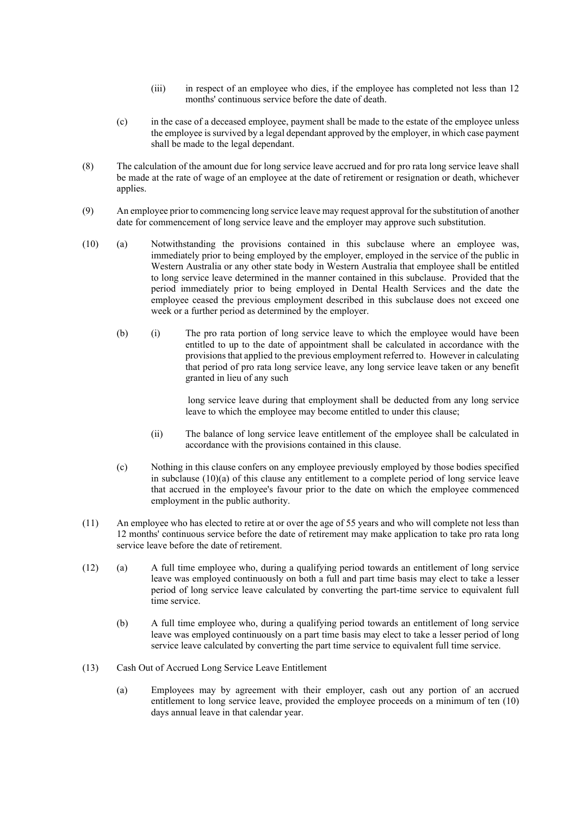- (iii) in respect of an employee who dies, if the employee has completed not less than 12 months' continuous service before the date of death.
- (c) in the case of a deceased employee, payment shall be made to the estate of the employee unless the employee is survived by a legal dependant approved by the employer, in which case payment shall be made to the legal dependant.
- (8) The calculation of the amount due for long service leave accrued and for pro rata long service leave shall be made at the rate of wage of an employee at the date of retirement or resignation or death, whichever applies.
- (9) An employee prior to commencing long service leave may request approval for the substitution of another date for commencement of long service leave and the employer may approve such substitution.
- (10) (a) Notwithstanding the provisions contained in this subclause where an employee was, immediately prior to being employed by the employer, employed in the service of the public in Western Australia or any other state body in Western Australia that employee shall be entitled to long service leave determined in the manner contained in this subclause. Provided that the period immediately prior to being employed in Dental Health Services and the date the employee ceased the previous employment described in this subclause does not exceed one week or a further period as determined by the employer.
	- (b) (i) The pro rata portion of long service leave to which the employee would have been entitled to up to the date of appointment shall be calculated in accordance with the provisions that applied to the previous employment referred to. However in calculating that period of pro rata long service leave, any long service leave taken or any benefit granted in lieu of any such

 long service leave during that employment shall be deducted from any long service leave to which the employee may become entitled to under this clause;

- (ii) The balance of long service leave entitlement of the employee shall be calculated in accordance with the provisions contained in this clause.
- (c) Nothing in this clause confers on any employee previously employed by those bodies specified in subclause  $(10)(a)$  of this clause any entitlement to a complete period of long service leave that accrued in the employee's favour prior to the date on which the employee commenced employment in the public authority.
- (11) An employee who has elected to retire at or over the age of 55 years and who will complete not less than 12 months' continuous service before the date of retirement may make application to take pro rata long service leave before the date of retirement.
- (12) (a) A full time employee who, during a qualifying period towards an entitlement of long service leave was employed continuously on both a full and part time basis may elect to take a lesser period of long service leave calculated by converting the part-time service to equivalent full time service.
	- (b) A full time employee who, during a qualifying period towards an entitlement of long service leave was employed continuously on a part time basis may elect to take a lesser period of long service leave calculated by converting the part time service to equivalent full time service.
- (13) Cash Out of Accrued Long Service Leave Entitlement
	- (a) Employees may by agreement with their employer, cash out any portion of an accrued entitlement to long service leave, provided the employee proceeds on a minimum of ten (10) days annual leave in that calendar year.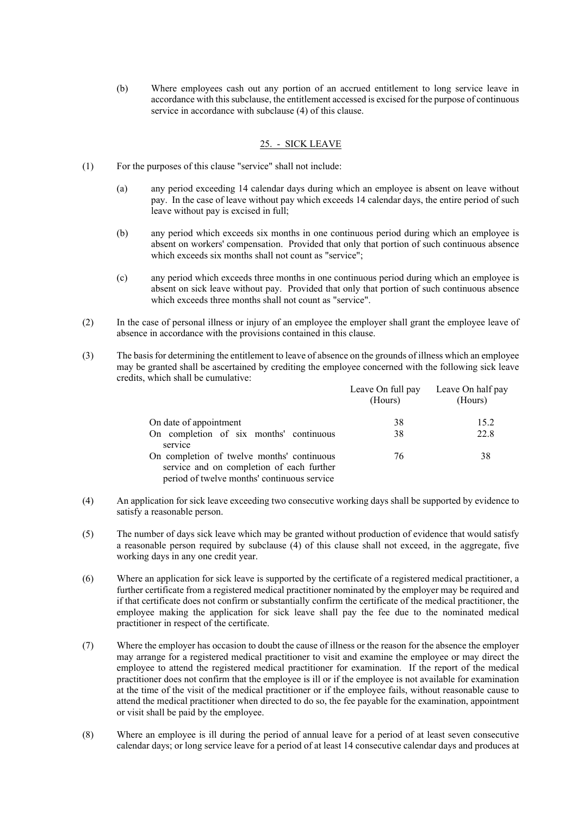(b) Where employees cash out any portion of an accrued entitlement to long service leave in accordance with this subclause, the entitlement accessed is excised for the purpose of continuous service in accordance with subclause (4) of this clause.

### 25. - SICK LEAVE

- (1) For the purposes of this clause "service" shall not include:
	- (a) any period exceeding 14 calendar days during which an employee is absent on leave without pay. In the case of leave without pay which exceeds 14 calendar days, the entire period of such leave without pay is excised in full;
	- (b) any period which exceeds six months in one continuous period during which an employee is absent on workers' compensation. Provided that only that portion of such continuous absence which exceeds six months shall not count as "service";
	- (c) any period which exceeds three months in one continuous period during which an employee is absent on sick leave without pay. Provided that only that portion of such continuous absence which exceeds three months shall not count as "service".
- (2) In the case of personal illness or injury of an employee the employer shall grant the employee leave of absence in accordance with the provisions contained in this clause.
- (3) The basis for determining the entitlement to leave of absence on the grounds of illness which an employee may be granted shall be ascertained by crediting the employee concerned with the following sick leave credits, which shall be cumulative:

|                                                                                                                                        | Leave On full pay<br>(Hours) | Leave On half pay<br>(Hours) |
|----------------------------------------------------------------------------------------------------------------------------------------|------------------------------|------------------------------|
| On date of appointment                                                                                                                 | 38                           | 15.2                         |
| On completion of six months' continuous<br>service                                                                                     | 38                           | 22.8                         |
| On completion of twelve months' continuous<br>service and on completion of each further<br>period of twelve months' continuous service | 76                           | 38                           |

- (4) An application for sick leave exceeding two consecutive working days shall be supported by evidence to satisfy a reasonable person.
- (5) The number of days sick leave which may be granted without production of evidence that would satisfy a reasonable person required by subclause (4) of this clause shall not exceed, in the aggregate, five working days in any one credit year.
- (6) Where an application for sick leave is supported by the certificate of a registered medical practitioner, a further certificate from a registered medical practitioner nominated by the employer may be required and if that certificate does not confirm or substantially confirm the certificate of the medical practitioner, the employee making the application for sick leave shall pay the fee due to the nominated medical practitioner in respect of the certificate.
- (7) Where the employer has occasion to doubt the cause of illness or the reason for the absence the employer may arrange for a registered medical practitioner to visit and examine the employee or may direct the employee to attend the registered medical practitioner for examination. If the report of the medical practitioner does not confirm that the employee is ill or if the employee is not available for examination at the time of the visit of the medical practitioner or if the employee fails, without reasonable cause to attend the medical practitioner when directed to do so, the fee payable for the examination, appointment or visit shall be paid by the employee.
- (8) Where an employee is ill during the period of annual leave for a period of at least seven consecutive calendar days; or long service leave for a period of at least 14 consecutive calendar days and produces at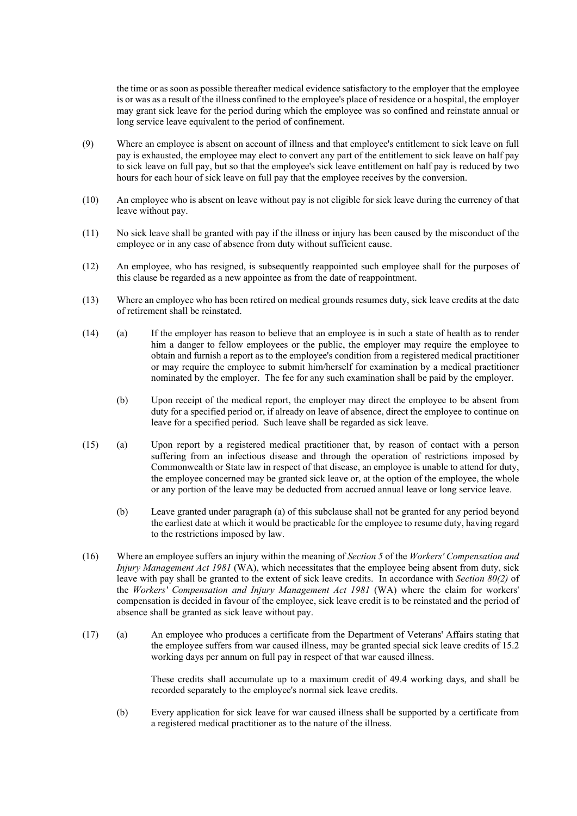the time or as soon as possible thereafter medical evidence satisfactory to the employer that the employee is or was as a result of the illness confined to the employee's place of residence or a hospital, the employer may grant sick leave for the period during which the employee was so confined and reinstate annual or long service leave equivalent to the period of confinement.

- (9) Where an employee is absent on account of illness and that employee's entitlement to sick leave on full pay is exhausted, the employee may elect to convert any part of the entitlement to sick leave on half pay to sick leave on full pay, but so that the employee's sick leave entitlement on half pay is reduced by two hours for each hour of sick leave on full pay that the employee receives by the conversion.
- (10) An employee who is absent on leave without pay is not eligible for sick leave during the currency of that leave without pay.
- (11) No sick leave shall be granted with pay if the illness or injury has been caused by the misconduct of the employee or in any case of absence from duty without sufficient cause.
- (12) An employee, who has resigned, is subsequently reappointed such employee shall for the purposes of this clause be regarded as a new appointee as from the date of reappointment.
- (13) Where an employee who has been retired on medical grounds resumes duty, sick leave credits at the date of retirement shall be reinstated.
- (14) (a) If the employer has reason to believe that an employee is in such a state of health as to render him a danger to fellow employees or the public, the employer may require the employee to obtain and furnish a report as to the employee's condition from a registered medical practitioner or may require the employee to submit him/herself for examination by a medical practitioner nominated by the employer. The fee for any such examination shall be paid by the employer.
	- (b) Upon receipt of the medical report, the employer may direct the employee to be absent from duty for a specified period or, if already on leave of absence, direct the employee to continue on leave for a specified period. Such leave shall be regarded as sick leave.
- (15) (a) Upon report by a registered medical practitioner that, by reason of contact with a person suffering from an infectious disease and through the operation of restrictions imposed by Commonwealth or State law in respect of that disease, an employee is unable to attend for duty, the employee concerned may be granted sick leave or, at the option of the employee, the whole or any portion of the leave may be deducted from accrued annual leave or long service leave.
	- (b) Leave granted under paragraph (a) of this subclause shall not be granted for any period beyond the earliest date at which it would be practicable for the employee to resume duty, having regard to the restrictions imposed by law.
- (16) Where an employee suffers an injury within the meaning of *Section 5* of the *Workers' Compensation and Injury Management Act 1981* (WA), which necessitates that the employee being absent from duty, sick leave with pay shall be granted to the extent of sick leave credits. In accordance with *Section 80(2)* of the *Workers' Compensation and Injury Management Act 1981* (WA) where the claim for workers' compensation is decided in favour of the employee, sick leave credit is to be reinstated and the period of absence shall be granted as sick leave without pay.
- (17) (a) An employee who produces a certificate from the Department of Veterans' Affairs stating that the employee suffers from war caused illness, may be granted special sick leave credits of 15.2 working days per annum on full pay in respect of that war caused illness.

These credits shall accumulate up to a maximum credit of 49.4 working days, and shall be recorded separately to the employee's normal sick leave credits.

(b) Every application for sick leave for war caused illness shall be supported by a certificate from a registered medical practitioner as to the nature of the illness.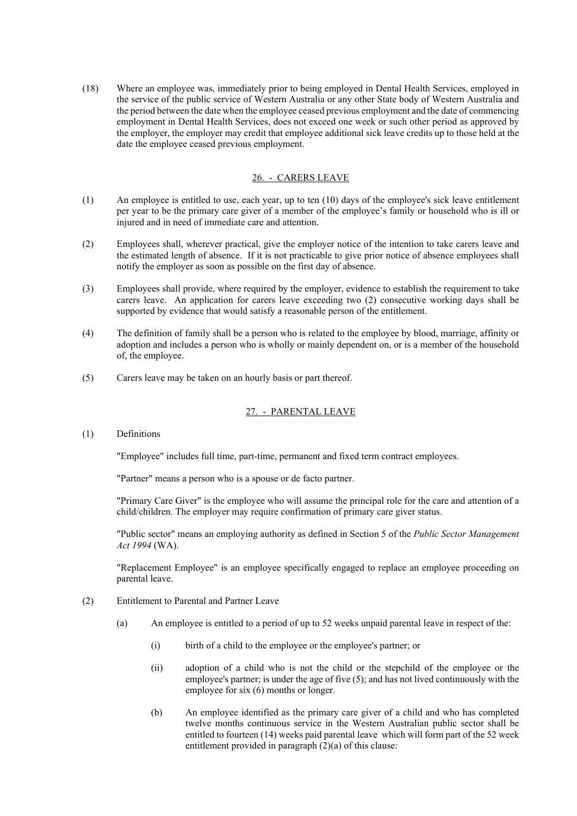(18) Where an employee was, immediately prior to being employed in Dental Health Services, employed in the service of the public service of Western Australia or any other State body of Western Australia and the period between the date when the employee ceased previous employment and the date of commencing employment in Dental Health Services, does not exceed one week or such other period as approved by the employer, the employer may credit that employee additional sick leave credits up to those held at the date the employee ceased previous employment.

# 26. - CARERS LEAVE

- (1) An employee is entitled to use, each year, up to ten (10) days of the employee's sick leave entitlement per year to be the primary care giver of a member of the employee's family or household who is ill or injured and in need of immediate care and attention.
- (2) Employees shall, wherever practical, give the employer notice of the intention to take carers leave and the estimated length of absence. If it is not practicable to give prior notice of absence employees shall notify the employer as soon as possible on the first day of absence.
- (3) Employees shall provide, where required by the employer, evidence to establish the requirement to take carers leave. An application for carers leave exceeding two (2) consecutive working days shall be supported by evidence that would satisfy a reasonable person of the entitlement.
- (4) The definition of family shall be a person who is related to the employee by blood, marriage, affinity or adoption and includes a person who is wholly or mainly dependent on, or is a member of the household of, the employee.
- (5) Carers leave may be taken on an hourly basis or part thereof.

# 27. - PARENTAL LEAVE

(1) Definitions

"Employee" includes full time, part-time, permanent and fixed term contract employees.

"Partner" means a person who is a spouse or de facto partner.

"Primary Care Giver" is the employee who will assume the principal role for the care and attention of a child/children. The employer may require confirmation of primary care giver status.

"Public sector" means an employing authority as defined in Section 5 of the *Public Sector Management Act 1994* (WA).

"Replacement Employee" is an employee specifically engaged to replace an employee proceeding on parental leave.

- (2) Entitlement to Parental and Partner Leave
	- (a) An employee is entitled to a period of up to 52 weeks unpaid parental leave in respect of the:
		- (i) birth of a child to the employee or the employee's partner; or
		- (ii) adoption of a child who is not the child or the stepchild of the employee or the employee's partner; is under the age of five (5); and has not lived continuously with the employee for six (6) months or longer.
		- (b) An employee identified as the primary care giver of a child and who has completed twelve months continuous service in the Western Australian public sector shall be entitled to fourteen (14) weeks paid parental leave which will form part of the 52 week entitlement provided in paragraph (2)(a) of this clause: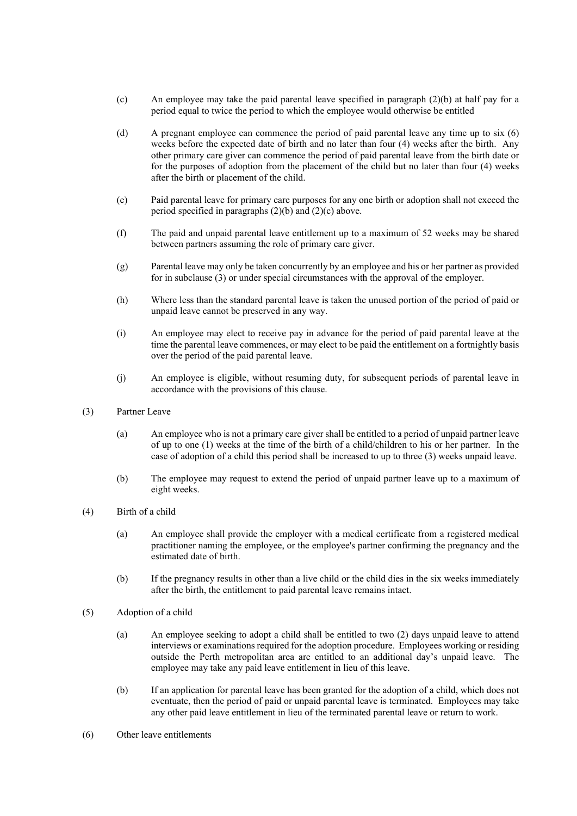- (c) An employee may take the paid parental leave specified in paragraph (2)(b) at half pay for a period equal to twice the period to which the employee would otherwise be entitled
- (d) A pregnant employee can commence the period of paid parental leave any time up to six (6) weeks before the expected date of birth and no later than four (4) weeks after the birth. Any other primary care giver can commence the period of paid parental leave from the birth date or for the purposes of adoption from the placement of the child but no later than four (4) weeks after the birth or placement of the child.
- (e) Paid parental leave for primary care purposes for any one birth or adoption shall not exceed the period specified in paragraphs  $(2)(b)$  and  $(2)(c)$  above.
- (f) The paid and unpaid parental leave entitlement up to a maximum of 52 weeks may be shared between partners assuming the role of primary care giver.
- (g) Parental leave may only be taken concurrently by an employee and his or her partner as provided for in subclause (3) or under special circumstances with the approval of the employer.
- (h) Where less than the standard parental leave is taken the unused portion of the period of paid or unpaid leave cannot be preserved in any way.
- (i) An employee may elect to receive pay in advance for the period of paid parental leave at the time the parental leave commences, or may elect to be paid the entitlement on a fortnightly basis over the period of the paid parental leave.
- (j) An employee is eligible, without resuming duty, for subsequent periods of parental leave in accordance with the provisions of this clause.
- (3) Partner Leave
	- (a) An employee who is not a primary care giver shall be entitled to a period of unpaid partner leave of up to one (1) weeks at the time of the birth of a child/children to his or her partner. In the case of adoption of a child this period shall be increased to up to three (3) weeks unpaid leave.
	- (b) The employee may request to extend the period of unpaid partner leave up to a maximum of eight weeks.
- (4) Birth of a child
	- (a) An employee shall provide the employer with a medical certificate from a registered medical practitioner naming the employee, or the employee's partner confirming the pregnancy and the estimated date of birth.
	- (b) If the pregnancy results in other than a live child or the child dies in the six weeks immediately after the birth, the entitlement to paid parental leave remains intact.
- (5) Adoption of a child
	- (a) An employee seeking to adopt a child shall be entitled to two (2) days unpaid leave to attend interviews or examinations required for the adoption procedure. Employees working or residing outside the Perth metropolitan area are entitled to an additional day's unpaid leave. The employee may take any paid leave entitlement in lieu of this leave.
	- (b) If an application for parental leave has been granted for the adoption of a child, which does not eventuate, then the period of paid or unpaid parental leave is terminated. Employees may take any other paid leave entitlement in lieu of the terminated parental leave or return to work.
- (6) Other leave entitlements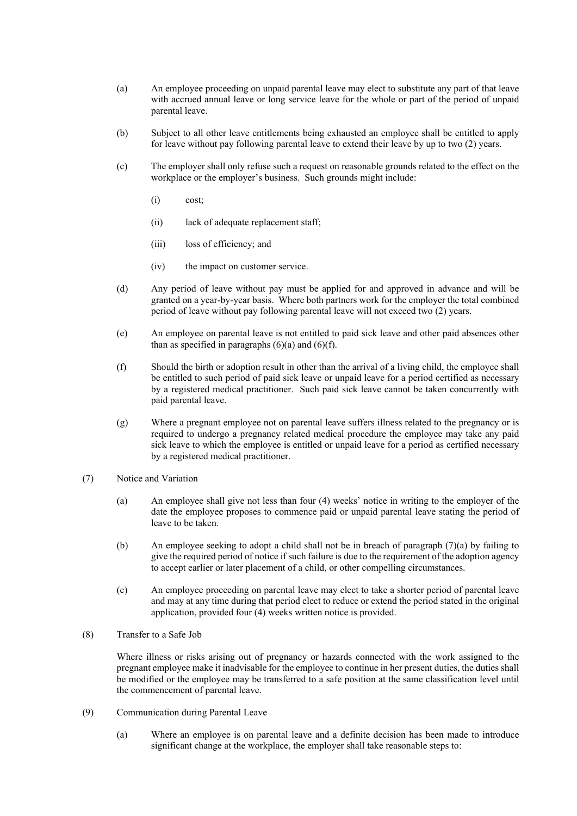- (a) An employee proceeding on unpaid parental leave may elect to substitute any part of that leave with accrued annual leave or long service leave for the whole or part of the period of unpaid parental leave.
- (b) Subject to all other leave entitlements being exhausted an employee shall be entitled to apply for leave without pay following parental leave to extend their leave by up to two (2) years.
- (c) The employer shall only refuse such a request on reasonable grounds related to the effect on the workplace or the employer's business. Such grounds might include:
	- (i) cost;
	- (ii) lack of adequate replacement staff;
	- (iii) loss of efficiency; and
	- (iv) the impact on customer service.
- (d) Any period of leave without pay must be applied for and approved in advance and will be granted on a year-by-year basis. Where both partners work for the employer the total combined period of leave without pay following parental leave will not exceed two (2) years.
- (e) An employee on parental leave is not entitled to paid sick leave and other paid absences other than as specified in paragraphs  $(6)(a)$  and  $(6)(f)$ .
- (f) Should the birth or adoption result in other than the arrival of a living child, the employee shall be entitled to such period of paid sick leave or unpaid leave for a period certified as necessary by a registered medical practitioner. Such paid sick leave cannot be taken concurrently with paid parental leave.
- (g) Where a pregnant employee not on parental leave suffers illness related to the pregnancy or is required to undergo a pregnancy related medical procedure the employee may take any paid sick leave to which the employee is entitled or unpaid leave for a period as certified necessary by a registered medical practitioner.
- (7) Notice and Variation
	- (a) An employee shall give not less than four (4) weeks' notice in writing to the employer of the date the employee proposes to commence paid or unpaid parental leave stating the period of leave to be taken.
	- (b) An employee seeking to adopt a child shall not be in breach of paragraph (7)(a) by failing to give the required period of notice if such failure is due to the requirement of the adoption agency to accept earlier or later placement of a child, or other compelling circumstances.
	- (c) An employee proceeding on parental leave may elect to take a shorter period of parental leave and may at any time during that period elect to reduce or extend the period stated in the original application, provided four (4) weeks written notice is provided.
- (8) Transfer to a Safe Job

Where illness or risks arising out of pregnancy or hazards connected with the work assigned to the pregnant employee make it inadvisable for the employee to continue in her present duties, the duties shall be modified or the employee may be transferred to a safe position at the same classification level until the commencement of parental leave.

- (9) Communication during Parental Leave
	- (a) Where an employee is on parental leave and a definite decision has been made to introduce significant change at the workplace, the employer shall take reasonable steps to: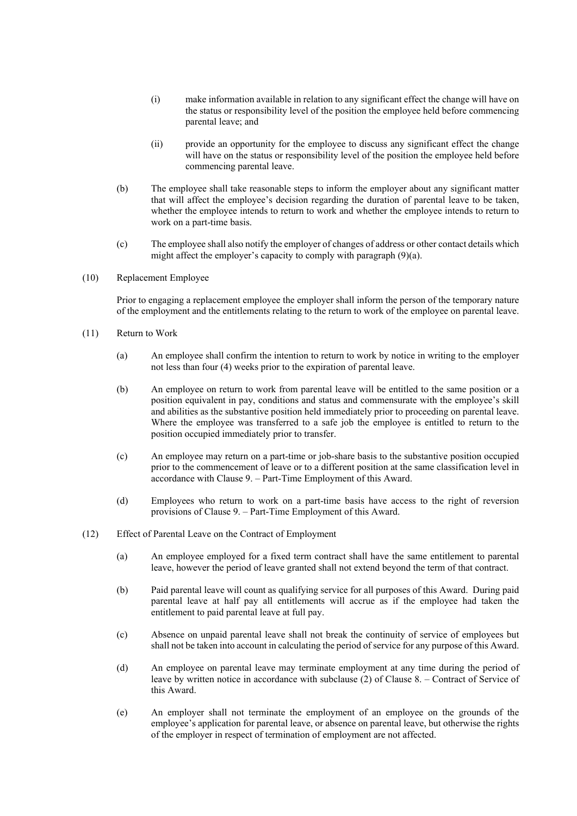- (i) make information available in relation to any significant effect the change will have on the status or responsibility level of the position the employee held before commencing parental leave; and
- (ii) provide an opportunity for the employee to discuss any significant effect the change will have on the status or responsibility level of the position the employee held before commencing parental leave.
- (b) The employee shall take reasonable steps to inform the employer about any significant matter that will affect the employee's decision regarding the duration of parental leave to be taken, whether the employee intends to return to work and whether the employee intends to return to work on a part-time basis.
- (c) The employee shall also notify the employer of changes of address or other contact details which might affect the employer's capacity to comply with paragraph (9)(a).
- (10) Replacement Employee

Prior to engaging a replacement employee the employer shall inform the person of the temporary nature of the employment and the entitlements relating to the return to work of the employee on parental leave.

- (11) Return to Work
	- (a) An employee shall confirm the intention to return to work by notice in writing to the employer not less than four (4) weeks prior to the expiration of parental leave.
	- (b) An employee on return to work from parental leave will be entitled to the same position or a position equivalent in pay, conditions and status and commensurate with the employee's skill and abilities as the substantive position held immediately prior to proceeding on parental leave. Where the employee was transferred to a safe job the employee is entitled to return to the position occupied immediately prior to transfer.
	- (c) An employee may return on a part-time or job-share basis to the substantive position occupied prior to the commencement of leave or to a different position at the same classification level in accordance with Clause 9. – Part-Time Employment of this Award.
	- (d) Employees who return to work on a part-time basis have access to the right of reversion provisions of Clause 9. – Part-Time Employment of this Award.
- (12) Effect of Parental Leave on the Contract of Employment
	- (a) An employee employed for a fixed term contract shall have the same entitlement to parental leave, however the period of leave granted shall not extend beyond the term of that contract.
	- (b) Paid parental leave will count as qualifying service for all purposes of this Award. During paid parental leave at half pay all entitlements will accrue as if the employee had taken the entitlement to paid parental leave at full pay.
	- (c) Absence on unpaid parental leave shall not break the continuity of service of employees but shall not be taken into account in calculating the period of service for any purpose of this Award.
	- (d) An employee on parental leave may terminate employment at any time during the period of leave by written notice in accordance with subclause (2) of Clause 8. – Contract of Service of this Award.
	- (e) An employer shall not terminate the employment of an employee on the grounds of the employee's application for parental leave, or absence on parental leave, but otherwise the rights of the employer in respect of termination of employment are not affected.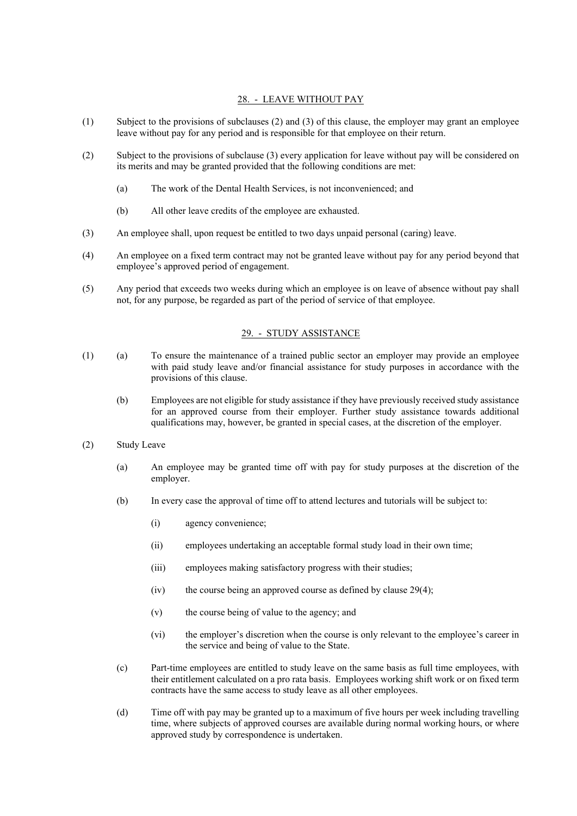### 28. - LEAVE WITHOUT PAY

- (1) Subject to the provisions of subclauses (2) and (3) of this clause, the employer may grant an employee leave without pay for any period and is responsible for that employee on their return.
- (2) Subject to the provisions of subclause (3) every application for leave without pay will be considered on its merits and may be granted provided that the following conditions are met:
	- (a) The work of the Dental Health Services, is not inconvenienced; and
	- (b) All other leave credits of the employee are exhausted.
- (3) An employee shall, upon request be entitled to two days unpaid personal (caring) leave.
- (4) An employee on a fixed term contract may not be granted leave without pay for any period beyond that employee's approved period of engagement.
- (5) Any period that exceeds two weeks during which an employee is on leave of absence without pay shall not, for any purpose, be regarded as part of the period of service of that employee.

### 29. - STUDY ASSISTANCE

- (1) (a) To ensure the maintenance of a trained public sector an employer may provide an employee with paid study leave and/or financial assistance for study purposes in accordance with the provisions of this clause.
	- (b) Employees are not eligible for study assistance if they have previously received study assistance for an approved course from their employer. Further study assistance towards additional qualifications may, however, be granted in special cases, at the discretion of the employer.
- (2) Study Leave
	- (a) An employee may be granted time off with pay for study purposes at the discretion of the employer.
	- (b) In every case the approval of time off to attend lectures and tutorials will be subject to:
		- (i) agency convenience;
		- (ii) employees undertaking an acceptable formal study load in their own time;
		- (iii) employees making satisfactory progress with their studies;
		- $(iv)$  the course being an approved course as defined by clause 29(4);
		- (v) the course being of value to the agency; and
		- (vi) the employer's discretion when the course is only relevant to the employee's career in the service and being of value to the State.
	- (c) Part-time employees are entitled to study leave on the same basis as full time employees, with their entitlement calculated on a pro rata basis. Employees working shift work or on fixed term contracts have the same access to study leave as all other employees.
	- (d) Time off with pay may be granted up to a maximum of five hours per week including travelling time, where subjects of approved courses are available during normal working hours, or where approved study by correspondence is undertaken.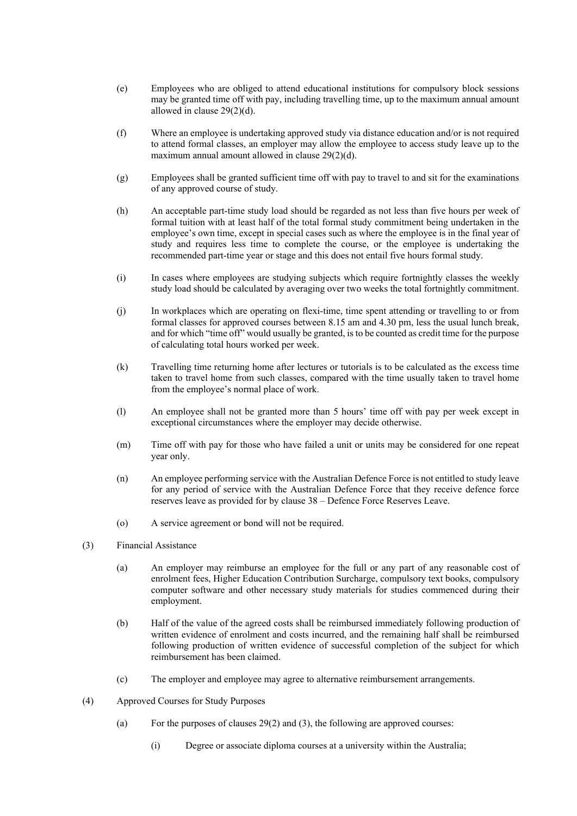- (e) Employees who are obliged to attend educational institutions for compulsory block sessions may be granted time off with pay, including travelling time, up to the maximum annual amount allowed in clause 29(2)(d).
- (f) Where an employee is undertaking approved study via distance education and/or is not required to attend formal classes, an employer may allow the employee to access study leave up to the maximum annual amount allowed in clause 29(2)(d).
- (g) Employees shall be granted sufficient time off with pay to travel to and sit for the examinations of any approved course of study.
- (h) An acceptable part-time study load should be regarded as not less than five hours per week of formal tuition with at least half of the total formal study commitment being undertaken in the employee's own time, except in special cases such as where the employee is in the final year of study and requires less time to complete the course, or the employee is undertaking the recommended part-time year or stage and this does not entail five hours formal study.
- (i) In cases where employees are studying subjects which require fortnightly classes the weekly study load should be calculated by averaging over two weeks the total fortnightly commitment.
- (j) In workplaces which are operating on flexi-time, time spent attending or travelling to or from formal classes for approved courses between 8.15 am and 4.30 pm, less the usual lunch break, and for which "time off" would usually be granted, is to be counted as credit time for the purpose of calculating total hours worked per week.
- (k) Travelling time returning home after lectures or tutorials is to be calculated as the excess time taken to travel home from such classes, compared with the time usually taken to travel home from the employee's normal place of work.
- (l) An employee shall not be granted more than 5 hours' time off with pay per week except in exceptional circumstances where the employer may decide otherwise.
- (m) Time off with pay for those who have failed a unit or units may be considered for one repeat year only.
- (n) An employee performing service with the Australian Defence Force is not entitled to study leave for any period of service with the Australian Defence Force that they receive defence force reserves leave as provided for by clause 38 – Defence Force Reserves Leave.
- (o) A service agreement or bond will not be required.
- (3) Financial Assistance
	- (a) An employer may reimburse an employee for the full or any part of any reasonable cost of enrolment fees, Higher Education Contribution Surcharge, compulsory text books, compulsory computer software and other necessary study materials for studies commenced during their employment.
	- (b) Half of the value of the agreed costs shall be reimbursed immediately following production of written evidence of enrolment and costs incurred, and the remaining half shall be reimbursed following production of written evidence of successful completion of the subject for which reimbursement has been claimed.
	- (c) The employer and employee may agree to alternative reimbursement arrangements.
- (4) Approved Courses for Study Purposes
	- (a) For the purposes of clauses  $29(2)$  and (3), the following are approved courses:
		- (i) Degree or associate diploma courses at a university within the Australia;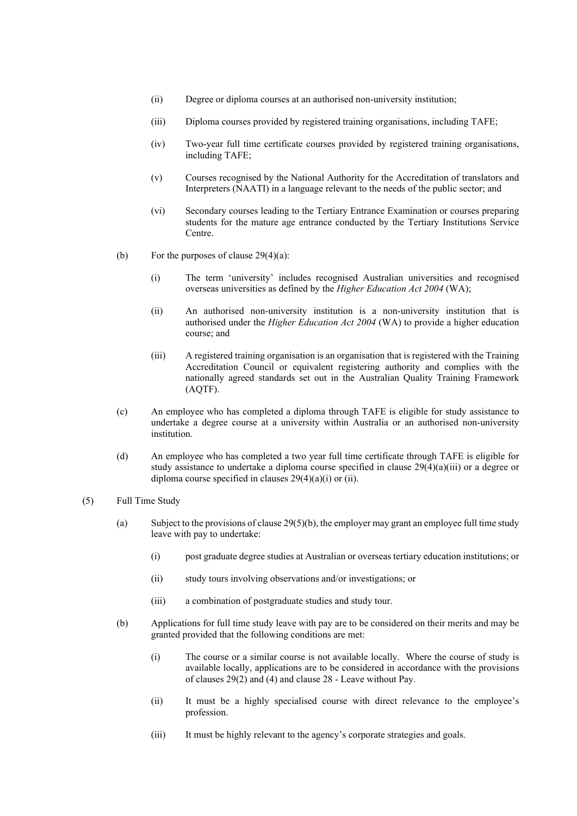- (ii) Degree or diploma courses at an authorised non-university institution;
- (iii) Diploma courses provided by registered training organisations, including TAFE;
- (iv) Two-year full time certificate courses provided by registered training organisations, including TAFE;
- (v) Courses recognised by the National Authority for the Accreditation of translators and Interpreters (NAATI) in a language relevant to the needs of the public sector; and
- (vi) Secondary courses leading to the Tertiary Entrance Examination or courses preparing students for the mature age entrance conducted by the Tertiary Institutions Service Centre.
- (b) For the purposes of clause  $29(4)(a)$ :
	- (i) The term 'university' includes recognised Australian universities and recognised overseas universities as defined by the *Higher Education Act 2004* (WA);
	- (ii) An authorised non-university institution is a non-university institution that is authorised under the *Higher Education Act 2004* (WA) to provide a higher education course; and
	- (iii) A registered training organisation is an organisation that is registered with the Training Accreditation Council or equivalent registering authority and complies with the nationally agreed standards set out in the Australian Quality Training Framework (AQTF).
- (c) An employee who has completed a diploma through TAFE is eligible for study assistance to undertake a degree course at a university within Australia or an authorised non-university institution.
- (d) An employee who has completed a two year full time certificate through TAFE is eligible for study assistance to undertake a diploma course specified in clause  $29(4)(a)(iii)$  or a degree or diploma course specified in clauses  $29(4)(a)(i)$  or (ii).
- (5) Full Time Study
	- (a) Subject to the provisions of clause 29(5)(b), the employer may grant an employee full time study leave with pay to undertake:
		- (i) post graduate degree studies at Australian or overseas tertiary education institutions; or
		- (ii) study tours involving observations and/or investigations; or
		- (iii) a combination of postgraduate studies and study tour.
	- (b) Applications for full time study leave with pay are to be considered on their merits and may be granted provided that the following conditions are met:
		- (i) The course or a similar course is not available locally. Where the course of study is available locally, applications are to be considered in accordance with the provisions of clauses 29(2) and (4) and clause 28 - Leave without Pay.
		- (ii) It must be a highly specialised course with direct relevance to the employee's profession.
		- (iii) It must be highly relevant to the agency's corporate strategies and goals.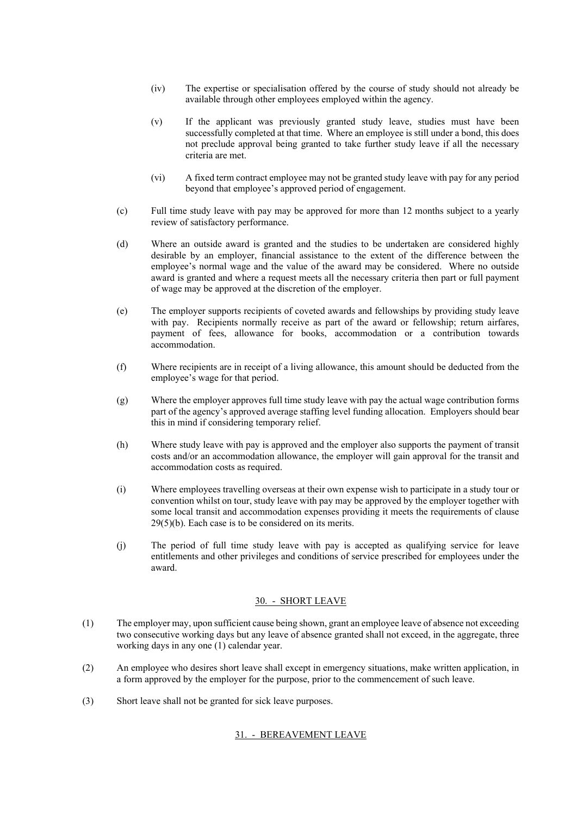- (iv) The expertise or specialisation offered by the course of study should not already be available through other employees employed within the agency.
- (v) If the applicant was previously granted study leave, studies must have been successfully completed at that time. Where an employee is still under a bond, this does not preclude approval being granted to take further study leave if all the necessary criteria are met.
- (vi) A fixed term contract employee may not be granted study leave with pay for any period beyond that employee's approved period of engagement.
- (c) Full time study leave with pay may be approved for more than 12 months subject to a yearly review of satisfactory performance.
- (d) Where an outside award is granted and the studies to be undertaken are considered highly desirable by an employer, financial assistance to the extent of the difference between the employee's normal wage and the value of the award may be considered. Where no outside award is granted and where a request meets all the necessary criteria then part or full payment of wage may be approved at the discretion of the employer.
- (e) The employer supports recipients of coveted awards and fellowships by providing study leave with pay. Recipients normally receive as part of the award or fellowship; return airfares, payment of fees, allowance for books, accommodation or a contribution towards accommodation.
- (f) Where recipients are in receipt of a living allowance, this amount should be deducted from the employee's wage for that period.
- (g) Where the employer approves full time study leave with pay the actual wage contribution forms part of the agency's approved average staffing level funding allocation. Employers should bear this in mind if considering temporary relief.
- (h) Where study leave with pay is approved and the employer also supports the payment of transit costs and/or an accommodation allowance, the employer will gain approval for the transit and accommodation costs as required.
- (i) Where employees travelling overseas at their own expense wish to participate in a study tour or convention whilst on tour, study leave with pay may be approved by the employer together with some local transit and accommodation expenses providing it meets the requirements of clause 29(5)(b). Each case is to be considered on its merits.
- (j) The period of full time study leave with pay is accepted as qualifying service for leave entitlements and other privileges and conditions of service prescribed for employees under the award.

### 30. - SHORT LEAVE

- (1) The employer may, upon sufficient cause being shown, grant an employee leave of absence not exceeding two consecutive working days but any leave of absence granted shall not exceed, in the aggregate, three working days in any one (1) calendar year.
- (2) An employee who desires short leave shall except in emergency situations, make written application, in a form approved by the employer for the purpose, prior to the commencement of such leave.
- (3) Short leave shall not be granted for sick leave purposes.

### 31. - BEREAVEMENT LEAVE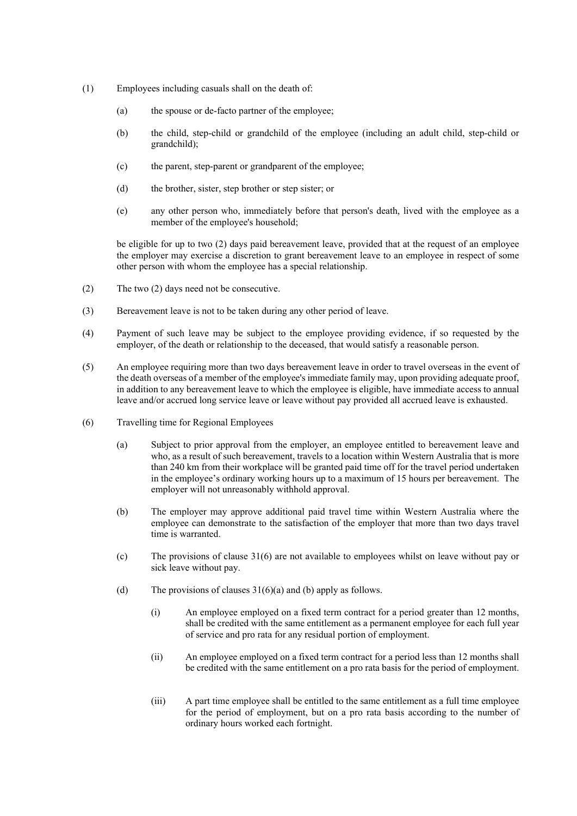- (1) Employees including casuals shall on the death of:
	- (a) the spouse or de-facto partner of the employee;
	- (b) the child, step-child or grandchild of the employee (including an adult child, step-child or grandchild);
	- (c) the parent, step-parent or grandparent of the employee;
	- (d) the brother, sister, step brother or step sister; or
	- (e) any other person who, immediately before that person's death, lived with the employee as a member of the employee's household;

be eligible for up to two (2) days paid bereavement leave, provided that at the request of an employee the employer may exercise a discretion to grant bereavement leave to an employee in respect of some other person with whom the employee has a special relationship.

- (2) The two (2) days need not be consecutive.
- (3) Bereavement leave is not to be taken during any other period of leave.
- (4) Payment of such leave may be subject to the employee providing evidence, if so requested by the employer, of the death or relationship to the deceased, that would satisfy a reasonable person.
- (5) An employee requiring more than two days bereavement leave in order to travel overseas in the event of the death overseas of a member of the employee's immediate family may, upon providing adequate proof, in addition to any bereavement leave to which the employee is eligible, have immediate access to annual leave and/or accrued long service leave or leave without pay provided all accrued leave is exhausted.
- (6) Travelling time for Regional Employees
	- (a) Subject to prior approval from the employer, an employee entitled to bereavement leave and who, as a result of such bereavement, travels to a location within Western Australia that is more than 240 km from their workplace will be granted paid time off for the travel period undertaken in the employee's ordinary working hours up to a maximum of 15 hours per bereavement. The employer will not unreasonably withhold approval.
	- (b) The employer may approve additional paid travel time within Western Australia where the employee can demonstrate to the satisfaction of the employer that more than two days travel time is warranted.
	- (c) The provisions of clause 31(6) are not available to employees whilst on leave without pay or sick leave without pay.
	- (d) The provisions of clauses  $31(6)(a)$  and (b) apply as follows.
		- (i) An employee employed on a fixed term contract for a period greater than 12 months, shall be credited with the same entitlement as a permanent employee for each full year of service and pro rata for any residual portion of employment.
		- (ii) An employee employed on a fixed term contract for a period less than 12 months shall be credited with the same entitlement on a pro rata basis for the period of employment.
		- (iii) A part time employee shall be entitled to the same entitlement as a full time employee for the period of employment, but on a pro rata basis according to the number of ordinary hours worked each fortnight.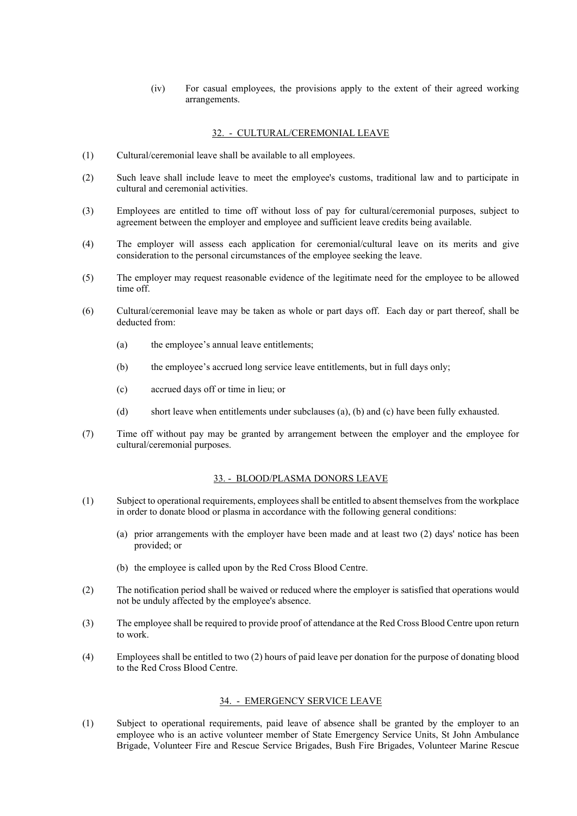(iv) For casual employees, the provisions apply to the extent of their agreed working arrangements.

#### 32. - CULTURAL/CEREMONIAL LEAVE

- (1) Cultural/ceremonial leave shall be available to all employees.
- (2) Such leave shall include leave to meet the employee's customs, traditional law and to participate in cultural and ceremonial activities.
- (3) Employees are entitled to time off without loss of pay for cultural/ceremonial purposes, subject to agreement between the employer and employee and sufficient leave credits being available.
- (4) The employer will assess each application for ceremonial/cultural leave on its merits and give consideration to the personal circumstances of the employee seeking the leave.
- (5) The employer may request reasonable evidence of the legitimate need for the employee to be allowed time off.
- (6) Cultural/ceremonial leave may be taken as whole or part days off. Each day or part thereof, shall be deducted from:
	- (a) the employee's annual leave entitlements;
	- (b) the employee's accrued long service leave entitlements, but in full days only;
	- (c) accrued days off or time in lieu; or
	- (d) short leave when entitlements under subclauses (a), (b) and (c) have been fully exhausted.
- (7) Time off without pay may be granted by arrangement between the employer and the employee for cultural/ceremonial purposes.

#### 33. - BLOOD/PLASMA DONORS LEAVE

- (1) Subject to operational requirements, employees shall be entitled to absent themselves from the workplace in order to donate blood or plasma in accordance with the following general conditions:
	- (a) prior arrangements with the employer have been made and at least two (2) days' notice has been provided; or
	- (b) the employee is called upon by the Red Cross Blood Centre.
- (2) The notification period shall be waived or reduced where the employer is satisfied that operations would not be unduly affected by the employee's absence.
- (3) The employee shall be required to provide proof of attendance at the Red Cross Blood Centre upon return to work.
- (4) Employees shall be entitled to two (2) hours of paid leave per donation for the purpose of donating blood to the Red Cross Blood Centre.

### 34. - EMERGENCY SERVICE LEAVE

(1) Subject to operational requirements, paid leave of absence shall be granted by the employer to an employee who is an active volunteer member of State Emergency Service Units, St John Ambulance Brigade, Volunteer Fire and Rescue Service Brigades, Bush Fire Brigades, Volunteer Marine Rescue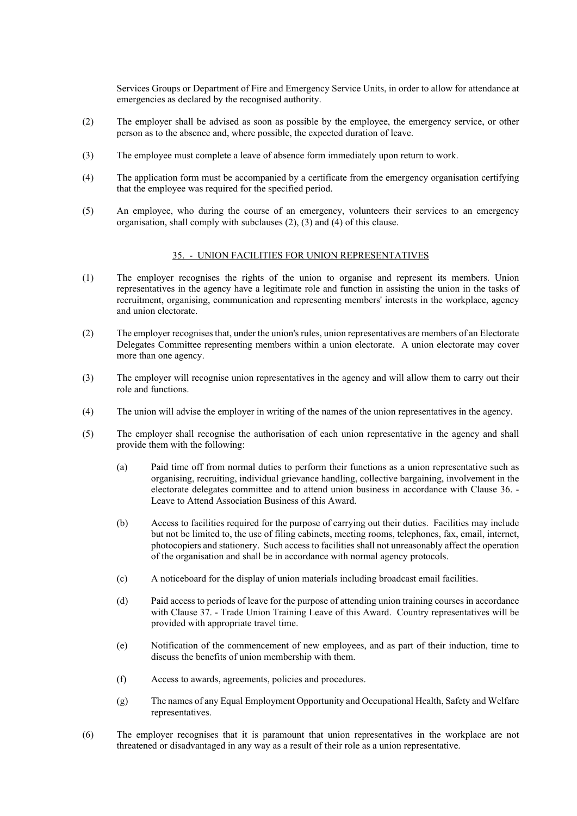Services Groups or Department of Fire and Emergency Service Units, in order to allow for attendance at emergencies as declared by the recognised authority.

- (2) The employer shall be advised as soon as possible by the employee, the emergency service, or other person as to the absence and, where possible, the expected duration of leave.
- (3) The employee must complete a leave of absence form immediately upon return to work.
- (4) The application form must be accompanied by a certificate from the emergency organisation certifying that the employee was required for the specified period.
- (5) An employee, who during the course of an emergency, volunteers their services to an emergency organisation, shall comply with subclauses (2), (3) and (4) of this clause.

### 35. - UNION FACILITIES FOR UNION REPRESENTATIVES

- (1) The employer recognises the rights of the union to organise and represent its members. Union representatives in the agency have a legitimate role and function in assisting the union in the tasks of recruitment, organising, communication and representing members' interests in the workplace, agency and union electorate.
- (2) The employer recognises that, under the union's rules, union representatives are members of an Electorate Delegates Committee representing members within a union electorate. A union electorate may cover more than one agency.
- (3) The employer will recognise union representatives in the agency and will allow them to carry out their role and functions.
- (4) The union will advise the employer in writing of the names of the union representatives in the agency.
- (5) The employer shall recognise the authorisation of each union representative in the agency and shall provide them with the following:
	- (a) Paid time off from normal duties to perform their functions as a union representative such as organising, recruiting, individual grievance handling, collective bargaining, involvement in the electorate delegates committee and to attend union business in accordance with Clause 36. - Leave to Attend Association Business of this Award.
	- (b) Access to facilities required for the purpose of carrying out their duties. Facilities may include but not be limited to, the use of filing cabinets, meeting rooms, telephones, fax, email, internet, photocopiers and stationery. Such access to facilities shall not unreasonably affect the operation of the organisation and shall be in accordance with normal agency protocols.
	- (c) A noticeboard for the display of union materials including broadcast email facilities.
	- (d) Paid access to periods of leave for the purpose of attending union training courses in accordance with Clause 37. - Trade Union Training Leave of this Award. Country representatives will be provided with appropriate travel time.
	- (e) Notification of the commencement of new employees, and as part of their induction, time to discuss the benefits of union membership with them.
	- (f) Access to awards, agreements, policies and procedures.
	- (g) The names of any Equal Employment Opportunity and Occupational Health, Safety and Welfare representatives.
- (6) The employer recognises that it is paramount that union representatives in the workplace are not threatened or disadvantaged in any way as a result of their role as a union representative.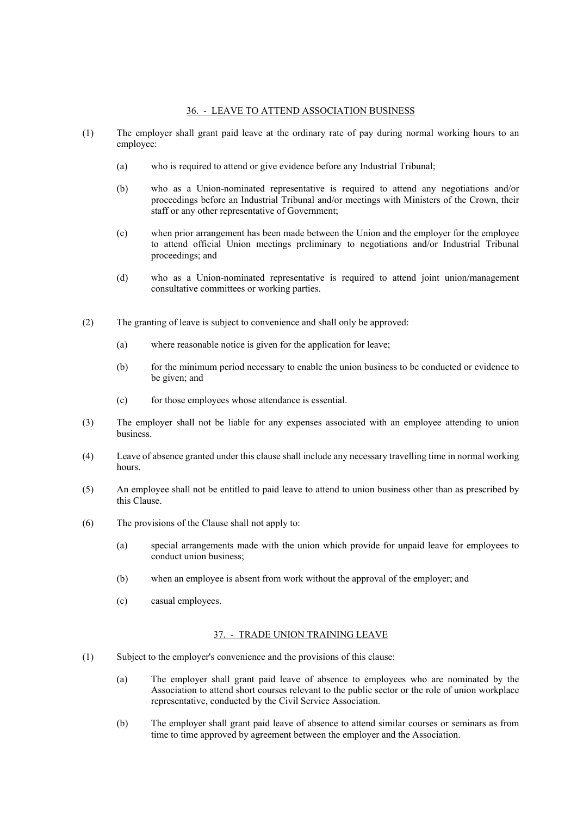### 36. - LEAVE TO ATTEND ASSOCIATION BUSINESS

- (1) The employer shall grant paid leave at the ordinary rate of pay during normal working hours to an employee:
	- (a) who is required to attend or give evidence before any Industrial Tribunal;
	- (b) who as a Union-nominated representative is required to attend any negotiations and/or proceedings before an Industrial Tribunal and/or meetings with Ministers of the Crown, their staff or any other representative of Government;
	- (c) when prior arrangement has been made between the Union and the employer for the employee to attend official Union meetings preliminary to negotiations and/or Industrial Tribunal proceedings; and
	- (d) who as a Union-nominated representative is required to attend joint union/management consultative committees or working parties.
- (2) The granting of leave is subject to convenience and shall only be approved:
	- (a) where reasonable notice is given for the application for leave;
	- (b) for the minimum period necessary to enable the union business to be conducted or evidence to be given; and
	- (c) for those employees whose attendance is essential.
- (3) The employer shall not be liable for any expenses associated with an employee attending to union business.
- (4) Leave of absence granted under this clause shall include any necessary travelling time in normal working hours.
- (5) An employee shall not be entitled to paid leave to attend to union business other than as prescribed by this Clause.
- (6) The provisions of the Clause shall not apply to:
	- (a) special arrangements made with the union which provide for unpaid leave for employees to conduct union business;
	- (b) when an employee is absent from work without the approval of the employer; and
	- (c) casual employees.

### 37. - TRADE UNION TRAINING LEAVE

- (1) Subject to the employer's convenience and the provisions of this clause:
	- (a) The employer shall grant paid leave of absence to employees who are nominated by the Association to attend short courses relevant to the public sector or the role of union workplace representative, conducted by the Civil Service Association.
	- (b) The employer shall grant paid leave of absence to attend similar courses or seminars as from time to time approved by agreement between the employer and the Association.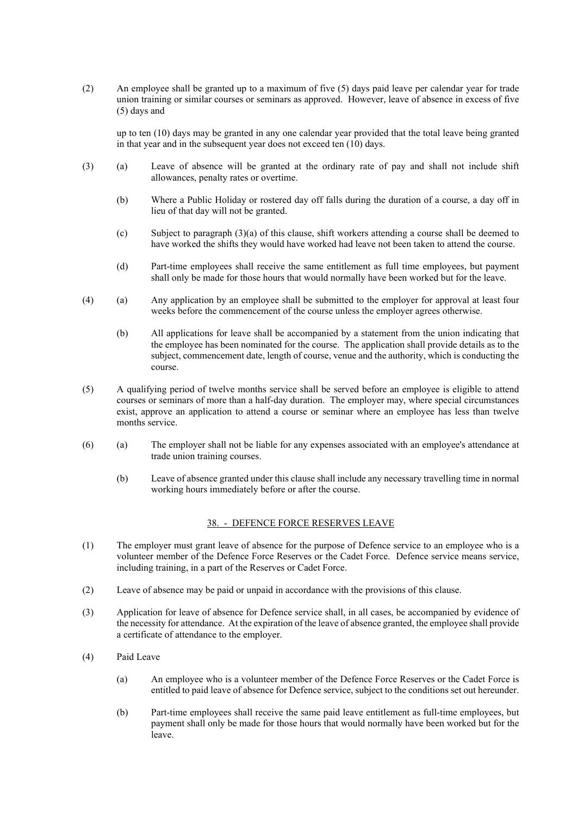(2) An employee shall be granted up to a maximum of five (5) days paid leave per calendar year for trade union training or similar courses or seminars as approved. However, leave of absence in excess of five (5) days and

up to ten (10) days may be granted in any one calendar year provided that the total leave being granted in that year and in the subsequent year does not exceed ten (10) days.

- (3) (a) Leave of absence will be granted at the ordinary rate of pay and shall not include shift allowances, penalty rates or overtime.
	- (b) Where a Public Holiday or rostered day off falls during the duration of a course, a day off in lieu of that day will not be granted.
	- (c) Subject to paragraph (3)(a) of this clause, shift workers attending a course shall be deemed to have worked the shifts they would have worked had leave not been taken to attend the course.
	- (d) Part-time employees shall receive the same entitlement as full time employees, but payment shall only be made for those hours that would normally have been worked but for the leave.
- (4) (a) Any application by an employee shall be submitted to the employer for approval at least four weeks before the commencement of the course unless the employer agrees otherwise.
	- (b) All applications for leave shall be accompanied by a statement from the union indicating that the employee has been nominated for the course. The application shall provide details as to the subject, commencement date, length of course, venue and the authority, which is conducting the course.
- (5) A qualifying period of twelve months service shall be served before an employee is eligible to attend courses or seminars of more than a half-day duration. The employer may, where special circumstances exist, approve an application to attend a course or seminar where an employee has less than twelve months service.
- (6) (a) The employer shall not be liable for any expenses associated with an employee's attendance at trade union training courses.
	- (b) Leave of absence granted under this clause shall include any necessary travelling time in normal working hours immediately before or after the course.

# 38. - DEFENCE FORCE RESERVES LEAVE

- (1) The employer must grant leave of absence for the purpose of Defence service to an employee who is a volunteer member of the Defence Force Reserves or the Cadet Force. Defence service means service, including training, in a part of the Reserves or Cadet Force.
- (2) Leave of absence may be paid or unpaid in accordance with the provisions of this clause.
- (3) Application for leave of absence for Defence service shall, in all cases, be accompanied by evidence of the necessity for attendance. At the expiration of the leave of absence granted, the employee shall provide a certificate of attendance to the employer.
- (4) Paid Leave
	- (a) An employee who is a volunteer member of the Defence Force Reserves or the Cadet Force is entitled to paid leave of absence for Defence service, subject to the conditions set out hereunder.
	- (b) Part-time employees shall receive the same paid leave entitlement as full-time employees, but payment shall only be made for those hours that would normally have been worked but for the leave.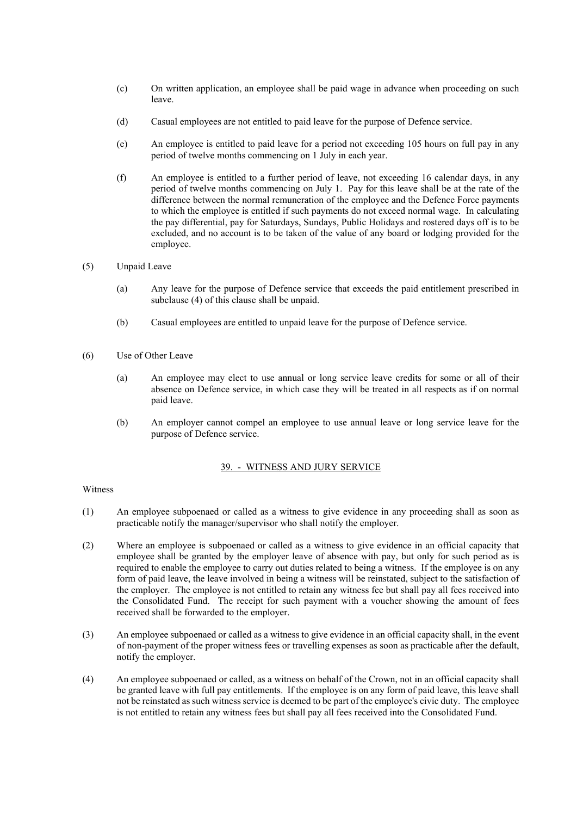- (c) On written application, an employee shall be paid wage in advance when proceeding on such leave.
- (d) Casual employees are not entitled to paid leave for the purpose of Defence service.
- (e) An employee is entitled to paid leave for a period not exceeding 105 hours on full pay in any period of twelve months commencing on 1 July in each year.
- (f) An employee is entitled to a further period of leave, not exceeding 16 calendar days, in any period of twelve months commencing on July 1. Pay for this leave shall be at the rate of the difference between the normal remuneration of the employee and the Defence Force payments to which the employee is entitled if such payments do not exceed normal wage. In calculating the pay differential, pay for Saturdays, Sundays, Public Holidays and rostered days off is to be excluded, and no account is to be taken of the value of any board or lodging provided for the employee.
- (5) Unpaid Leave
	- (a) Any leave for the purpose of Defence service that exceeds the paid entitlement prescribed in subclause (4) of this clause shall be unpaid.
	- (b) Casual employees are entitled to unpaid leave for the purpose of Defence service.
- (6) Use of Other Leave
	- (a) An employee may elect to use annual or long service leave credits for some or all of their absence on Defence service, in which case they will be treated in all respects as if on normal paid leave.
	- (b) An employer cannot compel an employee to use annual leave or long service leave for the purpose of Defence service.

### 39. - WITNESS AND JURY SERVICE

Witness

- (1) An employee subpoenaed or called as a witness to give evidence in any proceeding shall as soon as practicable notify the manager/supervisor who shall notify the employer.
- (2) Where an employee is subpoenaed or called as a witness to give evidence in an official capacity that employee shall be granted by the employer leave of absence with pay, but only for such period as is required to enable the employee to carry out duties related to being a witness. If the employee is on any form of paid leave, the leave involved in being a witness will be reinstated, subject to the satisfaction of the employer. The employee is not entitled to retain any witness fee but shall pay all fees received into the Consolidated Fund. The receipt for such payment with a voucher showing the amount of fees received shall be forwarded to the employer.
- (3) An employee subpoenaed or called as a witness to give evidence in an official capacity shall, in the event of non-payment of the proper witness fees or travelling expenses as soon as practicable after the default, notify the employer.
- (4) An employee subpoenaed or called, as a witness on behalf of the Crown, not in an official capacity shall be granted leave with full pay entitlements. If the employee is on any form of paid leave, this leave shall not be reinstated as such witness service is deemed to be part of the employee's civic duty. The employee is not entitled to retain any witness fees but shall pay all fees received into the Consolidated Fund.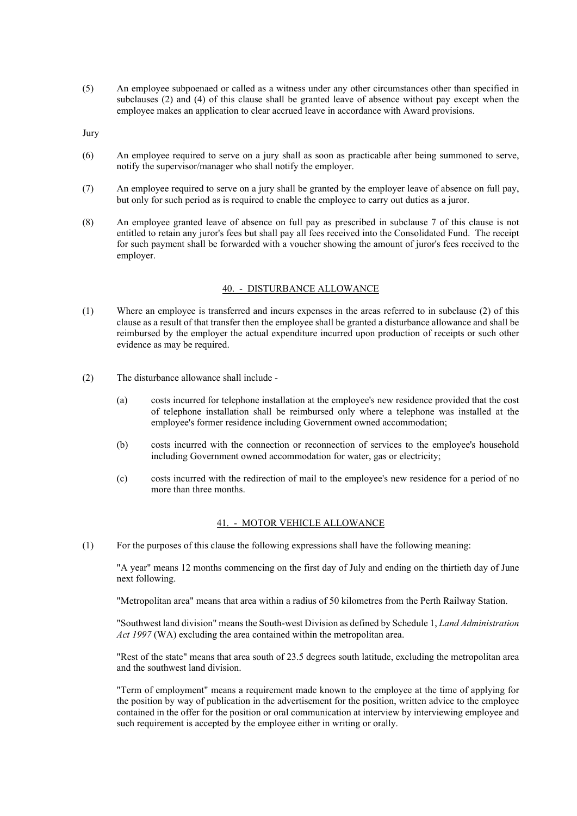(5) An employee subpoenaed or called as a witness under any other circumstances other than specified in subclauses (2) and (4) of this clause shall be granted leave of absence without pay except when the employee makes an application to clear accrued leave in accordance with Award provisions.

Jury

- (6) An employee required to serve on a jury shall as soon as practicable after being summoned to serve, notify the supervisor/manager who shall notify the employer.
- (7) An employee required to serve on a jury shall be granted by the employer leave of absence on full pay, but only for such period as is required to enable the employee to carry out duties as a juror.
- (8) An employee granted leave of absence on full pay as prescribed in subclause 7 of this clause is not entitled to retain any juror's fees but shall pay all fees received into the Consolidated Fund. The receipt for such payment shall be forwarded with a voucher showing the amount of juror's fees received to the employer.

#### 40. - DISTURBANCE ALLOWANCE

- (1) Where an employee is transferred and incurs expenses in the areas referred to in subclause (2) of this clause as a result of that transfer then the employee shall be granted a disturbance allowance and shall be reimbursed by the employer the actual expenditure incurred upon production of receipts or such other evidence as may be required.
- (2) The disturbance allowance shall include
	- (a) costs incurred for telephone installation at the employee's new residence provided that the cost of telephone installation shall be reimbursed only where a telephone was installed at the employee's former residence including Government owned accommodation;
	- (b) costs incurred with the connection or reconnection of services to the employee's household including Government owned accommodation for water, gas or electricity;
	- (c) costs incurred with the redirection of mail to the employee's new residence for a period of no more than three months.

#### 41. - MOTOR VEHICLE ALLOWANCE

(1) For the purposes of this clause the following expressions shall have the following meaning:

"A year" means 12 months commencing on the first day of July and ending on the thirtieth day of June next following.

"Metropolitan area" means that area within a radius of 50 kilometres from the Perth Railway Station.

"Southwest land division" means the South-west Division as defined by Schedule 1, *Land Administration Act 1997* (WA) excluding the area contained within the metropolitan area.

"Rest of the state" means that area south of 23.5 degrees south latitude, excluding the metropolitan area and the southwest land division.

"Term of employment" means a requirement made known to the employee at the time of applying for the position by way of publication in the advertisement for the position, written advice to the employee contained in the offer for the position or oral communication at interview by interviewing employee and such requirement is accepted by the employee either in writing or orally.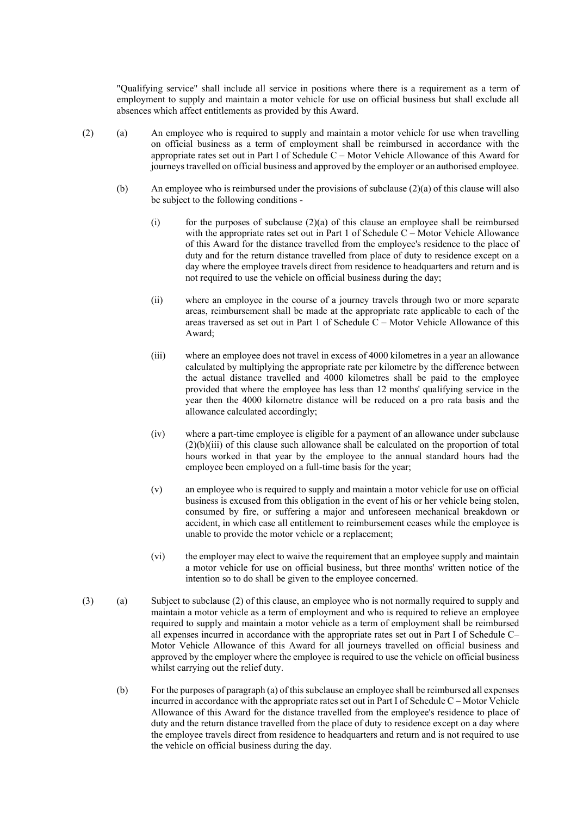"Qualifying service" shall include all service in positions where there is a requirement as a term of employment to supply and maintain a motor vehicle for use on official business but shall exclude all absences which affect entitlements as provided by this Award.

- (2) (a) An employee who is required to supply and maintain a motor vehicle for use when travelling on official business as a term of employment shall be reimbursed in accordance with the appropriate rates set out in Part I of Schedule C – Motor Vehicle Allowance of this Award for journeys travelled on official business and approved by the employer or an authorised employee.
	- (b) An employee who is reimbursed under the provisions of subclause (2)(a) of this clause will also be subject to the following conditions -
		- (i) for the purposes of subclause  $(2)(a)$  of this clause an employee shall be reimbursed with the appropriate rates set out in Part 1 of Schedule C – Motor Vehicle Allowance of this Award for the distance travelled from the employee's residence to the place of duty and for the return distance travelled from place of duty to residence except on a day where the employee travels direct from residence to headquarters and return and is not required to use the vehicle on official business during the day;
		- (ii) where an employee in the course of a journey travels through two or more separate areas, reimbursement shall be made at the appropriate rate applicable to each of the areas traversed as set out in Part 1 of Schedule C – Motor Vehicle Allowance of this Award;
		- (iii) where an employee does not travel in excess of 4000 kilometres in a year an allowance calculated by multiplying the appropriate rate per kilometre by the difference between the actual distance travelled and 4000 kilometres shall be paid to the employee provided that where the employee has less than 12 months' qualifying service in the year then the 4000 kilometre distance will be reduced on a pro rata basis and the allowance calculated accordingly;
		- (iv) where a part-time employee is eligible for a payment of an allowance under subclause  $(2)(b)(iii)$  of this clause such allowance shall be calculated on the proportion of total hours worked in that year by the employee to the annual standard hours had the employee been employed on a full-time basis for the year;
		- (v) an employee who is required to supply and maintain a motor vehicle for use on official business is excused from this obligation in the event of his or her vehicle being stolen, consumed by fire, or suffering a major and unforeseen mechanical breakdown or accident, in which case all entitlement to reimbursement ceases while the employee is unable to provide the motor vehicle or a replacement;
		- (vi) the employer may elect to waive the requirement that an employee supply and maintain a motor vehicle for use on official business, but three months' written notice of the intention so to do shall be given to the employee concerned.
- (3) (a) Subject to subclause (2) of this clause, an employee who is not normally required to supply and maintain a motor vehicle as a term of employment and who is required to relieve an employee required to supply and maintain a motor vehicle as a term of employment shall be reimbursed all expenses incurred in accordance with the appropriate rates set out in Part I of Schedule C– Motor Vehicle Allowance of this Award for all journeys travelled on official business and approved by the employer where the employee is required to use the vehicle on official business whilst carrying out the relief duty.
	- (b) For the purposes of paragraph (a) of this subclause an employee shall be reimbursed all expenses incurred in accordance with the appropriate rates set out in Part I of Schedule C – Motor Vehicle Allowance of this Award for the distance travelled from the employee's residence to place of duty and the return distance travelled from the place of duty to residence except on a day where the employee travels direct from residence to headquarters and return and is not required to use the vehicle on official business during the day.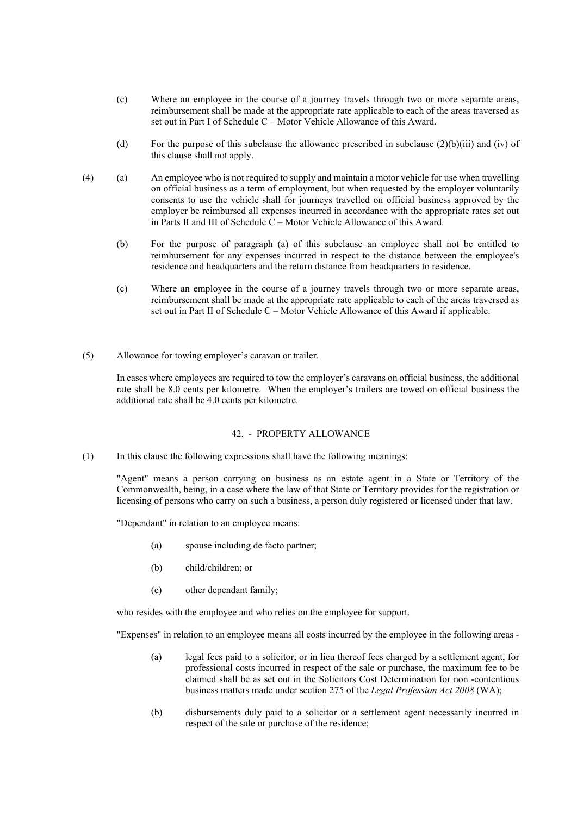- (c) Where an employee in the course of a journey travels through two or more separate areas, reimbursement shall be made at the appropriate rate applicable to each of the areas traversed as set out in Part I of Schedule C – Motor Vehicle Allowance of this Award.
- (d) For the purpose of this subclause the allowance prescribed in subclause  $(2)(b)(iii)$  and (iv) of this clause shall not apply.
- (4) (a) An employee who is not required to supply and maintain a motor vehicle for use when travelling on official business as a term of employment, but when requested by the employer voluntarily consents to use the vehicle shall for journeys travelled on official business approved by the employer be reimbursed all expenses incurred in accordance with the appropriate rates set out in Parts II and III of Schedule C – Motor Vehicle Allowance of this Award.
	- (b) For the purpose of paragraph (a) of this subclause an employee shall not be entitled to reimbursement for any expenses incurred in respect to the distance between the employee's residence and headquarters and the return distance from headquarters to residence.
	- (c) Where an employee in the course of a journey travels through two or more separate areas, reimbursement shall be made at the appropriate rate applicable to each of the areas traversed as set out in Part II of Schedule C – Motor Vehicle Allowance of this Award if applicable.
- (5) Allowance for towing employer's caravan or trailer.

In cases where employees are required to tow the employer's caravans on official business, the additional rate shall be 8.0 cents per kilometre. When the employer's trailers are towed on official business the additional rate shall be 4.0 cents per kilometre.

#### 42. - PROPERTY ALLOWANCE

(1) In this clause the following expressions shall have the following meanings:

"Agent" means a person carrying on business as an estate agent in a State or Territory of the Commonwealth, being, in a case where the law of that State or Territory provides for the registration or licensing of persons who carry on such a business, a person duly registered or licensed under that law.

"Dependant" in relation to an employee means:

- (a) spouse including de facto partner;
- (b) child/children; or
- (c) other dependant family;

who resides with the employee and who relies on the employee for support.

"Expenses" in relation to an employee means all costs incurred by the employee in the following areas -

- (a) legal fees paid to a solicitor, or in lieu thereof fees charged by a settlement agent, for professional costs incurred in respect of the sale or purchase, the maximum fee to be claimed shall be as set out in the Solicitors Cost Determination for non -contentious business matters made under section 275 of the *Legal Profession Act 2008* (WA);
- (b) disbursements duly paid to a solicitor or a settlement agent necessarily incurred in respect of the sale or purchase of the residence;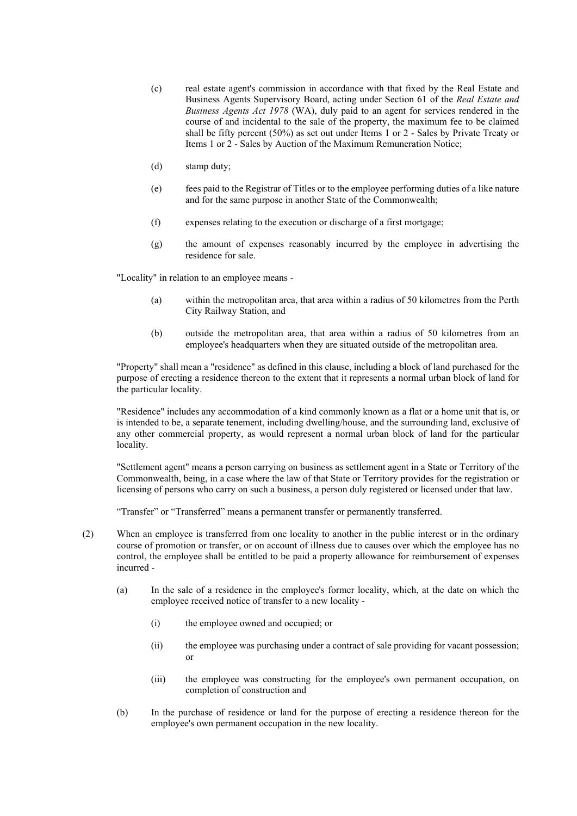- (c) real estate agent's commission in accordance with that fixed by the Real Estate and Business Agents Supervisory Board, acting under Section 61 of the *Real Estate and Business Agents Act 1978* (WA), duly paid to an agent for services rendered in the course of and incidental to the sale of the property, the maximum fee to be claimed shall be fifty percent (50%) as set out under Items 1 or 2 - Sales by Private Treaty or Items 1 or 2 - Sales by Auction of the Maximum Remuneration Notice;
- (d) stamp duty;
- (e) fees paid to the Registrar of Titles or to the employee performing duties of a like nature and for the same purpose in another State of the Commonwealth;
- (f) expenses relating to the execution or discharge of a first mortgage;
- (g) the amount of expenses reasonably incurred by the employee in advertising the residence for sale.

"Locality" in relation to an employee means -

- (a) within the metropolitan area, that area within a radius of 50 kilometres from the Perth City Railway Station, and
- (b) outside the metropolitan area, that area within a radius of 50 kilometres from an employee's headquarters when they are situated outside of the metropolitan area.

"Property" shall mean a "residence" as defined in this clause, including a block of land purchased for the purpose of erecting a residence thereon to the extent that it represents a normal urban block of land for the particular locality.

"Residence" includes any accommodation of a kind commonly known as a flat or a home unit that is, or is intended to be, a separate tenement, including dwelling/house, and the surrounding land, exclusive of any other commercial property, as would represent a normal urban block of land for the particular locality.

"Settlement agent" means a person carrying on business as settlement agent in a State or Territory of the Commonwealth, being, in a case where the law of that State or Territory provides for the registration or licensing of persons who carry on such a business, a person duly registered or licensed under that law.

"Transfer" or "Transferred" means a permanent transfer or permanently transferred.

- (2) When an employee is transferred from one locality to another in the public interest or in the ordinary course of promotion or transfer, or on account of illness due to causes over which the employee has no control, the employee shall be entitled to be paid a property allowance for reimbursement of expenses incurred -
	- (a) In the sale of a residence in the employee's former locality, which, at the date on which the employee received notice of transfer to a new locality -
		- (i) the employee owned and occupied; or
		- (ii) the employee was purchasing under a contract of sale providing for vacant possession; or
		- (iii) the employee was constructing for the employee's own permanent occupation, on completion of construction and
	- (b) In the purchase of residence or land for the purpose of erecting a residence thereon for the employee's own permanent occupation in the new locality.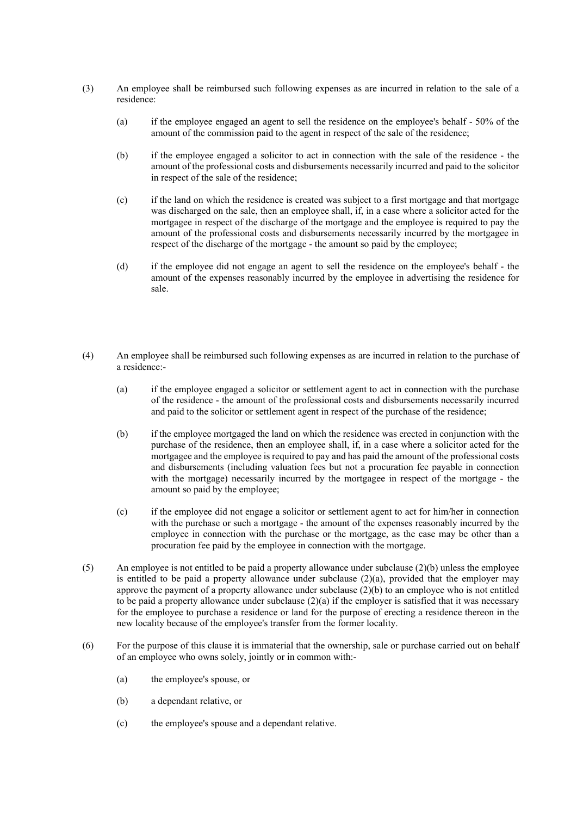- (3) An employee shall be reimbursed such following expenses as are incurred in relation to the sale of a residence:
	- (a) if the employee engaged an agent to sell the residence on the employee's behalf 50% of the amount of the commission paid to the agent in respect of the sale of the residence;
	- (b) if the employee engaged a solicitor to act in connection with the sale of the residence the amount of the professional costs and disbursements necessarily incurred and paid to the solicitor in respect of the sale of the residence;
	- (c) if the land on which the residence is created was subject to a first mortgage and that mortgage was discharged on the sale, then an employee shall, if, in a case where a solicitor acted for the mortgagee in respect of the discharge of the mortgage and the employee is required to pay the amount of the professional costs and disbursements necessarily incurred by the mortgagee in respect of the discharge of the mortgage - the amount so paid by the employee;
	- (d) if the employee did not engage an agent to sell the residence on the employee's behalf the amount of the expenses reasonably incurred by the employee in advertising the residence for sale.
- (4) An employee shall be reimbursed such following expenses as are incurred in relation to the purchase of a residence:-
	- (a) if the employee engaged a solicitor or settlement agent to act in connection with the purchase of the residence - the amount of the professional costs and disbursements necessarily incurred and paid to the solicitor or settlement agent in respect of the purchase of the residence;
	- (b) if the employee mortgaged the land on which the residence was erected in conjunction with the purchase of the residence, then an employee shall, if, in a case where a solicitor acted for the mortgagee and the employee is required to pay and has paid the amount of the professional costs and disbursements (including valuation fees but not a procuration fee payable in connection with the mortgage) necessarily incurred by the mortgagee in respect of the mortgage - the amount so paid by the employee;
	- (c) if the employee did not engage a solicitor or settlement agent to act for him/her in connection with the purchase or such a mortgage - the amount of the expenses reasonably incurred by the employee in connection with the purchase or the mortgage, as the case may be other than a procuration fee paid by the employee in connection with the mortgage.
- (5) An employee is not entitled to be paid a property allowance under subclause (2)(b) unless the employee is entitled to be paid a property allowance under subclause  $(2)(a)$ , provided that the employer may approve the payment of a property allowance under subclause (2)(b) to an employee who is not entitled to be paid a property allowance under subclause  $(2)(a)$  if the employer is satisfied that it was necessary for the employee to purchase a residence or land for the purpose of erecting a residence thereon in the new locality because of the employee's transfer from the former locality.
- (6) For the purpose of this clause it is immaterial that the ownership, sale or purchase carried out on behalf of an employee who owns solely, jointly or in common with:-
	- (a) the employee's spouse, or
	- (b) a dependant relative, or
	- (c) the employee's spouse and a dependant relative.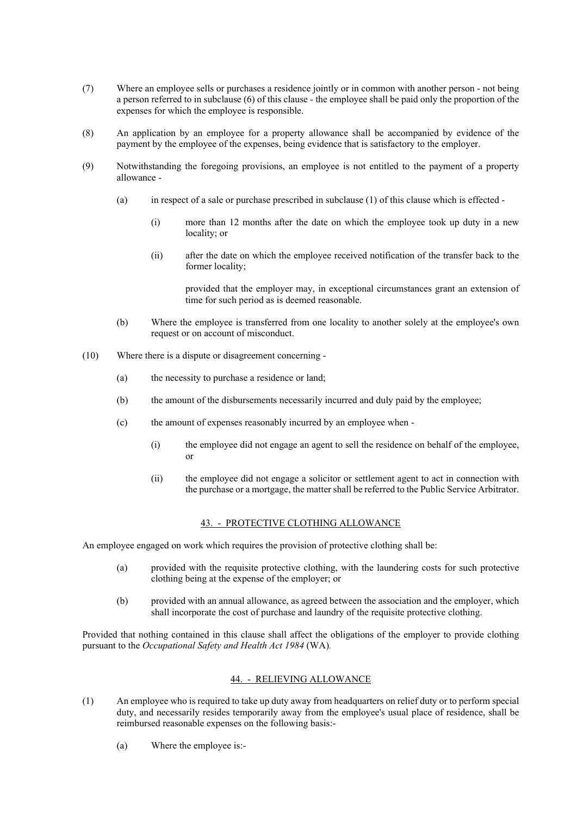- (7) Where an employee sells or purchases a residence jointly or in common with another person not being a person referred to in subclause (6) of this clause - the employee shall be paid only the proportion of the expenses for which the employee is responsible.
- (8) An application by an employee for a property allowance shall be accompanied by evidence of the payment by the employee of the expenses, being evidence that is satisfactory to the employer.
- (9) Notwithstanding the foregoing provisions, an employee is not entitled to the payment of a property allowance -
	- (a) in respect of a sale or purchase prescribed in subclause (1) of this clause which is effected
		- (i) more than 12 months after the date on which the employee took up duty in a new locality; or
		- (ii) after the date on which the employee received notification of the transfer back to the former locality;

provided that the employer may, in exceptional circumstances grant an extension of time for such period as is deemed reasonable.

- (b) Where the employee is transferred from one locality to another solely at the employee's own request or on account of misconduct.
- (10) Where there is a dispute or disagreement concerning
	- (a) the necessity to purchase a residence or land;
	- (b) the amount of the disbursements necessarily incurred and duly paid by the employee;
	- (c) the amount of expenses reasonably incurred by an employee when
		- (i) the employee did not engage an agent to sell the residence on behalf of the employee, or
		- (ii) the employee did not engage a solicitor or settlement agent to act in connection with the purchase or a mortgage, the matter shall be referred to the Public Service Arbitrator.

### 43. - PROTECTIVE CLOTHING ALLOWANCE

An employee engaged on work which requires the provision of protective clothing shall be:

- (a) provided with the requisite protective clothing, with the laundering costs for such protective clothing being at the expense of the employer; or
- (b) provided with an annual allowance, as agreed between the association and the employer, which shall incorporate the cost of purchase and laundry of the requisite protective clothing.

Provided that nothing contained in this clause shall affect the obligations of the employer to provide clothing pursuant to the *Occupational Safety and Health Act 1984* (WA)*.*

### 44. - RELIEVING ALLOWANCE

- (1) An employee who is required to take up duty away from headquarters on relief duty or to perform special duty, and necessarily resides temporarily away from the employee's usual place of residence, shall be reimbursed reasonable expenses on the following basis:-
	- (a) Where the employee is:-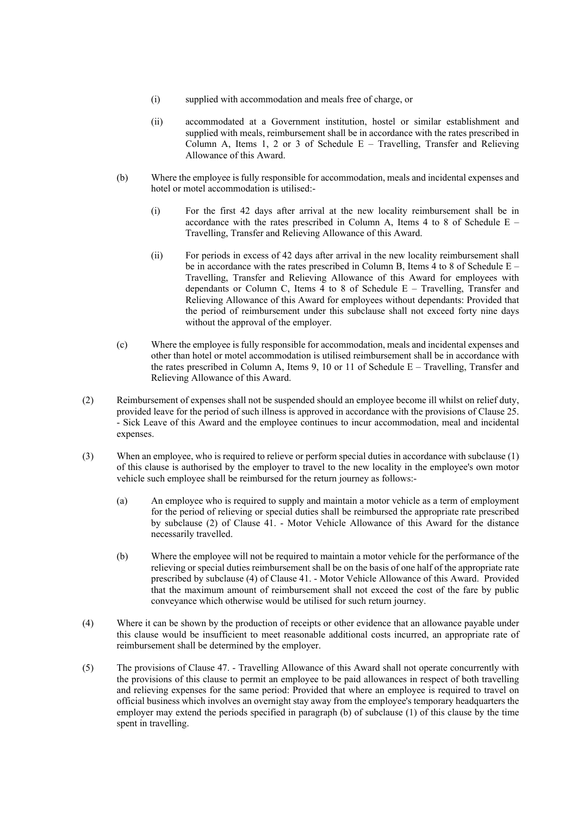- (i) supplied with accommodation and meals free of charge, or
- (ii) accommodated at a Government institution, hostel or similar establishment and supplied with meals, reimbursement shall be in accordance with the rates prescribed in Column A, Items 1, 2 or 3 of Schedule  $E -$  Travelling, Transfer and Relieving Allowance of this Award.
- (b) Where the employee is fully responsible for accommodation, meals and incidental expenses and hotel or motel accommodation is utilised:-
	- (i) For the first 42 days after arrival at the new locality reimbursement shall be in accordance with the rates prescribed in Column A, Items 4 to 8 of Schedule  $E -$ Travelling, Transfer and Relieving Allowance of this Award.
	- (ii) For periods in excess of 42 days after arrival in the new locality reimbursement shall be in accordance with the rates prescribed in Column B. Items 4 to 8 of Schedule  $E -$ Travelling, Transfer and Relieving Allowance of this Award for employees with dependants or Column C, Items 4 to 8 of Schedule E – Travelling, Transfer and Relieving Allowance of this Award for employees without dependants: Provided that the period of reimbursement under this subclause shall not exceed forty nine days without the approval of the employer.
- (c) Where the employee is fully responsible for accommodation, meals and incidental expenses and other than hotel or motel accommodation is utilised reimbursement shall be in accordance with the rates prescribed in Column A, Items 9, 10 or 11 of Schedule  $E - Travelling$ . Transfer and Relieving Allowance of this Award.
- (2) Reimbursement of expenses shall not be suspended should an employee become ill whilst on relief duty, provided leave for the period of such illness is approved in accordance with the provisions of Clause 25. - Sick Leave of this Award and the employee continues to incur accommodation, meal and incidental expenses.
- (3) When an employee, who is required to relieve or perform special duties in accordance with subclause (1) of this clause is authorised by the employer to travel to the new locality in the employee's own motor vehicle such employee shall be reimbursed for the return journey as follows:-
	- (a) An employee who is required to supply and maintain a motor vehicle as a term of employment for the period of relieving or special duties shall be reimbursed the appropriate rate prescribed by subclause (2) of Clause 41. - Motor Vehicle Allowance of this Award for the distance necessarily travelled.
	- (b) Where the employee will not be required to maintain a motor vehicle for the performance of the relieving or special duties reimbursement shall be on the basis of one half of the appropriate rate prescribed by subclause (4) of Clause 41. - Motor Vehicle Allowance of this Award. Provided that the maximum amount of reimbursement shall not exceed the cost of the fare by public conveyance which otherwise would be utilised for such return journey.
- (4) Where it can be shown by the production of receipts or other evidence that an allowance payable under this clause would be insufficient to meet reasonable additional costs incurred, an appropriate rate of reimbursement shall be determined by the employer.
- (5) The provisions of Clause 47. Travelling Allowance of this Award shall not operate concurrently with the provisions of this clause to permit an employee to be paid allowances in respect of both travelling and relieving expenses for the same period: Provided that where an employee is required to travel on official business which involves an overnight stay away from the employee's temporary headquarters the employer may extend the periods specified in paragraph (b) of subclause (1) of this clause by the time spent in travelling.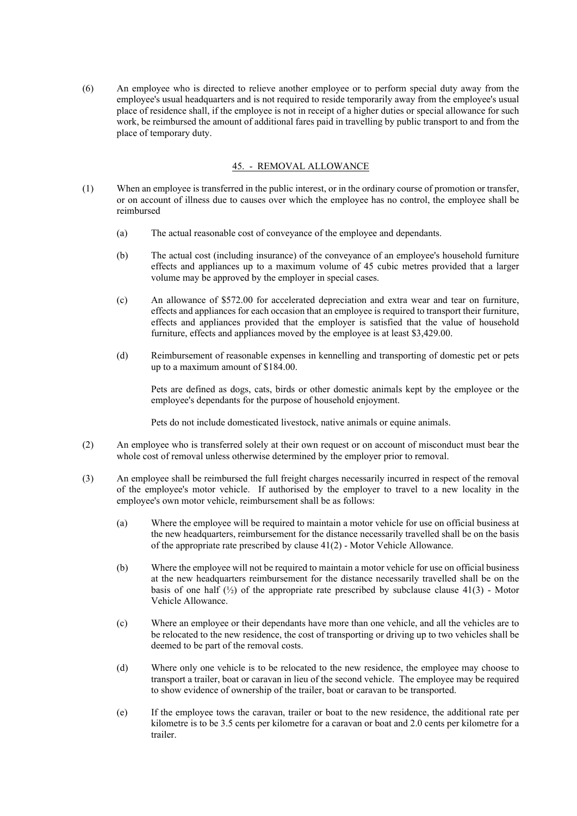(6) An employee who is directed to relieve another employee or to perform special duty away from the employee's usual headquarters and is not required to reside temporarily away from the employee's usual place of residence shall, if the employee is not in receipt of a higher duties or special allowance for such work, be reimbursed the amount of additional fares paid in travelling by public transport to and from the place of temporary duty.

### 45. - REMOVAL ALLOWANCE

- (1) When an employee is transferred in the public interest, or in the ordinary course of promotion or transfer, or on account of illness due to causes over which the employee has no control, the employee shall be reimbursed
	- (a) The actual reasonable cost of conveyance of the employee and dependants.
	- (b) The actual cost (including insurance) of the conveyance of an employee's household furniture effects and appliances up to a maximum volume of 45 cubic metres provided that a larger volume may be approved by the employer in special cases.
	- (c) An allowance of \$572.00 for accelerated depreciation and extra wear and tear on furniture, effects and appliances for each occasion that an employee is required to transport their furniture, effects and appliances provided that the employer is satisfied that the value of household furniture, effects and appliances moved by the employee is at least \$3,429.00.
	- (d) Reimbursement of reasonable expenses in kennelling and transporting of domestic pet or pets up to a maximum amount of \$184.00.

Pets are defined as dogs, cats, birds or other domestic animals kept by the employee or the employee's dependants for the purpose of household enjoyment.

Pets do not include domesticated livestock, native animals or equine animals.

- (2) An employee who is transferred solely at their own request or on account of misconduct must bear the whole cost of removal unless otherwise determined by the employer prior to removal.
- (3) An employee shall be reimbursed the full freight charges necessarily incurred in respect of the removal of the employee's motor vehicle. If authorised by the employer to travel to a new locality in the employee's own motor vehicle, reimbursement shall be as follows:
	- (a) Where the employee will be required to maintain a motor vehicle for use on official business at the new headquarters, reimbursement for the distance necessarily travelled shall be on the basis of the appropriate rate prescribed by clause 41(2) - Motor Vehicle Allowance.
	- (b) Where the employee will not be required to maintain a motor vehicle for use on official business at the new headquarters reimbursement for the distance necessarily travelled shall be on the basis of one half  $\binom{1}{2}$  of the appropriate rate prescribed by subclause clause 41(3) - Motor Vehicle Allowance.
	- (c) Where an employee or their dependants have more than one vehicle, and all the vehicles are to be relocated to the new residence, the cost of transporting or driving up to two vehicles shall be deemed to be part of the removal costs.
	- (d) Where only one vehicle is to be relocated to the new residence, the employee may choose to transport a trailer, boat or caravan in lieu of the second vehicle. The employee may be required to show evidence of ownership of the trailer, boat or caravan to be transported.
	- (e) If the employee tows the caravan, trailer or boat to the new residence, the additional rate per kilometre is to be 3.5 cents per kilometre for a caravan or boat and 2.0 cents per kilometre for a trailer.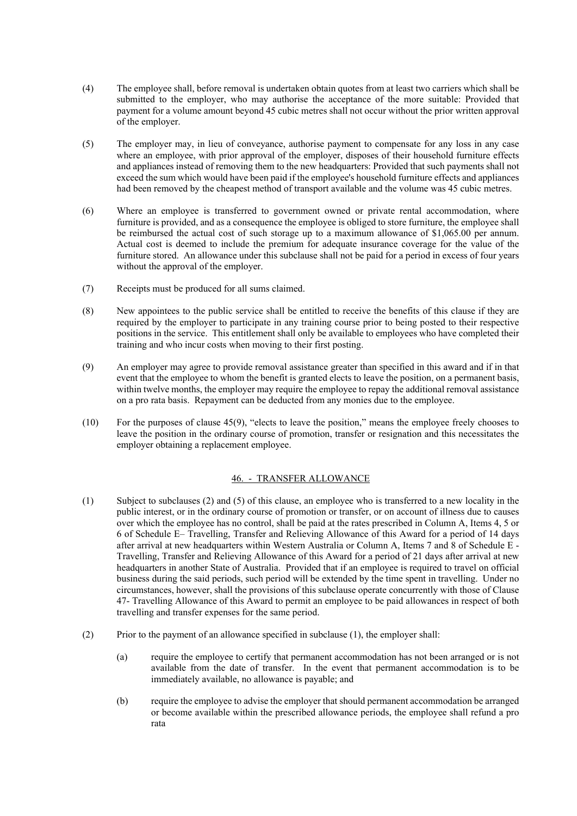- (4) The employee shall, before removal is undertaken obtain quotes from at least two carriers which shall be submitted to the employer, who may authorise the acceptance of the more suitable: Provided that payment for a volume amount beyond 45 cubic metres shall not occur without the prior written approval of the employer.
- (5) The employer may, in lieu of conveyance, authorise payment to compensate for any loss in any case where an employee, with prior approval of the employer, disposes of their household furniture effects and appliances instead of removing them to the new headquarters: Provided that such payments shall not exceed the sum which would have been paid if the employee's household furniture effects and appliances had been removed by the cheapest method of transport available and the volume was 45 cubic metres.
- (6) Where an employee is transferred to government owned or private rental accommodation, where furniture is provided, and as a consequence the employee is obliged to store furniture, the employee shall be reimbursed the actual cost of such storage up to a maximum allowance of \$1,065.00 per annum. Actual cost is deemed to include the premium for adequate insurance coverage for the value of the furniture stored. An allowance under this subclause shall not be paid for a period in excess of four years without the approval of the employer.
- (7) Receipts must be produced for all sums claimed.
- (8) New appointees to the public service shall be entitled to receive the benefits of this clause if they are required by the employer to participate in any training course prior to being posted to their respective positions in the service. This entitlement shall only be available to employees who have completed their training and who incur costs when moving to their first posting.
- (9) An employer may agree to provide removal assistance greater than specified in this award and if in that event that the employee to whom the benefit is granted elects to leave the position, on a permanent basis, within twelve months, the employer may require the employee to repay the additional removal assistance on a pro rata basis. Repayment can be deducted from any monies due to the employee.
- (10) For the purposes of clause 45(9), "elects to leave the position," means the employee freely chooses to leave the position in the ordinary course of promotion, transfer or resignation and this necessitates the employer obtaining a replacement employee.

### 46. - TRANSFER ALLOWANCE

- (1) Subject to subclauses (2) and (5) of this clause, an employee who is transferred to a new locality in the public interest, or in the ordinary course of promotion or transfer, or on account of illness due to causes over which the employee has no control, shall be paid at the rates prescribed in Column A, Items 4, 5 or 6 of Schedule E– Travelling, Transfer and Relieving Allowance of this Award for a period of 14 days after arrival at new headquarters within Western Australia or Column A, Items 7 and 8 of Schedule E - Travelling, Transfer and Relieving Allowance of this Award for a period of 21 days after arrival at new headquarters in another State of Australia. Provided that if an employee is required to travel on official business during the said periods, such period will be extended by the time spent in travelling. Under no circumstances, however, shall the provisions of this subclause operate concurrently with those of Clause 47- Travelling Allowance of this Award to permit an employee to be paid allowances in respect of both travelling and transfer expenses for the same period.
- (2) Prior to the payment of an allowance specified in subclause (1), the employer shall:
	- (a) require the employee to certify that permanent accommodation has not been arranged or is not available from the date of transfer. In the event that permanent accommodation is to be immediately available, no allowance is payable; and
	- (b) require the employee to advise the employer that should permanent accommodation be arranged or become available within the prescribed allowance periods, the employee shall refund a pro rata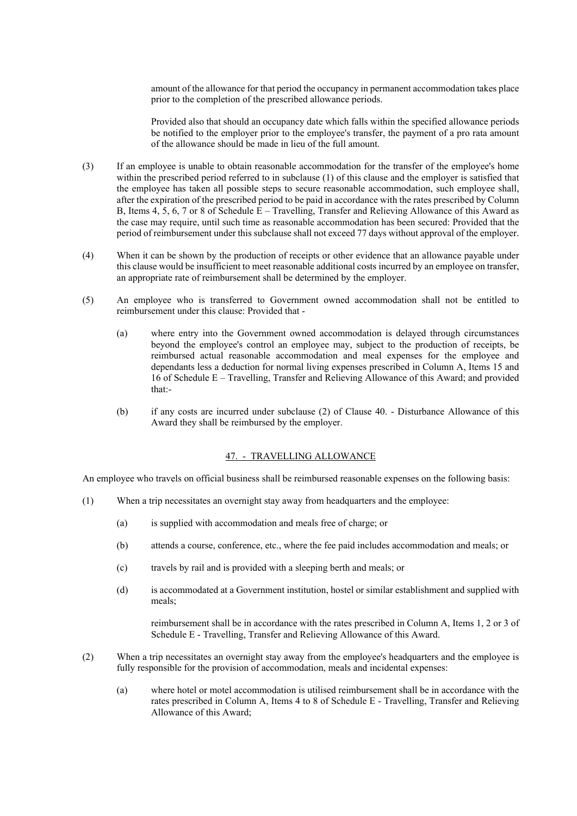amount of the allowance for that period the occupancy in permanent accommodation takes place prior to the completion of the prescribed allowance periods.

Provided also that should an occupancy date which falls within the specified allowance periods be notified to the employer prior to the employee's transfer, the payment of a pro rata amount of the allowance should be made in lieu of the full amount.

- (3) If an employee is unable to obtain reasonable accommodation for the transfer of the employee's home within the prescribed period referred to in subclause (1) of this clause and the employer is satisfied that the employee has taken all possible steps to secure reasonable accommodation, such employee shall, after the expiration of the prescribed period to be paid in accordance with the rates prescribed by Column B, Items  $4, 5, 6, 7$  or 8 of Schedule  $E -$  Travelling, Transfer and Relieving Allowance of this Award as the case may require, until such time as reasonable accommodation has been secured: Provided that the period of reimbursement under this subclause shall not exceed 77 days without approval of the employer.
- (4) When it can be shown by the production of receipts or other evidence that an allowance payable under this clause would be insufficient to meet reasonable additional costs incurred by an employee on transfer, an appropriate rate of reimbursement shall be determined by the employer.
- (5) An employee who is transferred to Government owned accommodation shall not be entitled to reimbursement under this clause: Provided that -
	- (a) where entry into the Government owned accommodation is delayed through circumstances beyond the employee's control an employee may, subject to the production of receipts, be reimbursed actual reasonable accommodation and meal expenses for the employee and dependants less a deduction for normal living expenses prescribed in Column A, Items 15 and 16 of Schedule E – Travelling, Transfer and Relieving Allowance of this Award; and provided that:-
	- (b) if any costs are incurred under subclause (2) of Clause 40. Disturbance Allowance of this Award they shall be reimbursed by the employer.

# 47. - TRAVELLING ALLOWANCE

An employee who travels on official business shall be reimbursed reasonable expenses on the following basis:

- (1) When a trip necessitates an overnight stay away from headquarters and the employee:
	- (a) is supplied with accommodation and meals free of charge; or
	- (b) attends a course, conference, etc., where the fee paid includes accommodation and meals; or
	- (c) travels by rail and is provided with a sleeping berth and meals; or
	- (d) is accommodated at a Government institution, hostel or similar establishment and supplied with meals;

reimbursement shall be in accordance with the rates prescribed in Column A, Items 1, 2 or 3 of Schedule E - Travelling, Transfer and Relieving Allowance of this Award.

- (2) When a trip necessitates an overnight stay away from the employee's headquarters and the employee is fully responsible for the provision of accommodation, meals and incidental expenses:
	- (a) where hotel or motel accommodation is utilised reimbursement shall be in accordance with the rates prescribed in Column A, Items 4 to 8 of Schedule E - Travelling, Transfer and Relieving Allowance of this Award;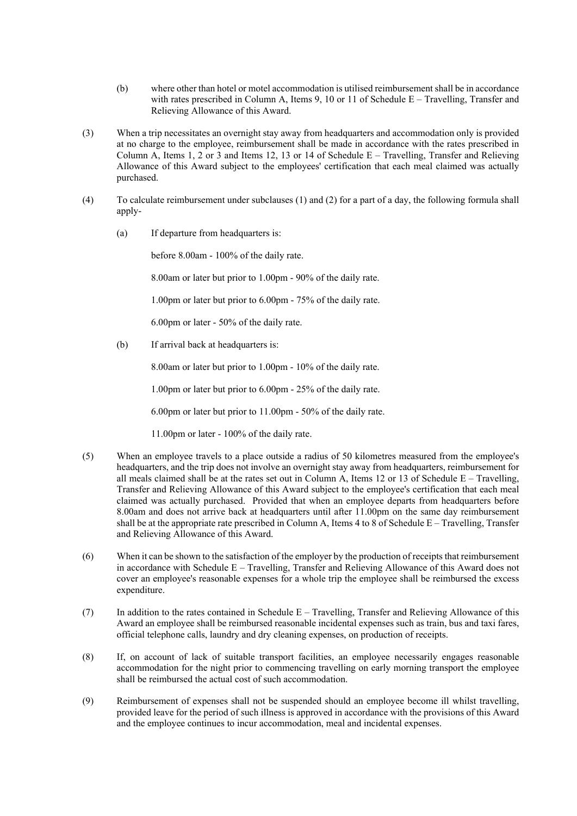- (b) where other than hotel or motel accommodation is utilised reimbursement shall be in accordance with rates prescribed in Column A, Items 9, 10 or 11 of Schedule E – Travelling, Transfer and Relieving Allowance of this Award.
- (3) When a trip necessitates an overnight stay away from headquarters and accommodation only is provided at no charge to the employee, reimbursement shall be made in accordance with the rates prescribed in Column A, Items 1, 2 or 3 and Items 12, 13 or 14 of Schedule  $E - Travelling$ . Transfer and Relieving Allowance of this Award subject to the employees' certification that each meal claimed was actually purchased.
- (4) To calculate reimbursement under subclauses (1) and (2) for a part of a day, the following formula shall apply-
	- (a) If departure from headquarters is:

before 8.00am - 100% of the daily rate.

8.00am or later but prior to 1.00pm - 90% of the daily rate.

1.00pm or later but prior to 6.00pm - 75% of the daily rate.

6.00pm or later - 50% of the daily rate.

(b) If arrival back at headquarters is:

8.00am or later but prior to 1.00pm - 10% of the daily rate.

1.00pm or later but prior to 6.00pm - 25% of the daily rate.

6.00pm or later but prior to 11.00pm - 50% of the daily rate.

11.00pm or later - 100% of the daily rate.

- (5) When an employee travels to a place outside a radius of 50 kilometres measured from the employee's headquarters, and the trip does not involve an overnight stay away from headquarters, reimbursement for all meals claimed shall be at the rates set out in Column A, Items 12 or 13 of Schedule  $E - Travelling$ , Transfer and Relieving Allowance of this Award subject to the employee's certification that each meal claimed was actually purchased. Provided that when an employee departs from headquarters before 8.00am and does not arrive back at headquarters until after 11.00pm on the same day reimbursement shall be at the appropriate rate prescribed in Column A, Items 4 to 8 of Schedule E – Travelling, Transfer and Relieving Allowance of this Award.
- (6) When it can be shown to the satisfaction of the employer by the production of receipts that reimbursement in accordance with Schedule E – Travelling, Transfer and Relieving Allowance of this Award does not cover an employee's reasonable expenses for a whole trip the employee shall be reimbursed the excess expenditure.
- (7) In addition to the rates contained in Schedule E Travelling, Transfer and Relieving Allowance of this Award an employee shall be reimbursed reasonable incidental expenses such as train, bus and taxi fares, official telephone calls, laundry and dry cleaning expenses, on production of receipts.
- (8) If, on account of lack of suitable transport facilities, an employee necessarily engages reasonable accommodation for the night prior to commencing travelling on early morning transport the employee shall be reimbursed the actual cost of such accommodation.
- (9) Reimbursement of expenses shall not be suspended should an employee become ill whilst travelling, provided leave for the period of such illness is approved in accordance with the provisions of this Award and the employee continues to incur accommodation, meal and incidental expenses.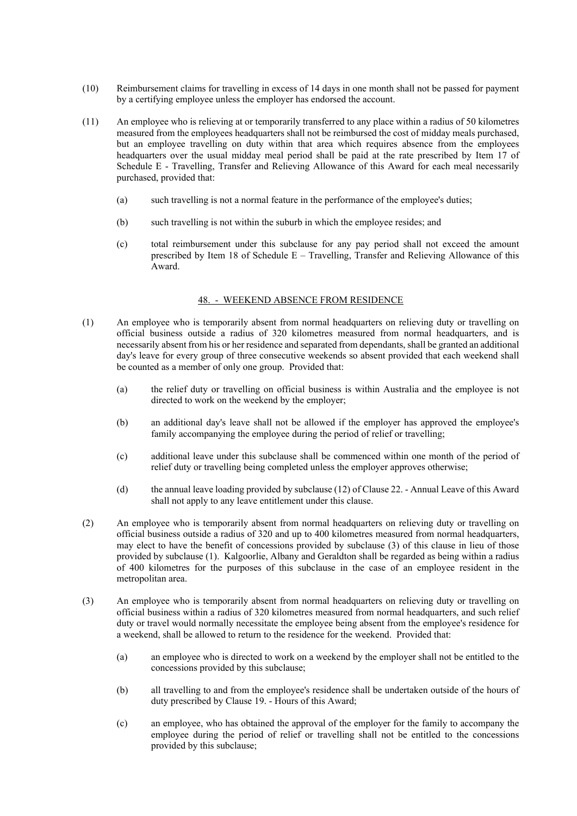- (10) Reimbursement claims for travelling in excess of 14 days in one month shall not be passed for payment by a certifying employee unless the employer has endorsed the account.
- (11) An employee who is relieving at or temporarily transferred to any place within a radius of 50 kilometres measured from the employees headquarters shall not be reimbursed the cost of midday meals purchased, but an employee travelling on duty within that area which requires absence from the employees headquarters over the usual midday meal period shall be paid at the rate prescribed by Item 17 of Schedule E - Travelling, Transfer and Relieving Allowance of this Award for each meal necessarily purchased, provided that:
	- (a) such travelling is not a normal feature in the performance of the employee's duties;
	- (b) such travelling is not within the suburb in which the employee resides; and
	- (c) total reimbursement under this subclause for any pay period shall not exceed the amount prescribed by Item 18 of Schedule  $E - Tr$ avelling, Transfer and Relieving Allowance of this Award.

#### 48. - WEEKEND ABSENCE FROM RESIDENCE

- (1) An employee who is temporarily absent from normal headquarters on relieving duty or travelling on official business outside a radius of 320 kilometres measured from normal headquarters, and is necessarily absent from his or her residence and separated from dependants, shall be granted an additional day's leave for every group of three consecutive weekends so absent provided that each weekend shall be counted as a member of only one group. Provided that:
	- (a) the relief duty or travelling on official business is within Australia and the employee is not directed to work on the weekend by the employer;
	- (b) an additional day's leave shall not be allowed if the employer has approved the employee's family accompanying the employee during the period of relief or travelling;
	- (c) additional leave under this subclause shall be commenced within one month of the period of relief duty or travelling being completed unless the employer approves otherwise;
	- (d) the annual leave loading provided by subclause (12) of Clause 22. Annual Leave of this Award shall not apply to any leave entitlement under this clause.
- (2) An employee who is temporarily absent from normal headquarters on relieving duty or travelling on official business outside a radius of 320 and up to 400 kilometres measured from normal headquarters, may elect to have the benefit of concessions provided by subclause (3) of this clause in lieu of those provided by subclause (1). Kalgoorlie, Albany and Geraldton shall be regarded as being within a radius of 400 kilometres for the purposes of this subclause in the case of an employee resident in the metropolitan area.
- (3) An employee who is temporarily absent from normal headquarters on relieving duty or travelling on official business within a radius of 320 kilometres measured from normal headquarters, and such relief duty or travel would normally necessitate the employee being absent from the employee's residence for a weekend, shall be allowed to return to the residence for the weekend. Provided that:
	- (a) an employee who is directed to work on a weekend by the employer shall not be entitled to the concessions provided by this subclause;
	- (b) all travelling to and from the employee's residence shall be undertaken outside of the hours of duty prescribed by Clause 19. - Hours of this Award;
	- (c) an employee, who has obtained the approval of the employer for the family to accompany the employee during the period of relief or travelling shall not be entitled to the concessions provided by this subclause;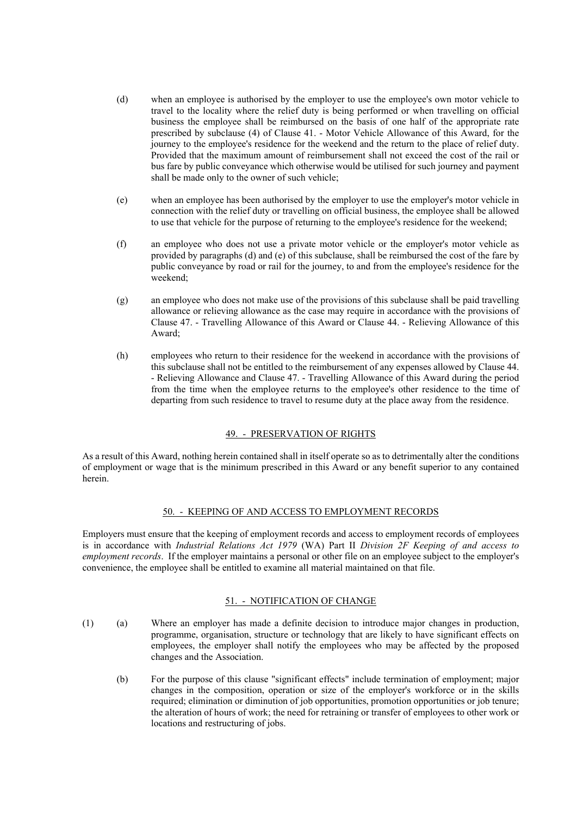- (d) when an employee is authorised by the employer to use the employee's own motor vehicle to travel to the locality where the relief duty is being performed or when travelling on official business the employee shall be reimbursed on the basis of one half of the appropriate rate prescribed by subclause (4) of Clause 41. - Motor Vehicle Allowance of this Award, for the journey to the employee's residence for the weekend and the return to the place of relief duty. Provided that the maximum amount of reimbursement shall not exceed the cost of the rail or bus fare by public conveyance which otherwise would be utilised for such journey and payment shall be made only to the owner of such vehicle;
- (e) when an employee has been authorised by the employer to use the employer's motor vehicle in connection with the relief duty or travelling on official business, the employee shall be allowed to use that vehicle for the purpose of returning to the employee's residence for the weekend;
- (f) an employee who does not use a private motor vehicle or the employer's motor vehicle as provided by paragraphs (d) and (e) of this subclause, shall be reimbursed the cost of the fare by public conveyance by road or rail for the journey, to and from the employee's residence for the weekend;
- (g) an employee who does not make use of the provisions of this subclause shall be paid travelling allowance or relieving allowance as the case may require in accordance with the provisions of Clause 47. - Travelling Allowance of this Award or Clause 44. - Relieving Allowance of this Award;
- (h) employees who return to their residence for the weekend in accordance with the provisions of this subclause shall not be entitled to the reimbursement of any expenses allowed by Clause 44. - Relieving Allowance and Clause 47. - Travelling Allowance of this Award during the period from the time when the employee returns to the employee's other residence to the time of departing from such residence to travel to resume duty at the place away from the residence.

# 49. - PRESERVATION OF RIGHTS

As a result of this Award, nothing herein contained shall in itself operate so as to detrimentally alter the conditions of employment or wage that is the minimum prescribed in this Award or any benefit superior to any contained herein.

### 50. - KEEPING OF AND ACCESS TO EMPLOYMENT RECORDS

Employers must ensure that the keeping of employment records and access to employment records of employees is in accordance with *Industrial Relations Act 1979* (WA) Part II *Division 2F Keeping of and access to employment records*. If the employer maintains a personal or other file on an employee subject to the employer's convenience, the employee shall be entitled to examine all material maintained on that file.

# 51. - NOTIFICATION OF CHANGE

- (1) (a) Where an employer has made a definite decision to introduce major changes in production, programme, organisation, structure or technology that are likely to have significant effects on employees, the employer shall notify the employees who may be affected by the proposed changes and the Association.
	- (b) For the purpose of this clause "significant effects" include termination of employment; major changes in the composition, operation or size of the employer's workforce or in the skills required; elimination or diminution of job opportunities, promotion opportunities or job tenure; the alteration of hours of work; the need for retraining or transfer of employees to other work or locations and restructuring of jobs.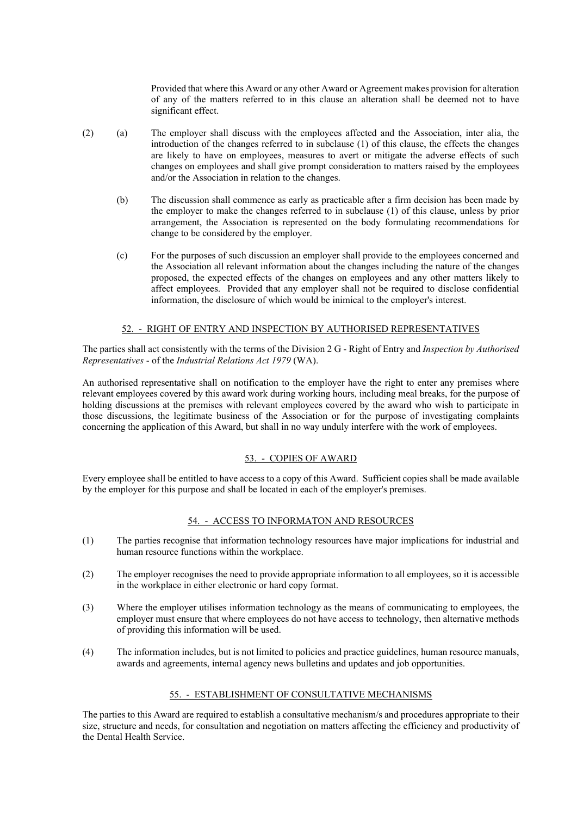Provided that where this Award or any other Award or Agreement makes provision for alteration of any of the matters referred to in this clause an alteration shall be deemed not to have significant effect.

- (2) (a) The employer shall discuss with the employees affected and the Association, inter alia, the introduction of the changes referred to in subclause (1) of this clause, the effects the changes are likely to have on employees, measures to avert or mitigate the adverse effects of such changes on employees and shall give prompt consideration to matters raised by the employees and/or the Association in relation to the changes.
	- (b) The discussion shall commence as early as practicable after a firm decision has been made by the employer to make the changes referred to in subclause (1) of this clause, unless by prior arrangement, the Association is represented on the body formulating recommendations for change to be considered by the employer.
	- (c) For the purposes of such discussion an employer shall provide to the employees concerned and the Association all relevant information about the changes including the nature of the changes proposed, the expected effects of the changes on employees and any other matters likely to affect employees. Provided that any employer shall not be required to disclose confidential information, the disclosure of which would be inimical to the employer's interest.

### 52. - RIGHT OF ENTRY AND INSPECTION BY AUTHORISED REPRESENTATIVES

The parties shall act consistently with the terms of the Division 2 G - Right of Entry and *Inspection by Authorised Representatives* - of the *Industrial Relations Act 1979* (WA).

An authorised representative shall on notification to the employer have the right to enter any premises where relevant employees covered by this award work during working hours, including meal breaks, for the purpose of holding discussions at the premises with relevant employees covered by the award who wish to participate in those discussions, the legitimate business of the Association or for the purpose of investigating complaints concerning the application of this Award, but shall in no way unduly interfere with the work of employees.

#### 53. - COPIES OF AWARD

Every employee shall be entitled to have access to a copy of this Award. Sufficient copies shall be made available by the employer for this purpose and shall be located in each of the employer's premises.

#### 54. - ACCESS TO INFORMATON AND RESOURCES

- (1) The parties recognise that information technology resources have major implications for industrial and human resource functions within the workplace.
- (2) The employer recognises the need to provide appropriate information to all employees, so it is accessible in the workplace in either electronic or hard copy format.
- (3) Where the employer utilises information technology as the means of communicating to employees, the employer must ensure that where employees do not have access to technology, then alternative methods of providing this information will be used.
- (4) The information includes, but is not limited to policies and practice guidelines, human resource manuals, awards and agreements, internal agency news bulletins and updates and job opportunities.

## 55. - ESTABLISHMENT OF CONSULTATIVE MECHANISMS

The parties to this Award are required to establish a consultative mechanism/s and procedures appropriate to their size, structure and needs, for consultation and negotiation on matters affecting the efficiency and productivity of the Dental Health Service.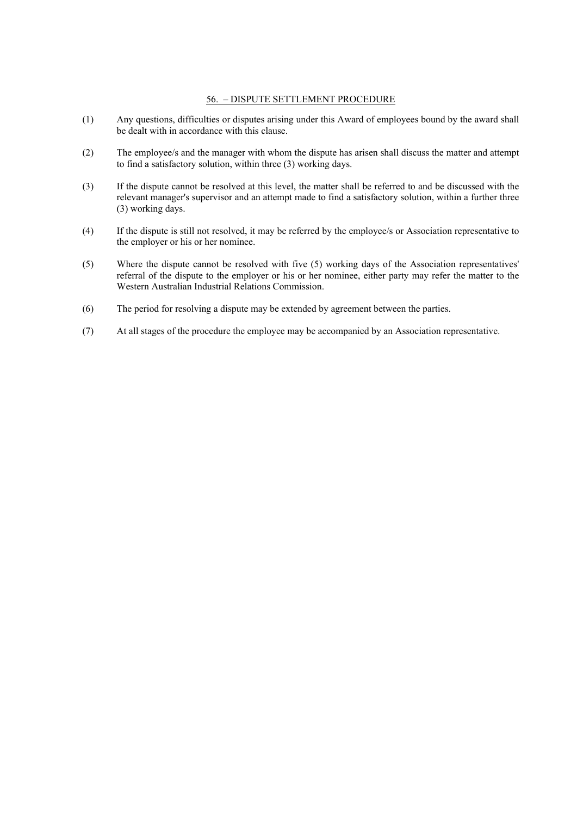### 56. – DISPUTE SETTLEMENT PROCEDURE

- (1) Any questions, difficulties or disputes arising under this Award of employees bound by the award shall be dealt with in accordance with this clause.
- (2) The employee/s and the manager with whom the dispute has arisen shall discuss the matter and attempt to find a satisfactory solution, within three (3) working days.
- (3) If the dispute cannot be resolved at this level, the matter shall be referred to and be discussed with the relevant manager's supervisor and an attempt made to find a satisfactory solution, within a further three (3) working days.
- (4) If the dispute is still not resolved, it may be referred by the employee/s or Association representative to the employer or his or her nominee.
- (5) Where the dispute cannot be resolved with five (5) working days of the Association representatives' referral of the dispute to the employer or his or her nominee, either party may refer the matter to the Western Australian Industrial Relations Commission.
- (6) The period for resolving a dispute may be extended by agreement between the parties.
- (7) At all stages of the procedure the employee may be accompanied by an Association representative.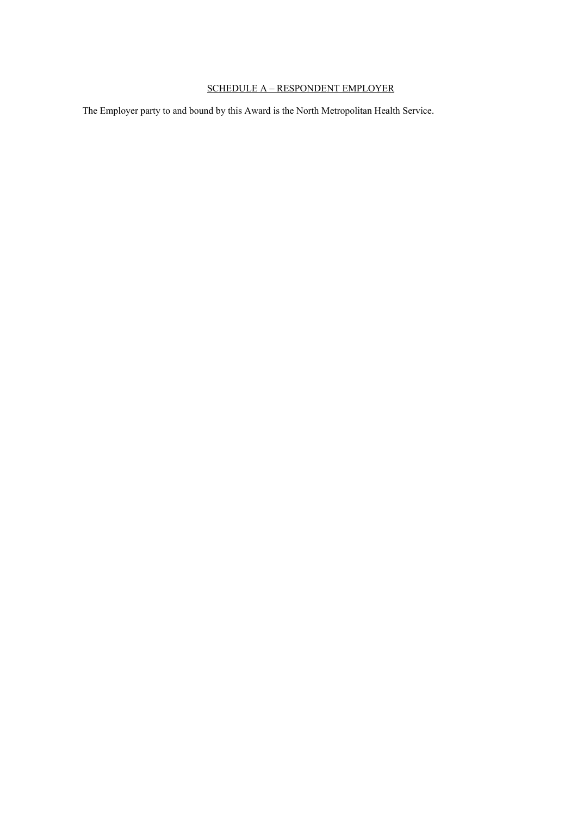# SCHEDULE A – RESPONDENT EMPLOYER

The Employer party to and bound by this Award is the North Metropolitan Health Service.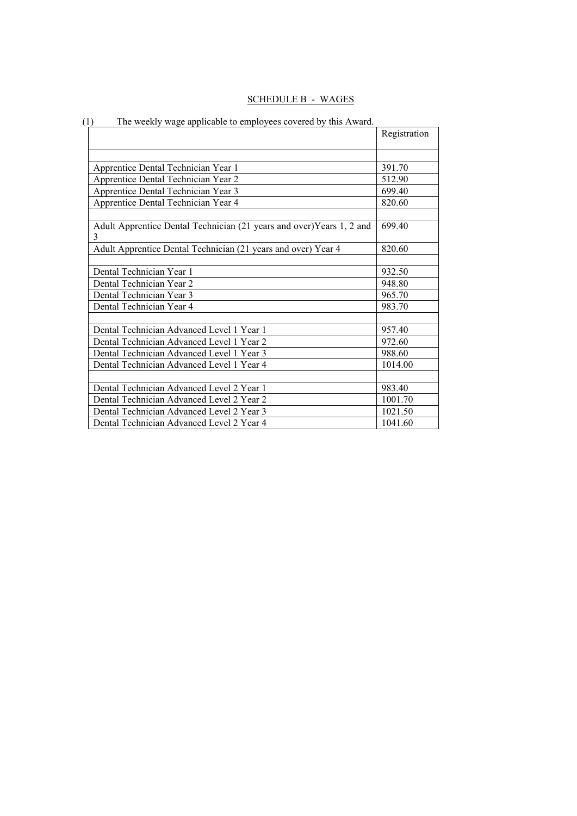| <b>SCHEDULE B</b><br>ר.⊣ז<br>u. |
|---------------------------------|
|---------------------------------|

| $\left(1\right)$<br>The weekly wage applicable to employees covered by this Award. |              |
|------------------------------------------------------------------------------------|--------------|
|                                                                                    | Registration |
|                                                                                    |              |
| Apprentice Dental Technician Year 1                                                | 391.70       |
| Apprentice Dental Technician Year 2                                                | 512.90       |
| Apprentice Dental Technician Year 3                                                | 699.40       |
| Apprentice Dental Technician Year 4                                                | 820.60       |
|                                                                                    |              |
| Adult Apprentice Dental Technician (21 years and over) Years 1, 2 and<br>3         | 699.40       |
| Adult Apprentice Dental Technician (21 years and over) Year 4                      | 820.60       |
|                                                                                    |              |
| Dental Technician Year 1                                                           | 932.50       |
| Dental Technician Year 2                                                           | 948.80       |
| Dental Technician Year 3                                                           | 965.70       |
| Dental Technician Year 4                                                           | 983.70       |
|                                                                                    |              |
| Dental Technician Advanced Level 1 Year 1                                          | 957.40       |
| Dental Technician Advanced Level 1 Year 2                                          | 972.60       |
| Dental Technician Advanced Level 1 Year 3                                          | 988.60       |
| Dental Technician Advanced Level 1 Year 4                                          | 1014.00      |
|                                                                                    |              |
| Dental Technician Advanced Level 2 Year 1                                          | 983.40       |
| Dental Technician Advanced Level 2 Year 2                                          | 1001.70      |
| Dental Technician Advanced Level 2 Year 3                                          | 1021.50      |
| Dental Technician Advanced Level 2 Year 4                                          | 1041.60      |

# (1) The weekly wage applicable to employees covered by this Award.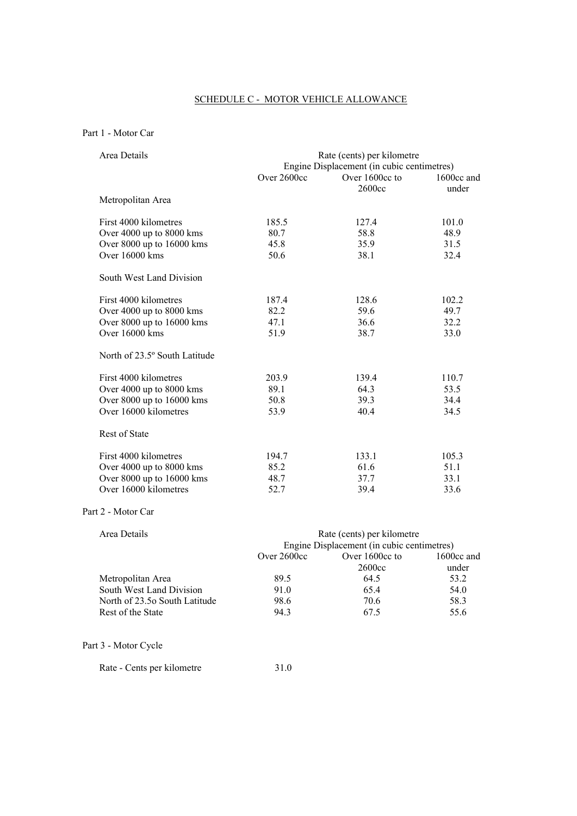# SCHEDULE C - MOTOR VEHICLE ALLOWANCE

# Part 1 - Motor Car

| Area Details                  | Rate (cents) per kilometre<br>Engine Displacement (in cubic centimetres) |                          |                     |
|-------------------------------|--------------------------------------------------------------------------|--------------------------|---------------------|
|                               | Over 2600cc                                                              | Over 1600cc to<br>2600cc | 1600cc and<br>under |
| Metropolitan Area             |                                                                          |                          |                     |
| First 4000 kilometres         | 185.5                                                                    | 127.4                    | 101.0               |
| Over 4000 up to 8000 kms      | 80.7                                                                     | 58.8                     | 48.9                |
| Over 8000 up to 16000 kms     | 45.8                                                                     | 35.9                     | 31.5                |
| Over 16000 kms                | 50.6                                                                     | 38.1                     | 32.4                |
| South West Land Division      |                                                                          |                          |                     |
| First 4000 kilometres         | 187.4                                                                    | 128.6                    | 102.2               |
| Over 4000 up to 8000 kms      | 82.2                                                                     | 59.6                     | 49.7                |
| Over 8000 up to 16000 kms     | 47.1                                                                     | 36.6                     | 32.2                |
| Over $16000$ kms              | 51.9                                                                     | 38.7                     | 33.0                |
| North of 23.5° South Latitude |                                                                          |                          |                     |
| First 4000 kilometres         | 203.9                                                                    | 139.4                    | 110.7               |
| Over 4000 up to 8000 kms      | 89.1                                                                     | 64.3                     | 53.5                |
| Over 8000 up to 16000 kms     | 50.8                                                                     | 39.3                     | 34.4                |
| Over 16000 kilometres         | 53.9                                                                     | 40.4                     | 34.5                |
| <b>Rest of State</b>          |                                                                          |                          |                     |
| First 4000 kilometres         | 194.7                                                                    | 133.1                    | 105.3               |
| Over 4000 up to 8000 kms      | 85.2                                                                     | 61.6                     | 51.1                |
| Over 8000 up to 16000 kms     | 48.7                                                                     | 37.7                     | 33.1                |
| Over 16000 kilometres         | 52.7                                                                     | 39.4                     | 33.6                |

### Part 2 - Motor Car

| Area Details<br>Rate (cents) per kilometre |               |                                            |            |
|--------------------------------------------|---------------|--------------------------------------------|------------|
|                                            |               | Engine Displacement (in cubic centimetres) |            |
|                                            | Over $2600cc$ | Over 1600cc to                             | 1600cc and |
|                                            |               | 2600 <sub>cc</sub>                         | under      |
| Metropolitan Area                          | 89.5          | 64.5                                       | 53.2       |
| South West Land Division                   | 91.0          | 65.4                                       | 54.0       |
| North of 23.50 South Latitude              | 98.6          | 70.6                                       | 58.3       |
| Rest of the State                          | 94.3          | 67.5                                       | 55.6       |

Part 3 - Motor Cycle

Rate - Cents per kilometre 31.0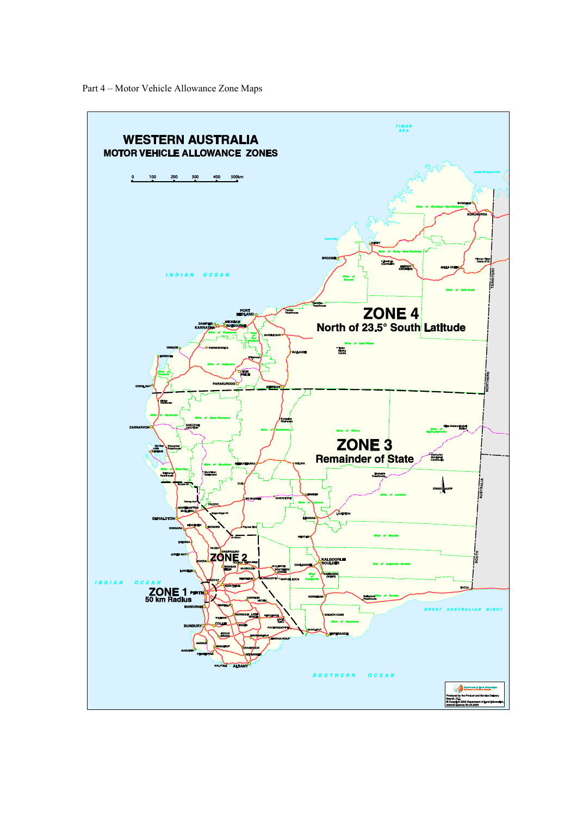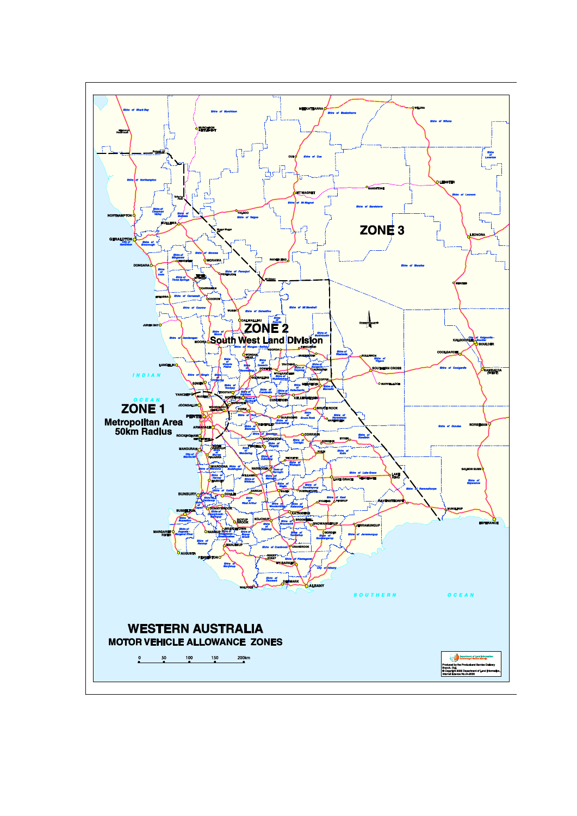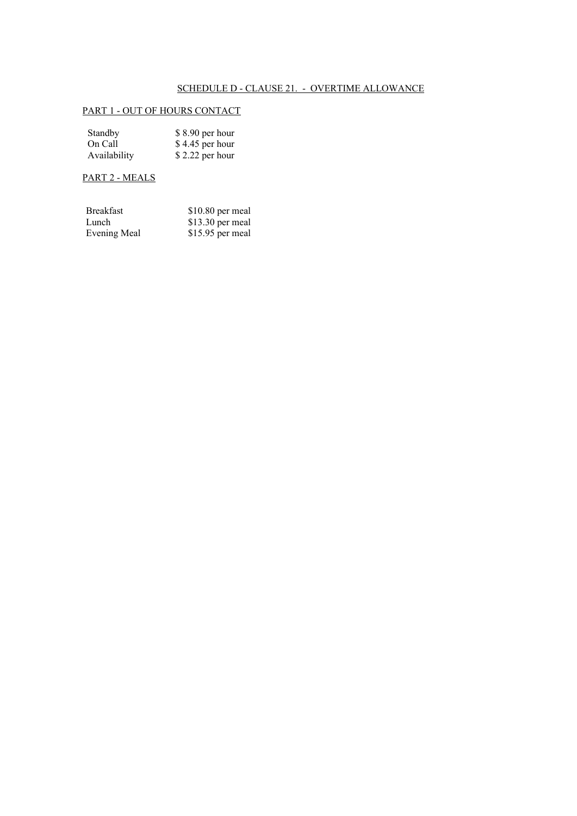# SCHEDULE D - CLAUSE 21. - OVERTIME ALLOWANCE

# PART 1 - OUT OF HOURS CONTACT

| Standby      | \$8.90 per hour  |
|--------------|------------------|
| On Call      | \$4.45 per hour  |
| Availability | $$2.22$ per hour |

# PART 2 - MEALS

| <b>Breakfast</b> | \$10.80 per meal |
|------------------|------------------|
| Lunch            | \$13.30 per meal |
| Evening Meal     | \$15.95 per meal |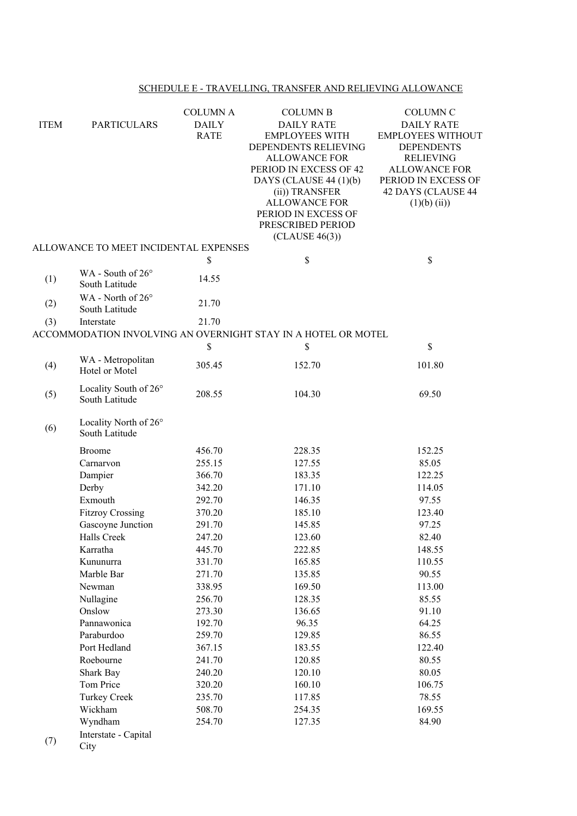# SCHEDULE E - TRAVELLING, TRANSFER AND RELIEVING ALLOWANCE

|             |                                       | <b>COLUMN A</b> | <b>COLUMN B</b>                                               | <b>COLUMN C</b>          |
|-------------|---------------------------------------|-----------------|---------------------------------------------------------------|--------------------------|
| <b>ITEM</b> | <b>PARTICULARS</b>                    | <b>DAILY</b>    | <b>DAILY RATE</b>                                             | <b>DAILY RATE</b>        |
|             |                                       | <b>RATE</b>     | <b>EMPLOYEES WITH</b>                                         | <b>EMPLOYEES WITHOUT</b> |
|             |                                       |                 | DEPENDENTS RELIEVING                                          | <b>DEPENDENTS</b>        |
|             |                                       |                 | <b>ALLOWANCE FOR</b>                                          | <b>RELIEVING</b>         |
|             |                                       |                 | PERIOD IN EXCESS OF 42                                        | <b>ALLOWANCE FOR</b>     |
|             |                                       |                 | DAYS (CLAUSE 44 $(1)(b)$                                      | PERIOD IN EXCESS OF      |
|             |                                       |                 | (ii)) TRANSFER                                                | 42 DAYS (CLAUSE 44       |
|             |                                       |                 | <b>ALLOWANCE FOR</b>                                          | $(1)(b)$ (ii))           |
|             |                                       |                 | PERIOD IN EXCESS OF<br>PRESCRIBED PERIOD                      |                          |
|             |                                       |                 | (CLAUSE 46(3))                                                |                          |
|             | ALLOWANCE TO MEET INCIDENTAL EXPENSES |                 |                                                               |                          |
|             |                                       | \$              | \$                                                            | \$                       |
|             | WA - South of 26°                     |                 |                                                               |                          |
| (1)         | South Latitude                        | 14.55           |                                                               |                          |
|             | WA - North of $26^{\circ}$            |                 |                                                               |                          |
| (2)         | South Latitude                        | 21.70           |                                                               |                          |
| (3)         | Interstate                            | 21.70           |                                                               |                          |
|             |                                       |                 | ACCOMMODATION INVOLVING AN OVERNIGHT STAY IN A HOTEL OR MOTEL |                          |
|             |                                       | \$              | \$                                                            | \$                       |
|             | WA - Metropolitan                     |                 |                                                               |                          |
| (4)         | Hotel or Motel                        | 305.45          | 152.70                                                        | 101.80                   |
|             |                                       |                 |                                                               |                          |
| (5)         | Locality South of 26°                 | 208.55          | 104.30                                                        | 69.50                    |
|             | South Latitude                        |                 |                                                               |                          |
|             | Locality North of 26°                 |                 |                                                               |                          |
| (6)         | South Latitude                        |                 |                                                               |                          |
|             |                                       |                 |                                                               |                          |
|             | <b>Broome</b>                         | 456.70          | 228.35                                                        | 152.25                   |
|             | Carnarvon                             | 255.15          | 127.55                                                        | 85.05                    |
|             | Dampier                               | 366.70          | 183.35                                                        | 122.25                   |
|             | Derby                                 | 342.20          | 171.10                                                        | 114.05                   |
|             | Exmouth                               | 292.70          | 146.35                                                        | 97.55                    |
|             | <b>Fitzroy Crossing</b>               | 370.20          | 185.10                                                        | 123.40                   |
|             | Gascoyne Junction                     | 291.70          | 145.85                                                        | 97.25                    |
|             | Halls Creek                           | 247.20          | 123.60                                                        | 82.40                    |
|             | Karratha                              | 445.70          | 222.85                                                        | 148.55                   |
|             | Kununurra                             | 331.70          | 165.85                                                        | 110.55                   |
|             | Marble Bar                            | 271.70          | 135.85                                                        | 90.55                    |
|             | Newman                                | 338.95          | 169.50                                                        | 113.00                   |
|             | Nullagine                             | 256.70          | 128.35                                                        | 85.55                    |
|             | Onslow                                | 273.30          | 136.65                                                        | 91.10                    |
|             | Pannawonica                           | 192.70          | 96.35                                                         | 64.25                    |
|             | Paraburdoo                            | 259.70          | 129.85                                                        | 86.55                    |
|             | Port Hedland                          | 367.15          | 183.55                                                        | 122.40                   |
|             | Roebourne                             | 241.70          | 120.85                                                        | 80.55                    |
|             | Shark Bay                             | 240.20          | 120.10                                                        | 80.05                    |
|             | Tom Price                             | 320.20          | 160.10                                                        | 106.75                   |
|             | <b>Turkey Creek</b>                   | 235.70          | 117.85                                                        | 78.55                    |
|             | Wickham                               | 508.70          | 254.35                                                        | 169.55                   |
|             | Wyndham                               | 254.70          | 127.35                                                        | 84.90                    |
| (7)         | Interstate - Capital                  |                 |                                                               |                          |
|             | City                                  |                 |                                                               |                          |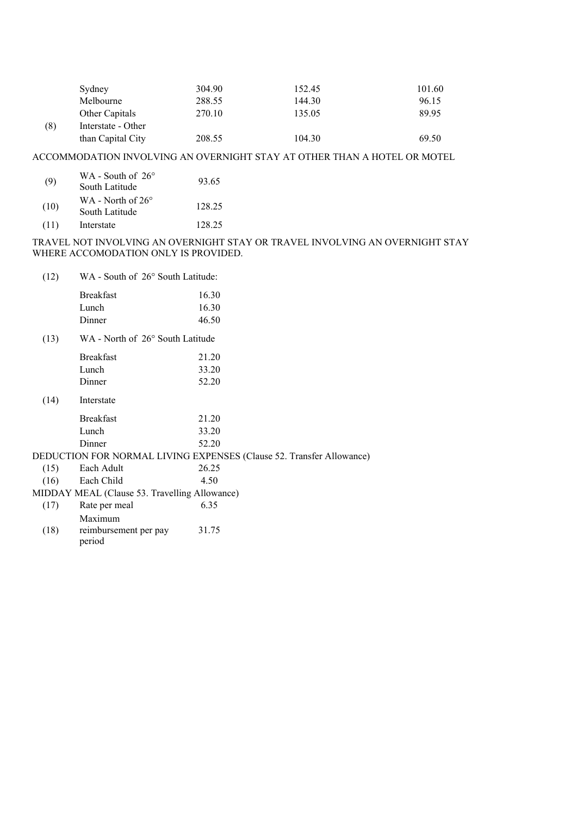|     | Sydney             | 304.90 | 152.45 | 101.60 |
|-----|--------------------|--------|--------|--------|
|     | Melbourne          | 288.55 | 144.30 | 96.15  |
|     | Other Capitals     | 270.10 | 135.05 | 89.95  |
| (8) | Interstate - Other |        |        |        |
|     | than Capital City  | 208.55 | 104.30 | 69.50  |

# ACCOMMODATION INVOLVING AN OVERNIGHT STAY AT OTHER THAN A HOTEL OR MOTEL

| (9)  | WA - South of $26^{\circ}$<br>South Latitude | 93.65  |
|------|----------------------------------------------|--------|
| (10) | WA - North of $26^{\circ}$<br>South Latitude | 128.25 |
| (11) | Interstate                                   | 128.25 |

### TRAVEL NOT INVOLVING AN OVERNIGHT STAY OR TRAVEL INVOLVING AN OVERNIGHT STAY WHERE ACCOMODATION ONLY IS PROVIDED.

| (12) | WA - South of 26° South Latitude: |
|------|-----------------------------------|
|      |                                   |

| 16.30 |
|-------|
| 16.30 |
| 46.50 |
|       |

(13) WA - North of 26° South Latitude

|      | <b>Breakfast</b>                              | 21.20                                                                |
|------|-----------------------------------------------|----------------------------------------------------------------------|
|      | Lunch                                         | 33.20                                                                |
|      | Dinner                                        | 52.20                                                                |
| (14) | Interstate                                    |                                                                      |
|      | <b>Breakfast</b>                              | 21.20                                                                |
|      | Lunch                                         | 33.20                                                                |
|      | Dinner                                        | 52.20                                                                |
|      |                                               | DEDUCTION FOR NORMAL LIVING EXPENSES (Clause 52. Transfer Allowance) |
| (15) | Each Adult                                    | 26.25                                                                |
| (16) | Each Child                                    | 4.50                                                                 |
|      | MIDDAY MEAL (Clause 53. Travelling Allowance) |                                                                      |
| (17) | Rate per meal                                 | 6.35                                                                 |
|      | Maximum                                       |                                                                      |
|      |                                               |                                                                      |

(18) reimbursement per pay 31.75period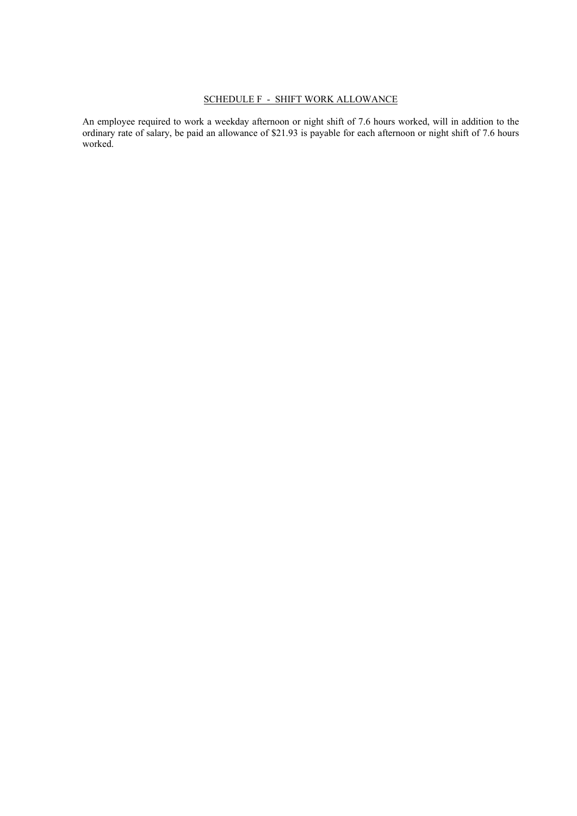## SCHEDULE F - SHIFT WORK ALLOWANCE

An employee required to work a weekday afternoon or night shift of 7.6 hours worked, will in addition to the ordinary rate of salary, be paid an allowance of \$21.93 is payable for each afternoon or night shift of 7.6 hours worked.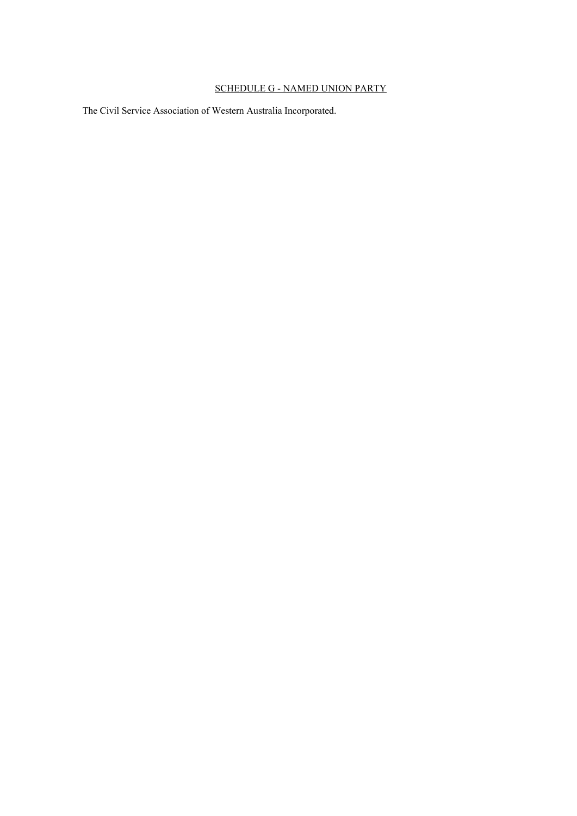### SCHEDULE G - NAMED UNION PARTY

The Civil Service Association of Western Australia Incorporated.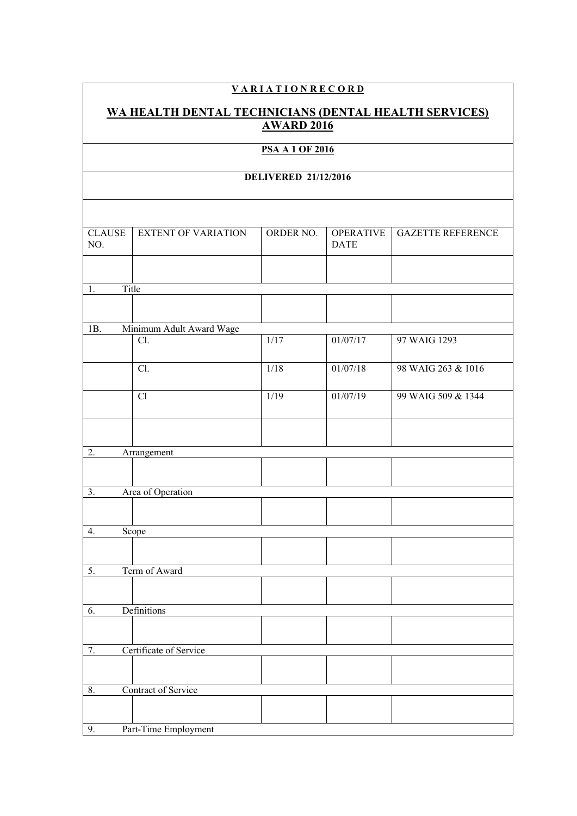# **V A R I A T I O N R E C O R D**

#### **WA HEALTH DENTAL TECHNICIANS (DENTAL HEALTH SERVICES) AWARD 2016**

## **PSA A 1 OF 2016**

#### **DELIVERED 21/12/2016**

| <b>CLAUSE</b><br>NO. | <b>EXTENT OF VARIATION</b> | ORDER NO. | <b>OPERATIVE</b><br><b>DATE</b> | <b>GAZETTE REFERENCE</b> |
|----------------------|----------------------------|-----------|---------------------------------|--------------------------|
|                      |                            |           |                                 |                          |
| 1.                   | Title                      |           |                                 |                          |
|                      |                            |           |                                 |                          |
| 1B.                  | Minimum Adult Award Wage   |           |                                 |                          |
|                      | Cl.                        | $1/17$    | 01/07/17                        | 97 WAIG 1293             |
|                      | Cl.                        | 1/18      | 01/07/18                        | 98 WAIG 263 & 1016       |
|                      | Cl                         | 1/19      | 01/07/19                        | 99 WAIG 509 & 1344       |
|                      |                            |           |                                 |                          |
| 2.                   | Arrangement                |           |                                 |                          |
|                      |                            |           |                                 |                          |
| 3.                   | Area of Operation          |           |                                 |                          |
|                      |                            |           |                                 |                          |
| 4.                   | Scope                      |           |                                 |                          |
|                      |                            |           |                                 |                          |
| 5.                   | Term of Award              |           |                                 |                          |
|                      |                            |           |                                 |                          |
| 6.                   | Definitions                |           |                                 |                          |
|                      |                            |           |                                 |                          |
| 7.                   | Certificate of Service     |           |                                 |                          |
|                      |                            |           |                                 |                          |
| $8. \,$              | Contract of Service        |           |                                 |                          |
|                      |                            |           |                                 |                          |
| 9.                   | Part-Time Employment       |           |                                 |                          |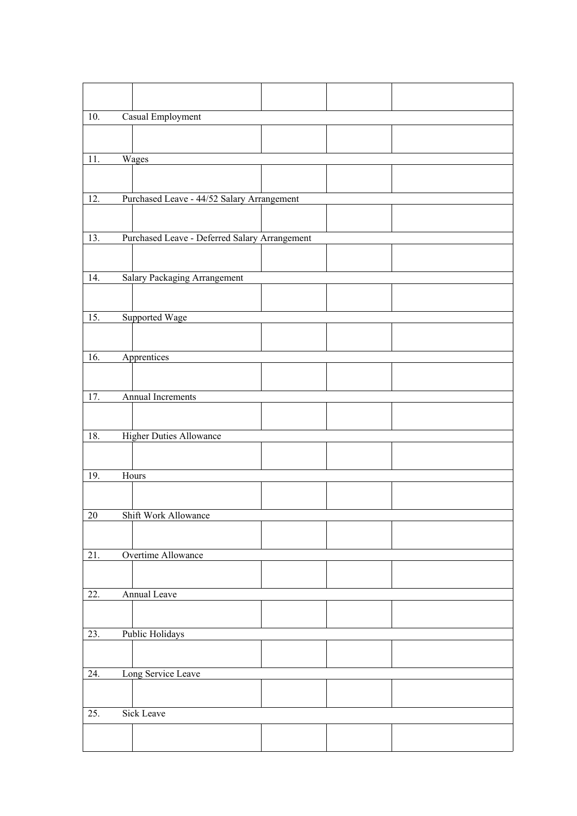| 10.               | Casual Employment                             |  |  |  |
|-------------------|-----------------------------------------------|--|--|--|
|                   |                                               |  |  |  |
|                   |                                               |  |  |  |
| 11.               | Wages                                         |  |  |  |
|                   |                                               |  |  |  |
| 12.               | Purchased Leave - 44/52 Salary Arrangement    |  |  |  |
|                   |                                               |  |  |  |
| 13.               | Purchased Leave - Deferred Salary Arrangement |  |  |  |
|                   |                                               |  |  |  |
| $\overline{14}$ . | <b>Salary Packaging Arrangement</b>           |  |  |  |
|                   |                                               |  |  |  |
|                   |                                               |  |  |  |
| $\overline{15}$ . | Supported Wage                                |  |  |  |
|                   |                                               |  |  |  |
| 16.               | Apprentices                                   |  |  |  |
|                   |                                               |  |  |  |
| 17.               | Annual Increments                             |  |  |  |
|                   |                                               |  |  |  |
|                   |                                               |  |  |  |
| 18.               | <b>Higher Duties Allowance</b>                |  |  |  |
|                   |                                               |  |  |  |
| 19.               | Hours                                         |  |  |  |
|                   |                                               |  |  |  |
|                   |                                               |  |  |  |
| 20                | Shift Work Allowance                          |  |  |  |
|                   |                                               |  |  |  |
| 21.               | Overtime Allowance                            |  |  |  |
|                   |                                               |  |  |  |
| 22.               | Annual Leave                                  |  |  |  |
|                   |                                               |  |  |  |
|                   |                                               |  |  |  |
| 23.               | Public Holidays                               |  |  |  |
|                   |                                               |  |  |  |
| 24.               | Long Service Leave                            |  |  |  |
|                   |                                               |  |  |  |
| 25.               | <b>Sick Leave</b>                             |  |  |  |
|                   |                                               |  |  |  |
|                   |                                               |  |  |  |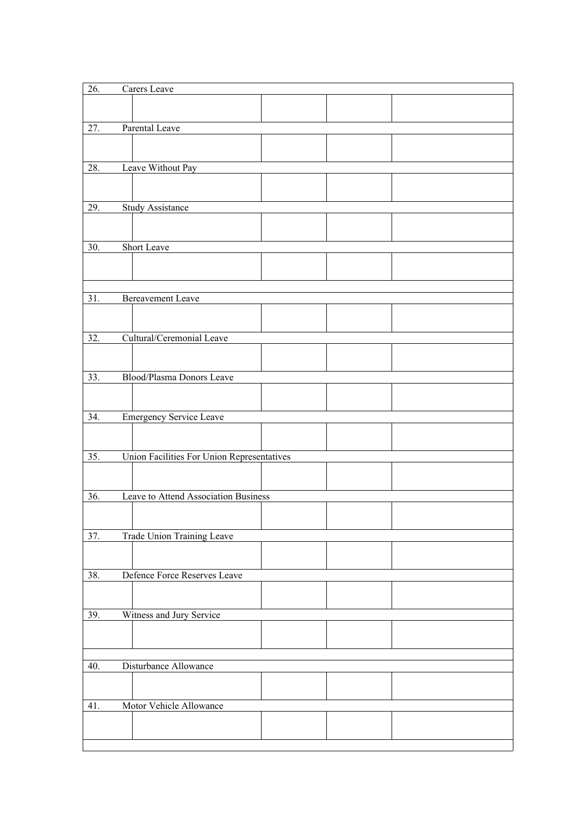| 26. | Carers Leave                               |  |  |
|-----|--------------------------------------------|--|--|
|     |                                            |  |  |
|     |                                            |  |  |
| 27. | Parental Leave                             |  |  |
|     |                                            |  |  |
|     |                                            |  |  |
| 28. | Leave Without Pay                          |  |  |
|     |                                            |  |  |
| 29. | <b>Study Assistance</b>                    |  |  |
|     |                                            |  |  |
|     |                                            |  |  |
| 30. | Short Leave                                |  |  |
|     |                                            |  |  |
|     |                                            |  |  |
|     |                                            |  |  |
| 31. | <b>Bereavement Leave</b>                   |  |  |
|     |                                            |  |  |
|     |                                            |  |  |
| 32. | Cultural/Ceremonial Leave                  |  |  |
|     |                                            |  |  |
| 33. | Blood/Plasma Donors Leave                  |  |  |
|     |                                            |  |  |
|     |                                            |  |  |
| 34. | Emergency Service Leave                    |  |  |
|     |                                            |  |  |
|     |                                            |  |  |
| 35. | Union Facilities For Union Representatives |  |  |
|     |                                            |  |  |
|     |                                            |  |  |
| 36. | Leave to Attend Association Business       |  |  |
|     |                                            |  |  |
|     |                                            |  |  |
| 37. | Trade Union Training Leave                 |  |  |
|     |                                            |  |  |
| 38. | Defence Force Reserves Leave               |  |  |
|     |                                            |  |  |
|     |                                            |  |  |
| 39. | Witness and Jury Service                   |  |  |
|     |                                            |  |  |
|     |                                            |  |  |
|     |                                            |  |  |
| 40. | Disturbance Allowance                      |  |  |
|     |                                            |  |  |
|     |                                            |  |  |
| 41. | Motor Vehicle Allowance                    |  |  |
|     |                                            |  |  |
|     |                                            |  |  |

 $\mathbf{I}$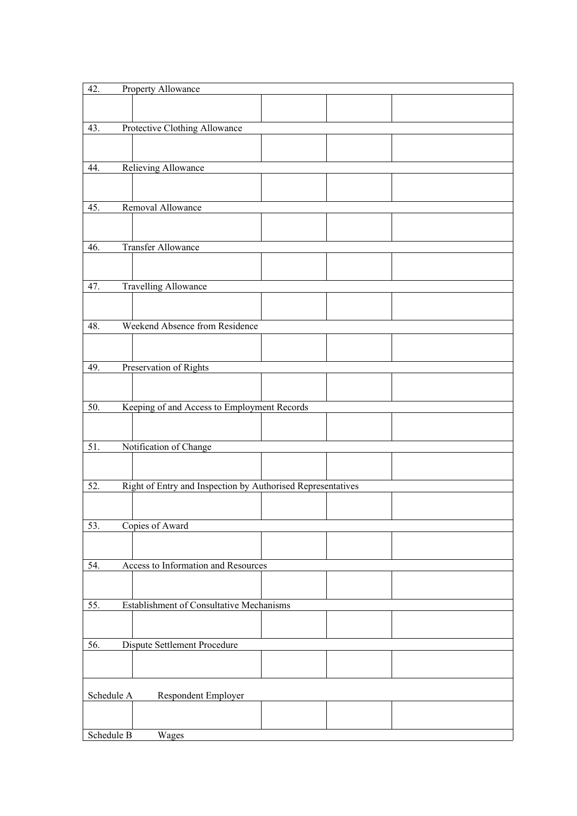| 42.                               | Property Allowance                                          |  |  |  |  |
|-----------------------------------|-------------------------------------------------------------|--|--|--|--|
|                                   |                                                             |  |  |  |  |
|                                   |                                                             |  |  |  |  |
| 43.                               | Protective Clothing Allowance                               |  |  |  |  |
|                                   |                                                             |  |  |  |  |
|                                   |                                                             |  |  |  |  |
| 44.                               | Relieving Allowance                                         |  |  |  |  |
|                                   |                                                             |  |  |  |  |
|                                   |                                                             |  |  |  |  |
| 45.                               | Removal Allowance                                           |  |  |  |  |
|                                   |                                                             |  |  |  |  |
|                                   |                                                             |  |  |  |  |
| 46.                               | <b>Transfer Allowance</b>                                   |  |  |  |  |
|                                   |                                                             |  |  |  |  |
|                                   |                                                             |  |  |  |  |
| 47.                               | <b>Travelling Allowance</b>                                 |  |  |  |  |
|                                   |                                                             |  |  |  |  |
|                                   |                                                             |  |  |  |  |
| 48.                               | Weekend Absence from Residence                              |  |  |  |  |
|                                   |                                                             |  |  |  |  |
|                                   |                                                             |  |  |  |  |
|                                   |                                                             |  |  |  |  |
| 49.                               | Preservation of Rights                                      |  |  |  |  |
|                                   |                                                             |  |  |  |  |
|                                   |                                                             |  |  |  |  |
| $\overline{50}$ .                 | Keeping of and Access to Employment Records                 |  |  |  |  |
|                                   |                                                             |  |  |  |  |
|                                   |                                                             |  |  |  |  |
| 51.                               | Notification of Change                                      |  |  |  |  |
|                                   |                                                             |  |  |  |  |
|                                   |                                                             |  |  |  |  |
| 52.                               | Right of Entry and Inspection by Authorised Representatives |  |  |  |  |
|                                   |                                                             |  |  |  |  |
|                                   |                                                             |  |  |  |  |
| 53.                               | Copies of Award                                             |  |  |  |  |
|                                   |                                                             |  |  |  |  |
|                                   |                                                             |  |  |  |  |
| 54.                               | Access to Information and Resources                         |  |  |  |  |
|                                   |                                                             |  |  |  |  |
|                                   |                                                             |  |  |  |  |
| 55.                               | <b>Establishment of Consultative Mechanisms</b>             |  |  |  |  |
|                                   |                                                             |  |  |  |  |
|                                   |                                                             |  |  |  |  |
| 56.                               | Dispute Settlement Procedure                                |  |  |  |  |
|                                   |                                                             |  |  |  |  |
|                                   |                                                             |  |  |  |  |
|                                   |                                                             |  |  |  |  |
| Schedule A<br>Respondent Employer |                                                             |  |  |  |  |
|                                   |                                                             |  |  |  |  |
|                                   |                                                             |  |  |  |  |
| Schedule B                        | Wages                                                       |  |  |  |  |